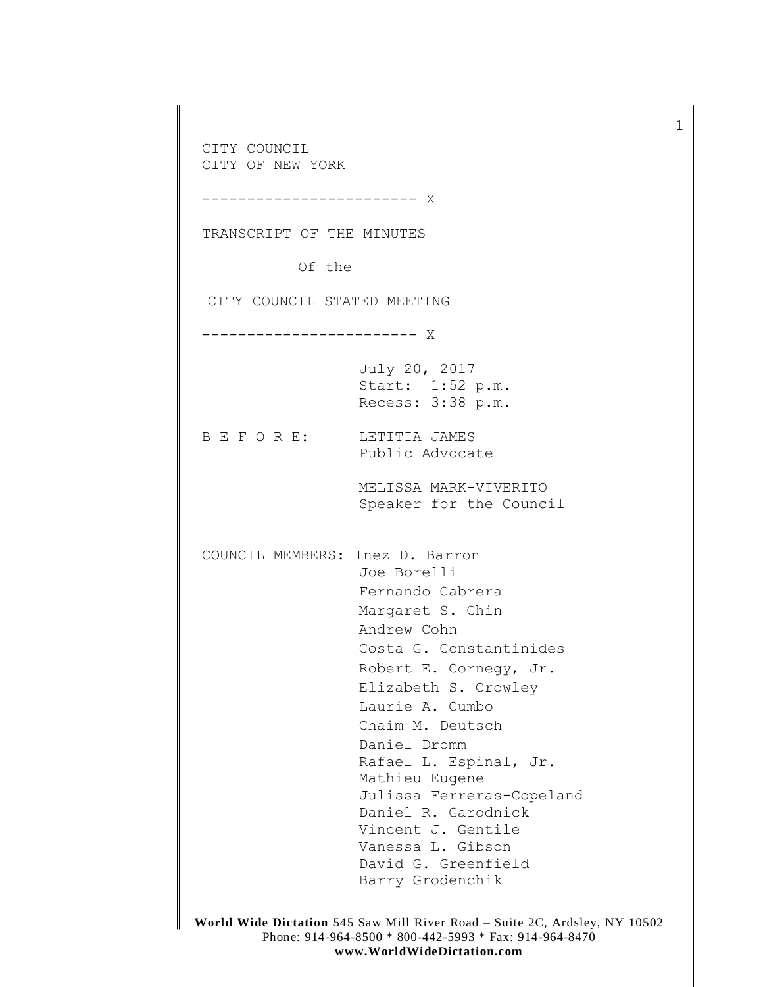CITY COUNCIL CITY OF NEW YORK ------------------------ X TRANSCRIPT OF THE MINUTES Of the CITY COUNCIL STATED MEETING ------------------------ X July 20, 2017 Start: 1:52 p.m. Recess: 3:38 p.m. B E F O R E: LETITIA JAMES Public Advocate MELISSA MARK-VIVERITO Speaker for the Council COUNCIL MEMBERS: Inez D. Barron Joe Borelli Fernando Cabrera Margaret S. Chin Andrew Cohn Costa G. Constantinides Robert E. Cornegy, Jr. Elizabeth S. Crowley Laurie A. Cumbo Chaim M. Deutsch Daniel Dromm Rafael L. Espinal, Jr. Mathieu Eugene Julissa Ferreras-Copeland Daniel R. Garodnick Vincent J. Gentile Vanessa L. Gibson David G. Greenfield Barry Grodenchik

1

**World Wide Dictation** 545 Saw Mill River Road – Suite 2C, Ardsley, NY 10502 Phone: 914-964-8500 \* 800-442-5993 \* Fax: 914-964-8470 **www.WorldWideDictation.com**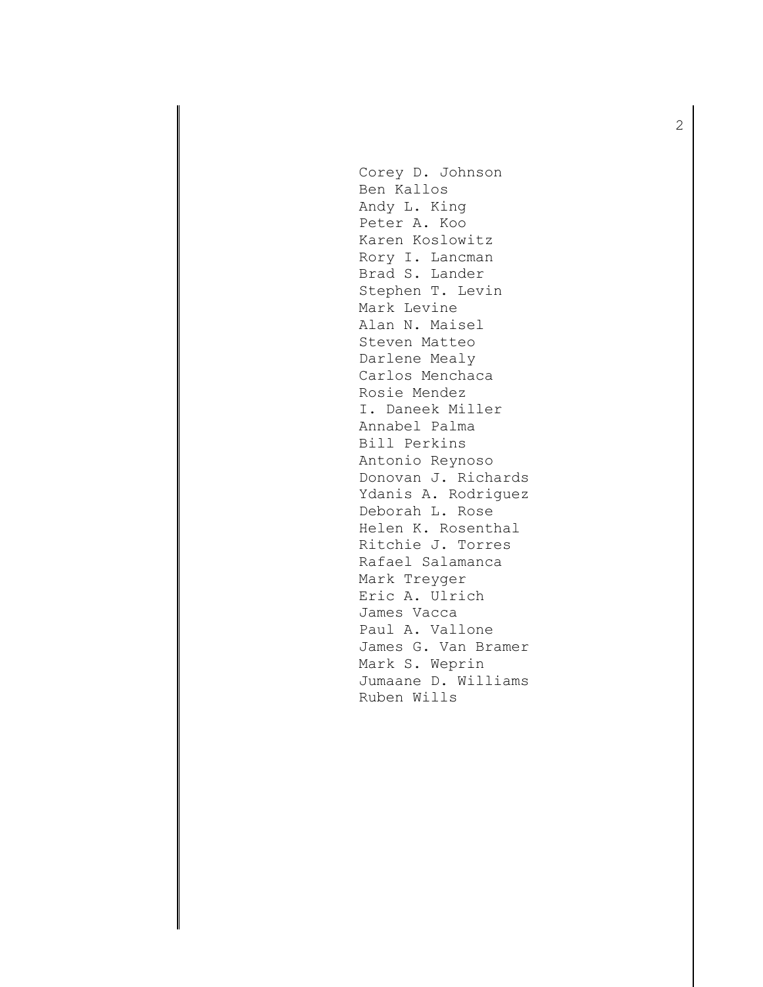Corey D. Johnson Ben Kallos Andy L. King Peter A. Koo Karen Koslowitz Rory I. Lancman Brad S. Lander Stephen T. Levin Mark Levine Alan N. Maisel Steven Matteo Darlene Mealy Carlos Menchaca Rosie Mendez I. Daneek Miller Annabel Palma Bill Perkins Antonio Reynoso Donovan J. Richards Ydanis A. Rodriguez Deborah L. Rose Helen K. Rosenthal Ritchie J. Torres Rafael Salamanca Mark Treyger Eric A. Ulrich James Vacca Paul A. Vallone James G. Van Bramer Mark S. Weprin Jumaane D. Williams Ruben Wills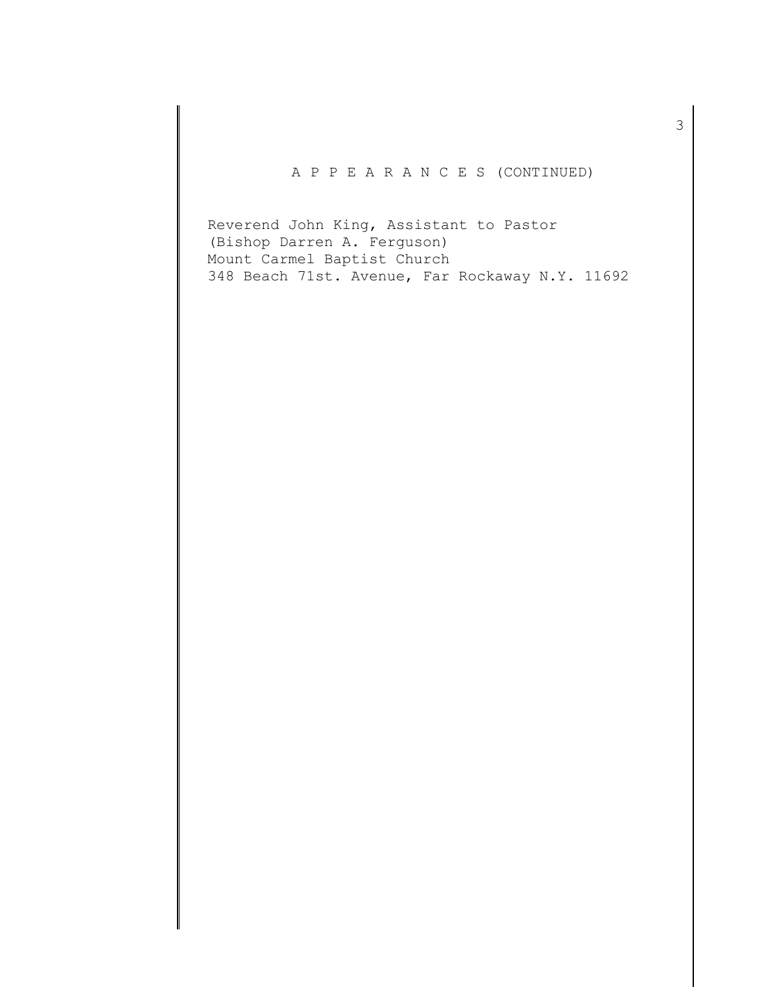# A P P E A R A N C E S (CONTINUED)

Reverend John King, Assistant to Pastor (Bishop Darren A. Ferguson) Mount Carmel Baptist Church 348 Beach 71st. Avenue, Far Rockaway N.Y. 11692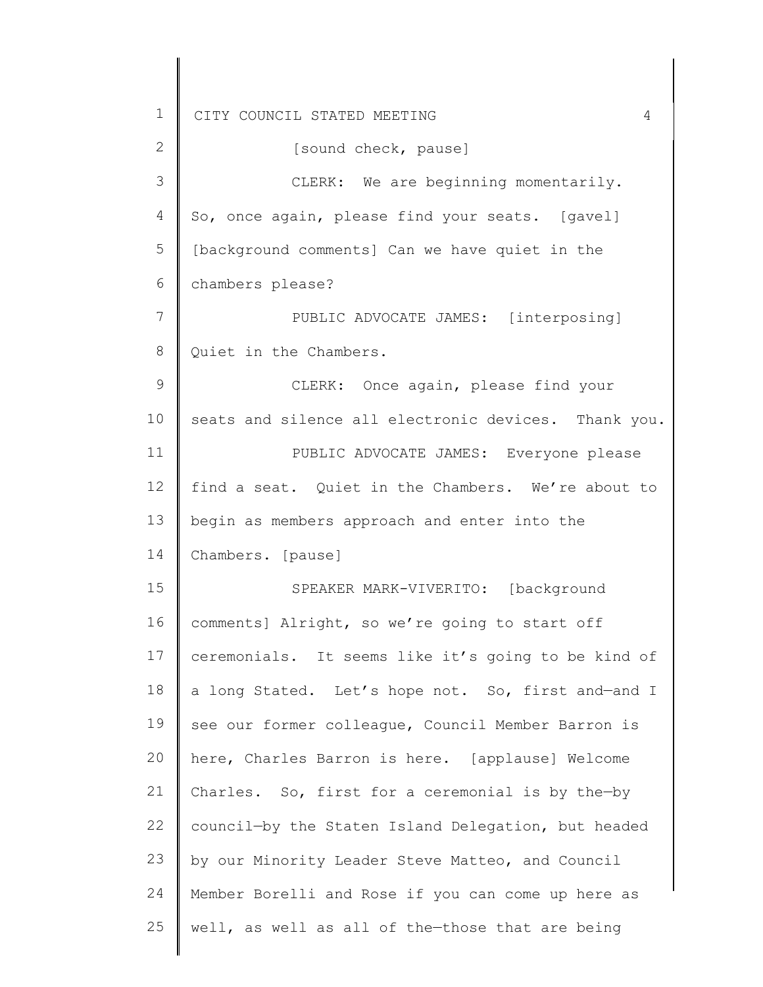1 2 3 4 5 6 7 8 9 10 11 12 13 14 15 16 17 18 19 20 21 22 23 24 25 CITY COUNCIL STATED MEETING 4 So, once again, please find your seats. [gavel] [sound check, pause] CLERK: We are beginning momentarily. [background comments] Can we have quiet in the chambers please? PUBLIC ADVOCATE JAMES: [interposing] Quiet in the Chambers. CLERK: Once again, please find your seats and silence all electronic devices. Thank you. PUBLIC ADVOCATE JAMES: Everyone please find a seat. Quiet in the Chambers. We're about to begin as members approach and enter into the Chambers. [pause] SPEAKER MARK-VIVERITO: [background comments] Alright, so we're going to start off ceremonials. It seems like it's going to be kind of a long Stated. Let's hope not. So, first and—and I see our former colleague, Council Member Barron is here, Charles Barron is here. [applause] Welcome Charles. So, first for a ceremonial is by the—by council—by the Staten Island Delegation, but headed by our Minority Leader Steve Matteo, and Council Member Borelli and Rose if you can come up here as well, as well as all of the—those that are being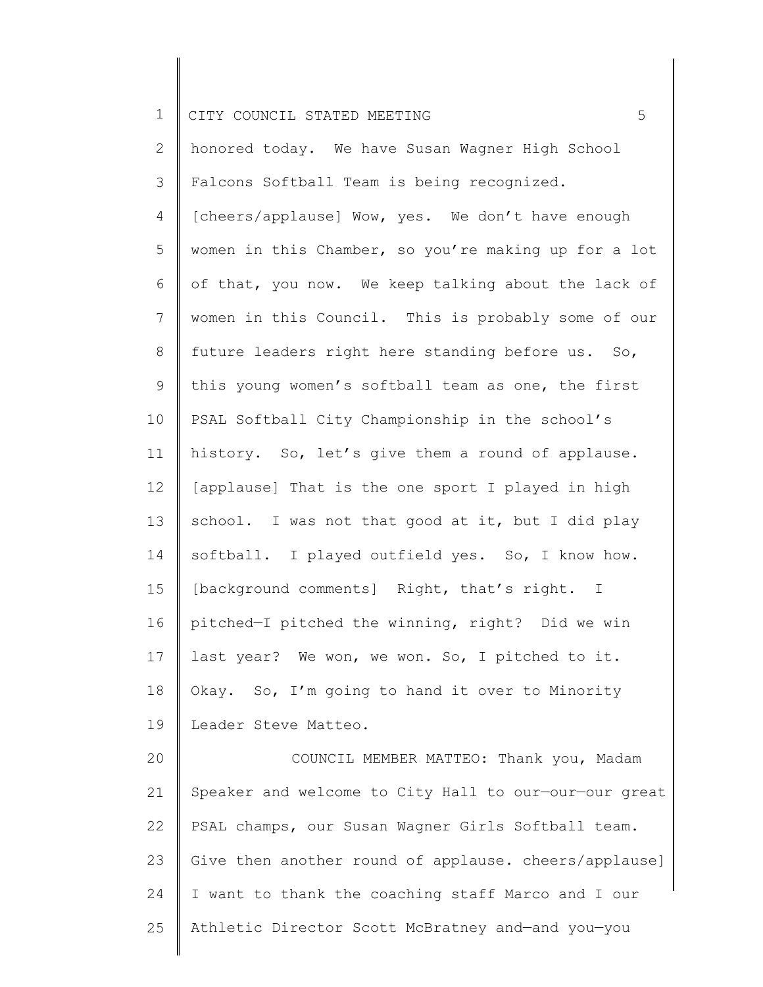2 3 4 5 6 7 8 9 10 11 12 13 14 15 16 17 18 19 20 21 honored today. We have Susan Wagner High School Falcons Softball Team is being recognized. [cheers/applause] Wow, yes. We don't have enough women in this Chamber, so you're making up for a lot of that, you now. We keep talking about the lack of women in this Council. This is probably some of our future leaders right here standing before us. So, this young women's softball team as one, the first PSAL Softball City Championship in the school's history. So, let's give them a round of applause. [applause] That is the one sport I played in high school. I was not that good at it, but I did play softball. I played outfield yes. So, I know how. [background comments] Right, that's right. I pitched—I pitched the winning, right? Did we win last year? We won, we won. So, I pitched to it. Okay. So, I'm going to hand it over to Minority Leader Steve Matteo. COUNCIL MEMBER MATTEO: Thank you, Madam Speaker and welcome to City Hall to our—our—our great

22 23 24 25 PSAL champs, our Susan Wagner Girls Softball team. Give then another round of applause. cheers/applause] I want to thank the coaching staff Marco and I our Athletic Director Scott McBratney and—and you—you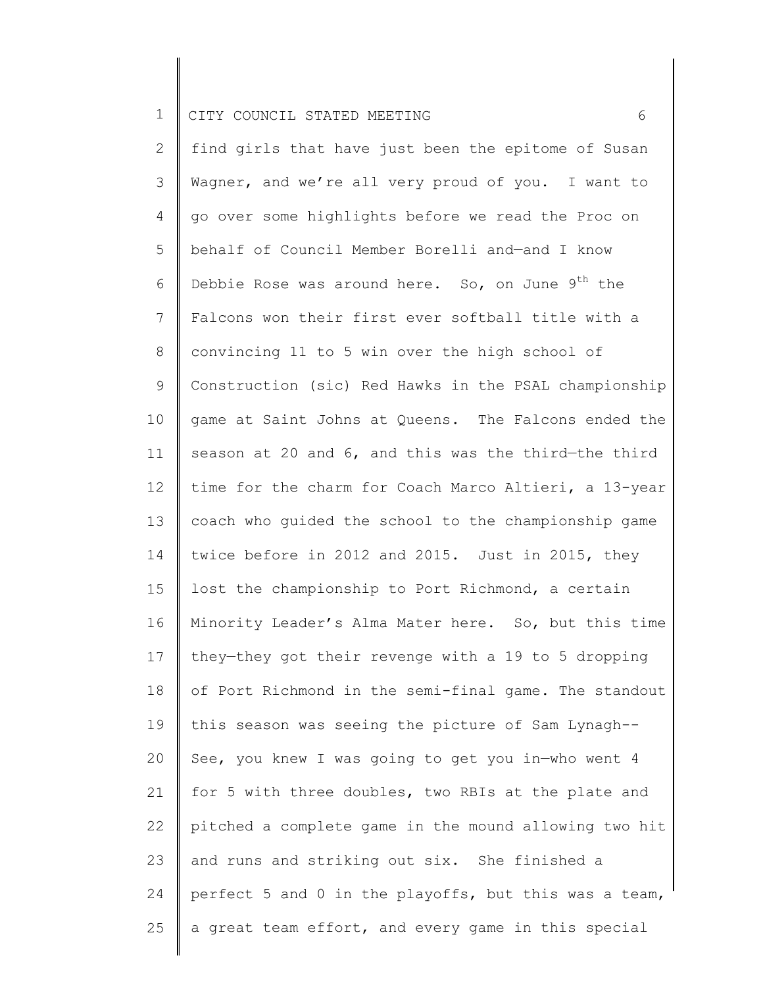2 3 4 5 6 7 8 9 10 11 12 13 14 15 16 17 18 19 20 21 22 23 24 25 find girls that have just been the epitome of Susan Wagner, and we're all very proud of you. I want to go over some highlights before we read the Proc on behalf of Council Member Borelli and—and I know Debbie Rose was around here. So, on June  $9<sup>th</sup>$  the Falcons won their first ever softball title with a convincing 11 to 5 win over the high school of Construction (sic) Red Hawks in the PSAL championship game at Saint Johns at Queens. The Falcons ended the season at 20 and 6, and this was the third—the third time for the charm for Coach Marco Altieri, a 13-year coach who guided the school to the championship game twice before in 2012 and 2015. Just in 2015, they lost the championship to Port Richmond, a certain Minority Leader's Alma Mater here. So, but this time they—they got their revenge with a 19 to 5 dropping of Port Richmond in the semi-final game. The standout this season was seeing the picture of Sam Lynagh-- See, you knew I was going to get you in—who went 4 for 5 with three doubles, two RBIs at the plate and pitched a complete game in the mound allowing two hit and runs and striking out six. She finished a perfect 5 and 0 in the playoffs, but this was a team, a great team effort, and every game in this special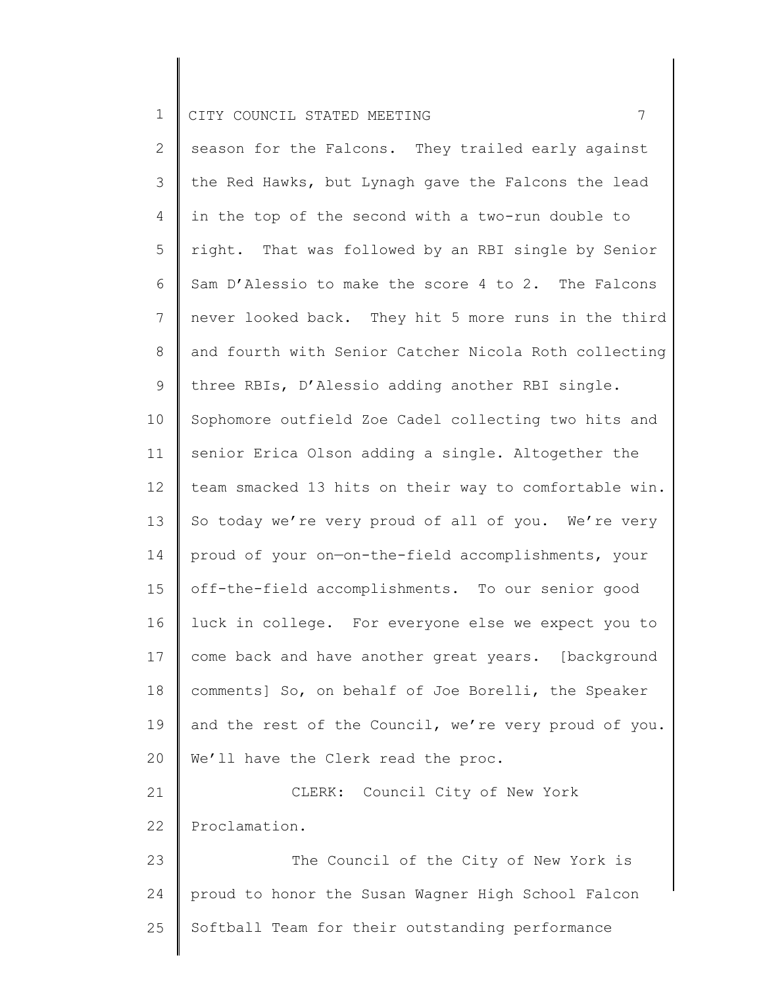25

2 3 4 5 6 7 8 9 10 11 12 13 14 15 16 17 18 19 20 21 22 23 24 season for the Falcons. They trailed early against the Red Hawks, but Lynagh gave the Falcons the lead in the top of the second with a two-run double to right. That was followed by an RBI single by Senior Sam D'Alessio to make the score 4 to 2. The Falcons never looked back. They hit 5 more runs in the third and fourth with Senior Catcher Nicola Roth collecting three RBIs, D'Alessio adding another RBI single. Sophomore outfield Zoe Cadel collecting two hits and senior Erica Olson adding a single. Altogether the team smacked 13 hits on their way to comfortable win. So today we're very proud of all of you. We're very proud of your on—on-the-field accomplishments, your off-the-field accomplishments. To our senior good luck in college. For everyone else we expect you to come back and have another great years. [background comments] So, on behalf of Joe Borelli, the Speaker and the rest of the Council, we're very proud of you. We'll have the Clerk read the proc. CLERK: Council City of New York Proclamation. The Council of the City of New York is proud to honor the Susan Wagner High School Falcon

Softball Team for their outstanding performance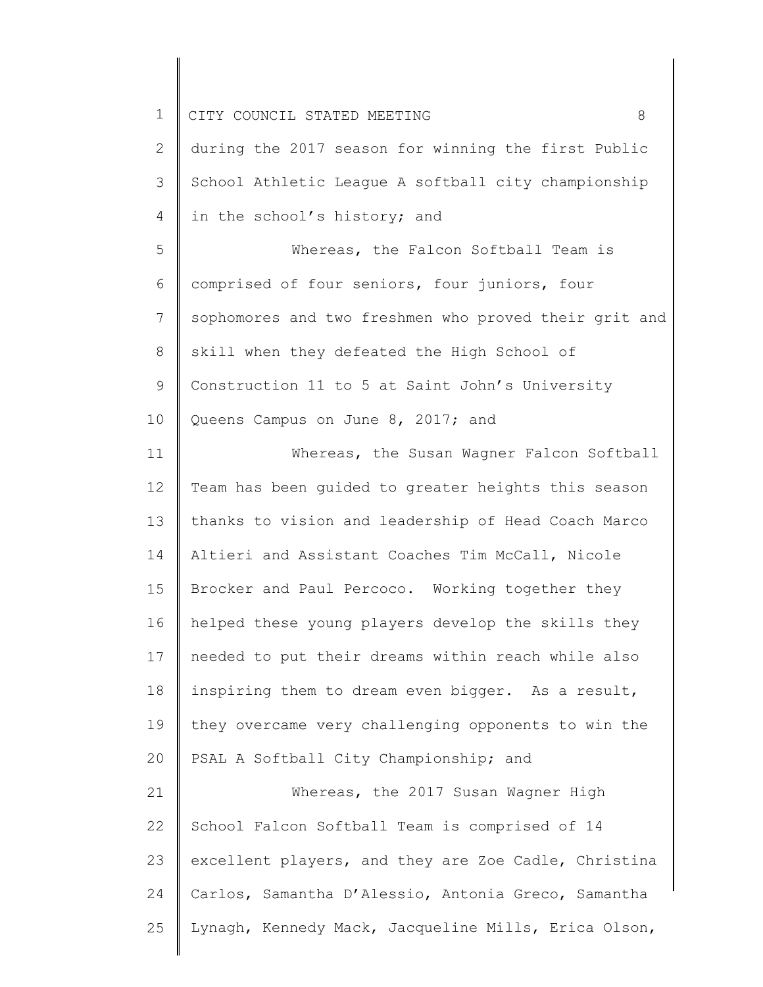1 2 3 4 5 6 7 8 9 10 11 12 13 14 15 16 17 18 19 20 21 22 23 24 25 CITY COUNCIL STATED MEETING 8 during the 2017 season for winning the first Public School Athletic League A softball city championship in the school's history; and Whereas, the Falcon Softball Team is comprised of four seniors, four juniors, four sophomores and two freshmen who proved their grit and skill when they defeated the High School of Construction 11 to 5 at Saint John's University Queens Campus on June 8, 2017; and Whereas, the Susan Wagner Falcon Softball Team has been guided to greater heights this season thanks to vision and leadership of Head Coach Marco Altieri and Assistant Coaches Tim McCall, Nicole Brocker and Paul Percoco. Working together they helped these young players develop the skills they needed to put their dreams within reach while also inspiring them to dream even bigger. As a result, they overcame very challenging opponents to win the PSAL A Softball City Championship; and Whereas, the 2017 Susan Wagner High School Falcon Softball Team is comprised of 14 excellent players, and they are Zoe Cadle, Christina Carlos, Samantha D'Alessio, Antonia Greco, Samantha Lynagh, Kennedy Mack, Jacqueline Mills, Erica Olson,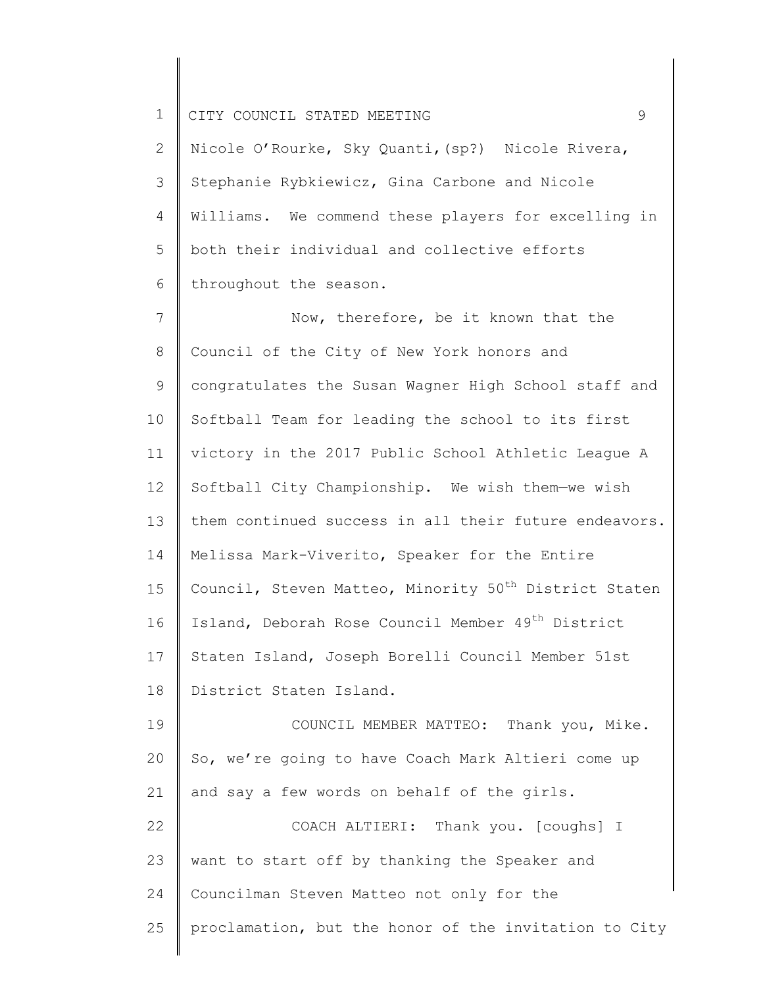2 3 4 5 6 Nicole O'Rourke, Sky Quanti,(sp?) Nicole Rivera, Stephanie Rybkiewicz, Gina Carbone and Nicole Williams. We commend these players for excelling in both their individual and collective efforts throughout the season.

7 8 9 10 11 12 13 14 15 16 17 18 19 Now, therefore, be it known that the Council of the City of New York honors and congratulates the Susan Wagner High School staff and Softball Team for leading the school to its first victory in the 2017 Public School Athletic League A Softball City Championship. We wish them—we wish them continued success in all their future endeavors. Melissa Mark-Viverito, Speaker for the Entire Council, Steven Matteo, Minority  $50<sup>th</sup>$  District Staten Island, Deborah Rose Council Member 49<sup>th</sup> District Staten Island, Joseph Borelli Council Member 51st District Staten Island. COUNCIL MEMBER MATTEO: Thank you, Mike.

20 21 So, we're going to have Coach Mark Altieri come up and say a few words on behalf of the girls.

22 23 24 25 COACH ALTIERI: Thank you. [coughs] I want to start off by thanking the Speaker and Councilman Steven Matteo not only for the proclamation, but the honor of the invitation to City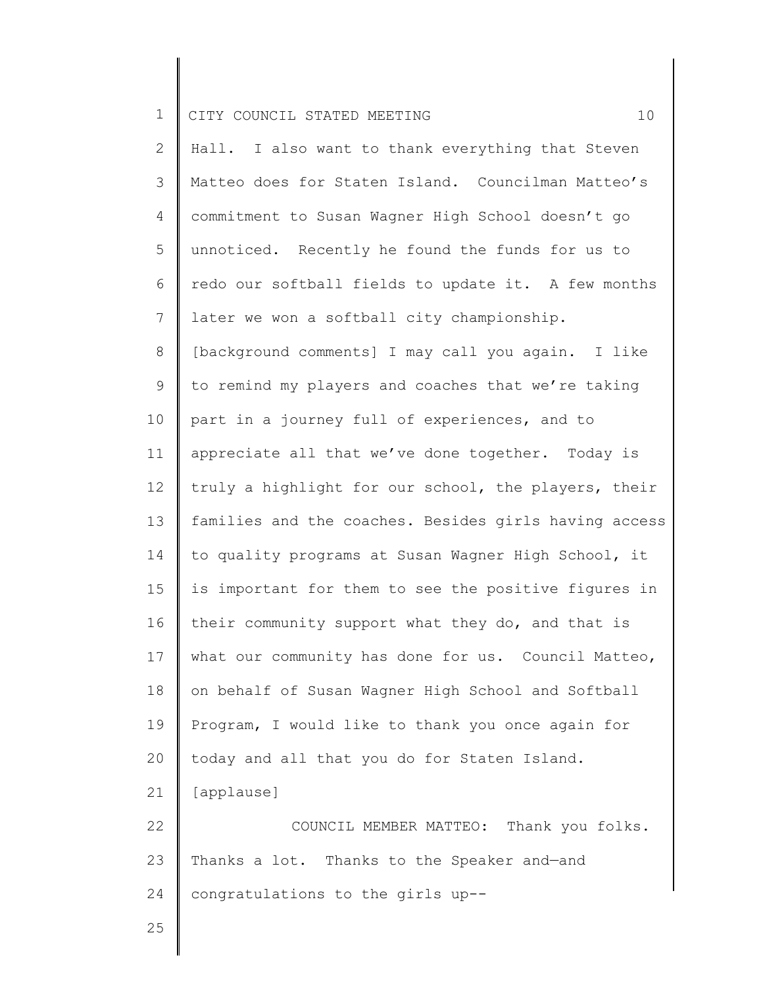2 3 4 5 6 7 8 9 10 11 12 13 14 15 16 17 18 19 20 21 22 23 24 25 Hall. I also want to thank everything that Steven Matteo does for Staten Island. Councilman Matteo's commitment to Susan Wagner High School doesn't go unnoticed. Recently he found the funds for us to redo our softball fields to update it. A few months later we won a softball city championship. [background comments] I may call you again. I like to remind my players and coaches that we're taking part in a journey full of experiences, and to appreciate all that we've done together. Today is truly a highlight for our school, the players, their families and the coaches. Besides girls having access to quality programs at Susan Wagner High School, it is important for them to see the positive figures in their community support what they do, and that is what our community has done for us. Council Matteo, on behalf of Susan Wagner High School and Softball Program, I would like to thank you once again for today and all that you do for Staten Island. [applause] COUNCIL MEMBER MATTEO: Thank you folks. Thanks a lot. Thanks to the Speaker and—and congratulations to the girls up--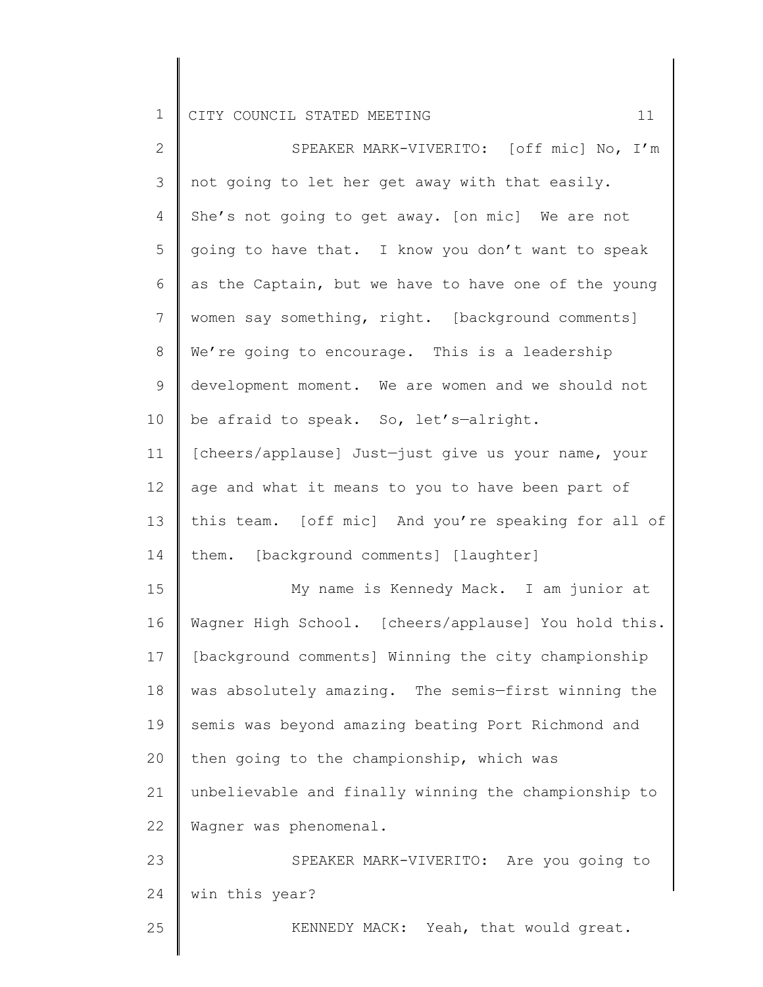| $\mathbf{2}^{\mathsf{I}}$ | SPEAKER MARK-VIVERITO: [off mic] No, I'm             |
|---------------------------|------------------------------------------------------|
| 3                         | not going to let her get away with that easily.      |
| 4                         | She's not going to get away. [on mic] We are not     |
| 5                         | going to have that. I know you don't want to speak   |
| 6                         | as the Captain, but we have to have one of the young |
| 7                         | women say something, right. [background comments]    |
| $8\,$                     | We're going to encourage. This is a leadership       |
| $\mathsf 9$               | development moment. We are women and we should not   |
| 10                        | be afraid to speak. So, let's-alright.               |
| 11                        | [cheers/applause] Just-just give us your name, your  |
| 12                        | age and what it means to you to have been part of    |
| 13                        | this team. [off mic] And you're speaking for all of  |
| 14                        | them. [background comments] [laughter]               |
| 15                        | My name is Kennedy Mack. I am junior at              |
| 16                        | Wagner High School. [cheers/applause] You hold this. |
| 17                        | [background comments] Winning the city championship  |
| 18                        | was absolutely amazing. The semis-first winning the  |
| 19                        | semis was beyond amazing beating Port Richmond and   |
| 20                        | then going to the championship, which was            |
| 21                        | unbelievable and finally winning the championship to |
| 22                        | Wagner was phenomenal.                               |
| 23                        | SPEAKER MARK-VIVERITO: Are you going to              |
| 24                        | win this year?                                       |
| 25                        | KENNEDY MACK: Yeah, that would great.                |
|                           |                                                      |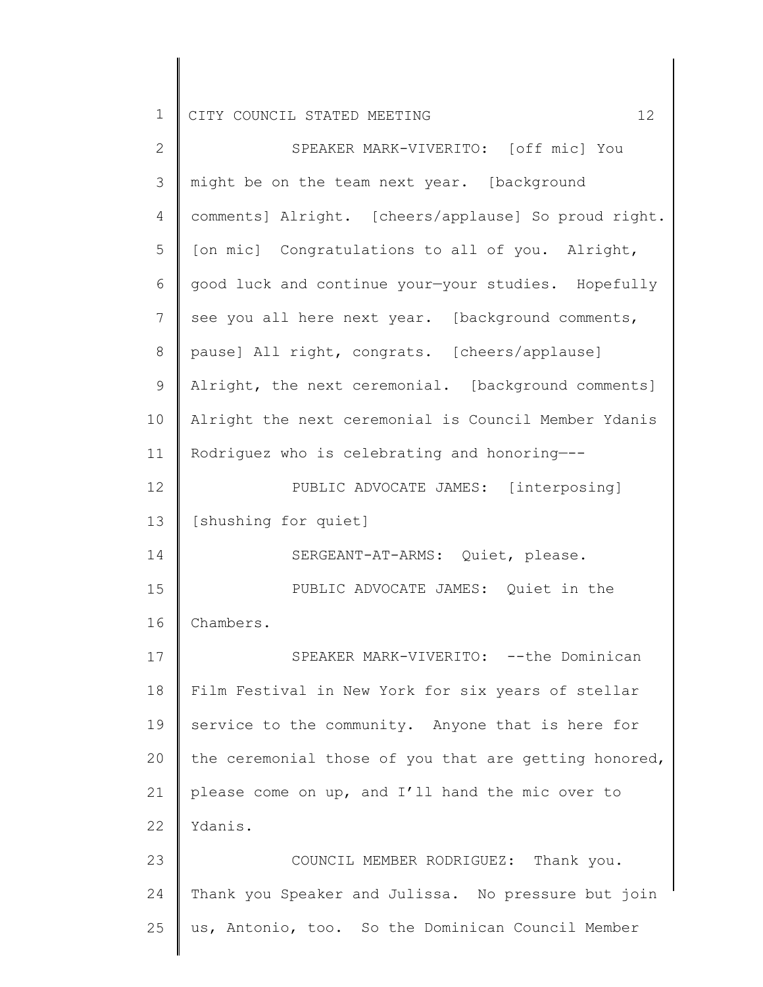| $\mathbf{2}$ | SPEAKER MARK-VIVERITO: [off mic] You                  |
|--------------|-------------------------------------------------------|
| 3            | might be on the team next year. [background           |
| 4            | comments] Alright. [cheers/applause] So proud right.  |
| 5            | [on mic] Congratulations to all of you. Alright,      |
| 6            | good luck and continue your-your studies. Hopefully   |
| 7            | see you all here next year. [background comments,     |
| $\,8\,$      | pause] All right, congrats. [cheers/applause]         |
| $\mathsf 9$  | Alright, the next ceremonial. [background comments]   |
| 10           | Alright the next ceremonial is Council Member Ydanis  |
| 11           | Rodriguez who is celebrating and honoring---          |
| 12           | PUBLIC ADVOCATE JAMES: [interposing]                  |
| 13           | [shushing for quiet]                                  |
| 14           | SERGEANT-AT-ARMS: Quiet, please.                      |
| 15           | PUBLIC ADVOCATE JAMES: Quiet in the                   |
| 16           | Chambers.                                             |
| 17           | SPEAKER MARK-VIVERITO: -- the Dominican               |
| 18           | Film Festival in New York for six years of stellar    |
| 19           | service to the community. Anyone that is here for     |
| 20           | the ceremonial those of you that are getting honored, |
| 21           | please come on up, and I'll hand the mic over to      |
| 22           | Ydanis.                                               |
| 23           | COUNCIL MEMBER RODRIGUEZ: Thank you.                  |
| 24           | Thank you Speaker and Julissa. No pressure but join   |
| 25           | us, Antonio, too. So the Dominican Council Member     |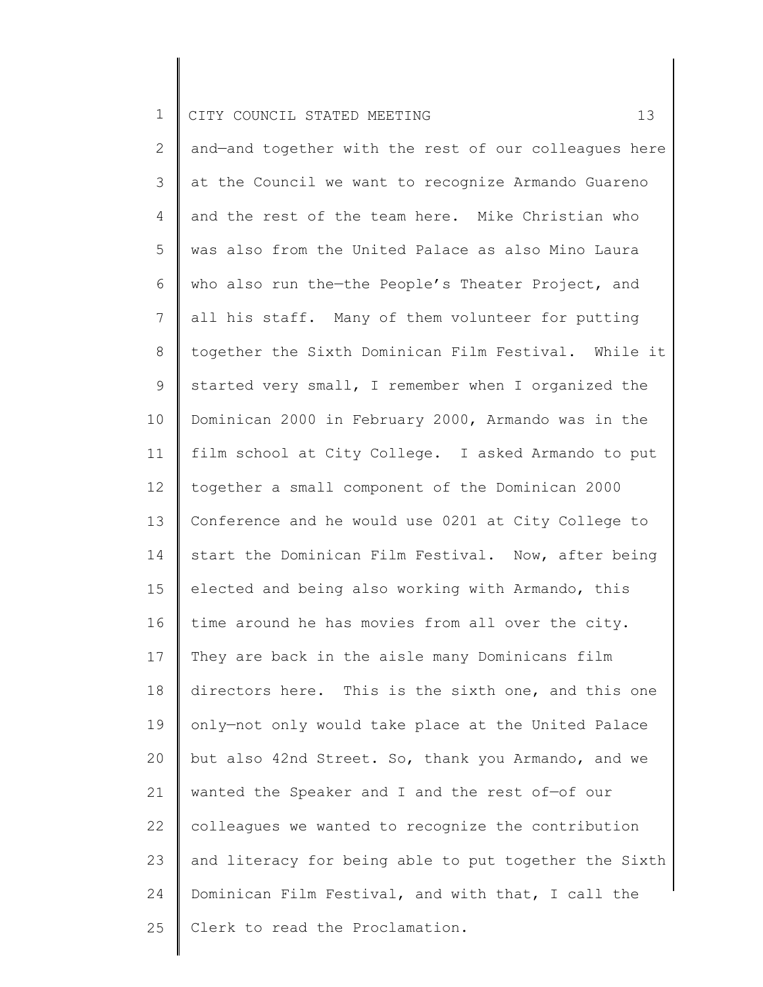2 3 4 5 6 7 8 9 10 11 12 13 14 15 16 17 18 19 20 21 22 23 24 25 and—and together with the rest of our colleagues here at the Council we want to recognize Armando Guareno and the rest of the team here. Mike Christian who was also from the United Palace as also Mino Laura who also run the-the People's Theater Project, and all his staff. Many of them volunteer for putting together the Sixth Dominican Film Festival. While it started very small, I remember when I organized the Dominican 2000 in February 2000, Armando was in the film school at City College. I asked Armando to put together a small component of the Dominican 2000 Conference and he would use 0201 at City College to start the Dominican Film Festival. Now, after being elected and being also working with Armando, this time around he has movies from all over the city. They are back in the aisle many Dominicans film directors here. This is the sixth one, and this one only—not only would take place at the United Palace but also 42nd Street. So, thank you Armando, and we wanted the Speaker and I and the rest of—of our colleagues we wanted to recognize the contribution and literacy for being able to put together the Sixth Dominican Film Festival, and with that, I call the Clerk to read the Proclamation.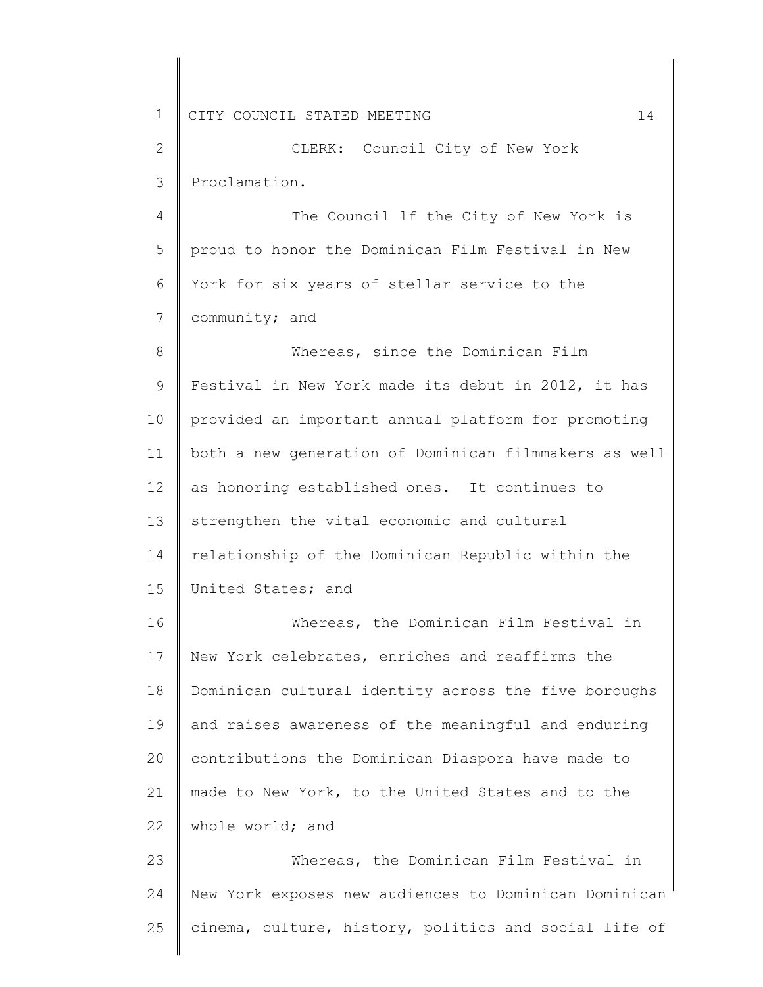2 3 CLERK: Council City of New York Proclamation.

4 5 6 7 The Council lf the City of New York is proud to honor the Dominican Film Festival in New York for six years of stellar service to the community; and

8 9 10 11 12 13 14 15 Whereas, since the Dominican Film Festival in New York made its debut in 2012, it has provided an important annual platform for promoting both a new generation of Dominican filmmakers as well as honoring established ones. It continues to strengthen the vital economic and cultural relationship of the Dominican Republic within the United States; and

16 17 18 19 20 21 22 Whereas, the Dominican Film Festival in New York celebrates, enriches and reaffirms the Dominican cultural identity across the five boroughs and raises awareness of the meaningful and enduring contributions the Dominican Diaspora have made to made to New York, to the United States and to the whole world; and

23 24 25 Whereas, the Dominican Film Festival in New York exposes new audiences to Dominican—Dominican cinema, culture, history, politics and social life of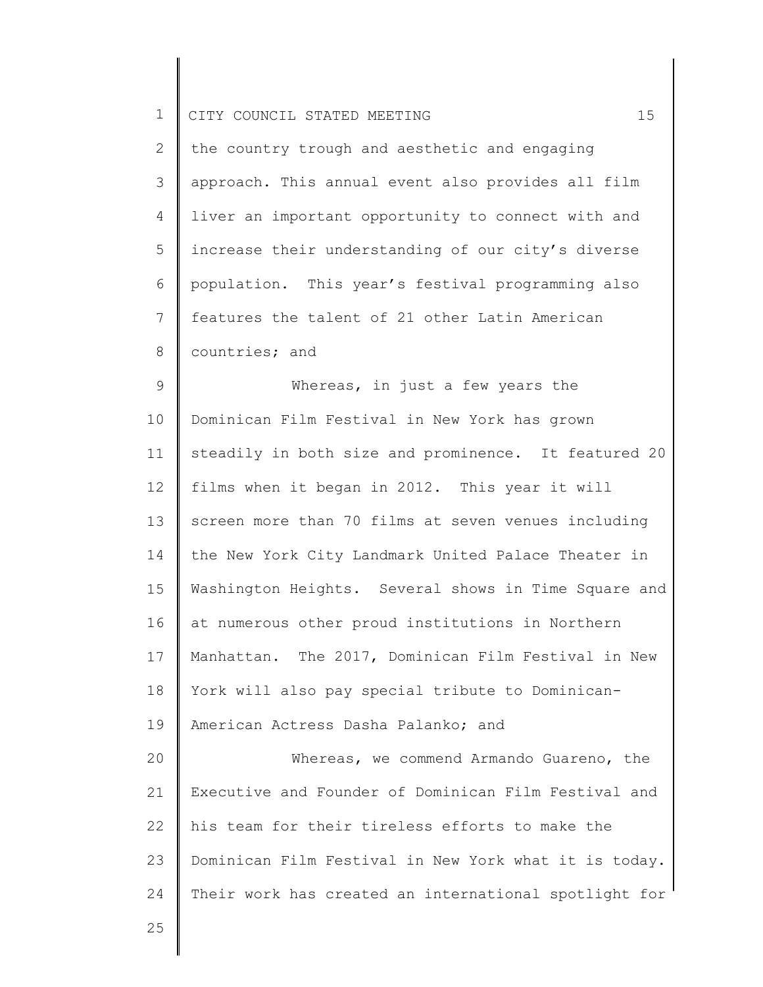| ᆠ |  | CITY COUNCIL STATED MEETING |  |  |  |  |  |  |
|---|--|-----------------------------|--|--|--|--|--|--|
|---|--|-----------------------------|--|--|--|--|--|--|

| $\overline{2}$ | the country trough and aesthetic and engaging        |
|----------------|------------------------------------------------------|
| 3              | approach. This annual event also provides all film   |
| $\overline{4}$ | I liver an important opportunity to connect with and |
| 5              | increase their understanding of our city's diverse   |
| 6              | population. This year's festival programming also    |
| $\overline{7}$ | features the talent of 21 other Latin American       |
| 8              | countries; and                                       |

9 10 11 12 13 14 15 16 17 18 19 20 21 22 Whereas, in just a few years the Dominican Film Festival in New York has grown steadily in both size and prominence. It featured 20 films when it began in 2012. This year it will screen more than 70 films at seven venues including the New York City Landmark United Palace Theater in Washington Heights. Several shows in Time Square and at numerous other proud institutions in Northern Manhattan. The 2017, Dominican Film Festival in New York will also pay special tribute to Dominican-American Actress Dasha Palanko; and Whereas, we commend Armando Guareno, the Executive and Founder of Dominican Film Festival and his team for their tireless efforts to make the

23 24 Dominican Film Festival in New York what it is today. Their work has created an international spotlight for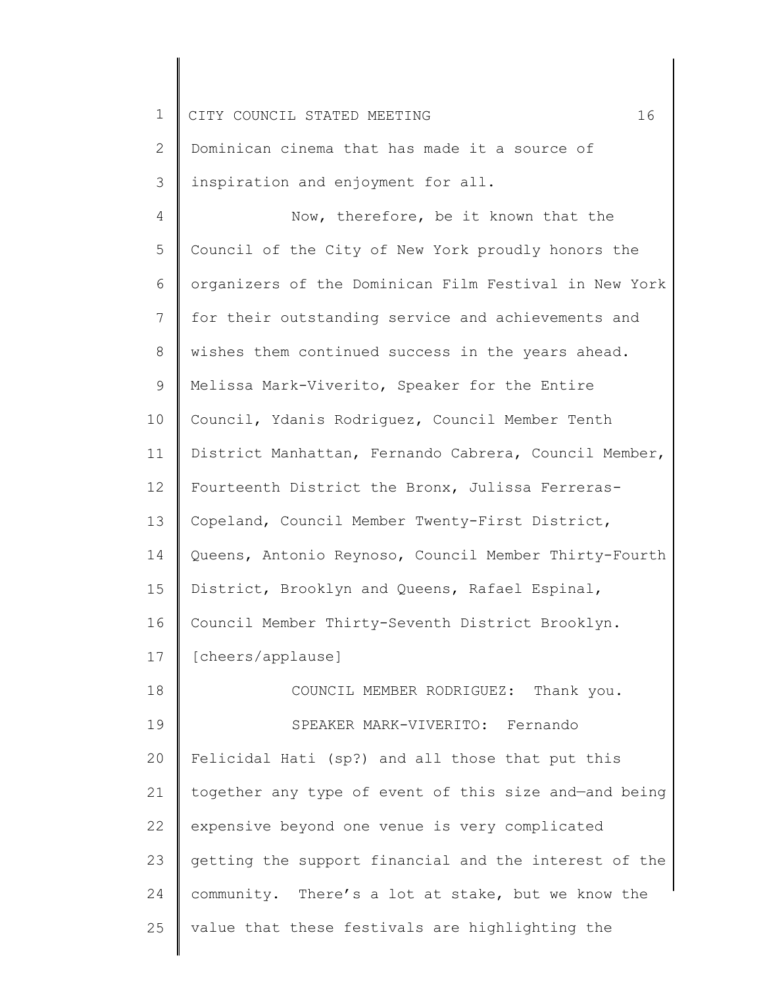| $\mathbf 1$  | 16<br>CITY COUNCIL STATED MEETING                     |
|--------------|-------------------------------------------------------|
| $\mathbf{2}$ | Dominican cinema that has made it a source of         |
| 3            | inspiration and enjoyment for all.                    |
| 4            | Now, therefore, be it known that the                  |
| 5            | Council of the City of New York proudly honors the    |
| 6            | organizers of the Dominican Film Festival in New York |
| 7            | for their outstanding service and achievements and    |
| 8            | wishes them continued success in the years ahead.     |
| 9            | Melissa Mark-Viverito, Speaker for the Entire         |
| 10           | Council, Ydanis Rodriguez, Council Member Tenth       |
| 11           | District Manhattan, Fernando Cabrera, Council Member, |
| 12           | Fourteenth District the Bronx, Julissa Ferreras-      |
| 13           | Copeland, Council Member Twenty-First District,       |
| 14           | Queens, Antonio Reynoso, Council Member Thirty-Fourth |
| 15           | District, Brooklyn and Queens, Rafael Espinal,        |
| 16           | Council Member Thirty-Seventh District Brooklyn.      |
| 17           | [cheers/applause]                                     |
| 18           | COUNCIL MEMBER RODRIGUEZ: Thank you.                  |
| 19           | SPEAKER MARK-VIVERITO: Fernando                       |
| 20           | Felicidal Hati (sp?) and all those that put this      |
| 21           | together any type of event of this size and-and being |
| 22           | expensive beyond one venue is very complicated        |
| 23           | getting the support financial and the interest of the |
| 24           | community. There's a lot at stake, but we know the    |
| 25           | value that these festivals are highlighting the       |
|              |                                                       |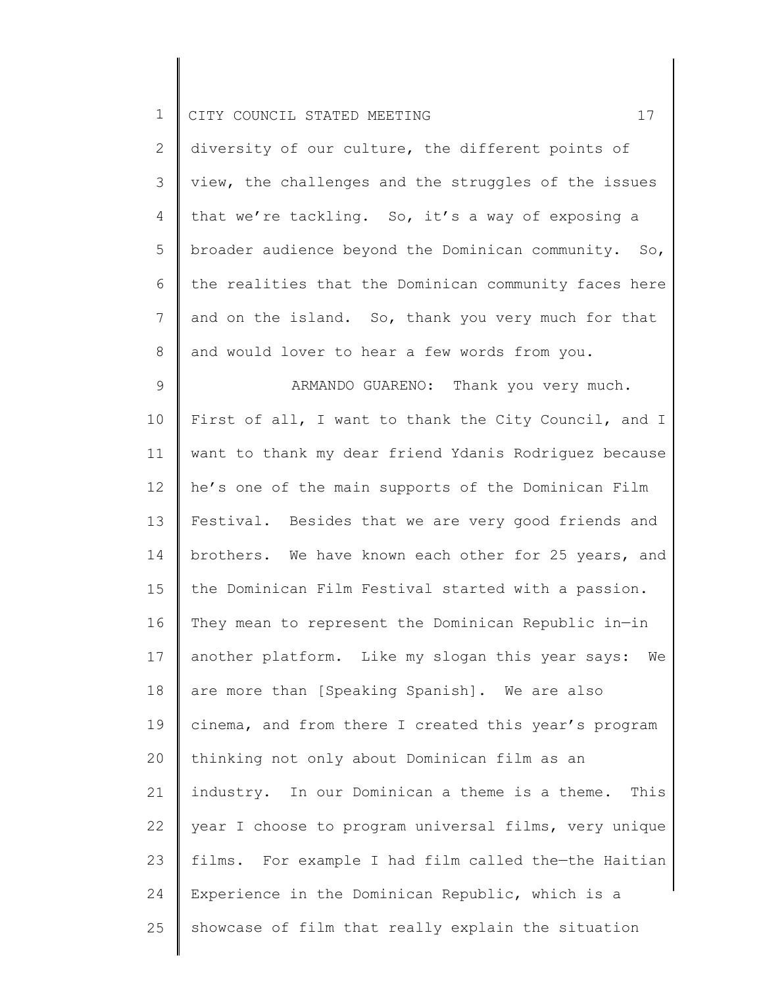| — <u>—</u> |  |  |  | CITY COUNCIL STATED MEETING |  |  |
|------------|--|--|--|-----------------------------|--|--|
|------------|--|--|--|-----------------------------|--|--|

2 3 4 5 6 7 8 diversity of our culture, the different points of view, the challenges and the struggles of the issues that we're tackling. So, it's a way of exposing a broader audience beyond the Dominican community. So, the realities that the Dominican community faces here and on the island. So, thank you very much for that and would lover to hear a few words from you.

9 10 11 12 13 14 15 16 17 18 19 20 21 22 23 24 25 ARMANDO GUARENO: Thank you very much. First of all, I want to thank the City Council, and I want to thank my dear friend Ydanis Rodriguez because he's one of the main supports of the Dominican Film Festival. Besides that we are very good friends and brothers. We have known each other for 25 years, and the Dominican Film Festival started with a passion. They mean to represent the Dominican Republic in—in another platform. Like my slogan this year says: We are more than [Speaking Spanish]. We are also cinema, and from there I created this year's program thinking not only about Dominican film as an industry. In our Dominican a theme is a theme. This year I choose to program universal films, very unique films. For example I had film called the—the Haitian Experience in the Dominican Republic, which is a showcase of film that really explain the situation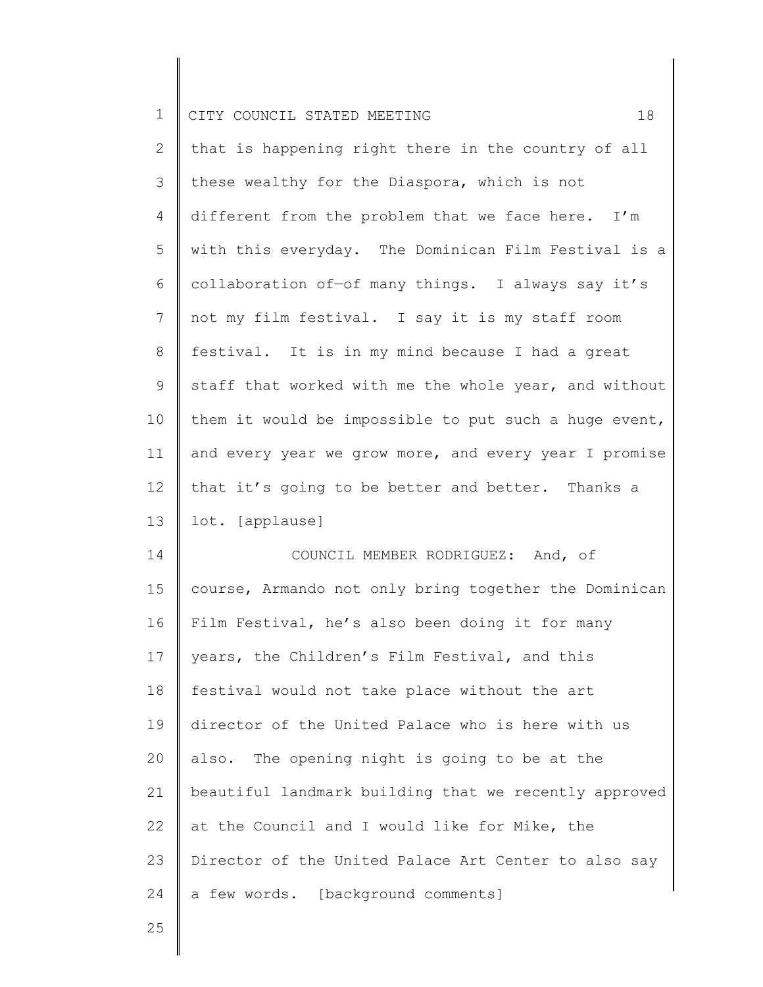| $\mathbf 1$    | 18<br>CITY COUNCIL STATED MEETING                     |
|----------------|-------------------------------------------------------|
| $\overline{2}$ | that is happening right there in the country of all   |
| 3              | these wealthy for the Diaspora, which is not          |
| 4              | different from the problem that we face here. I'm     |
| 5              | with this everyday. The Dominican Film Festival is a  |
| 6              | collaboration of-of many things. I always say it's    |
| 7              | not my film festival. I say it is my staff room       |
| 8              | festival. It is in my mind because I had a great      |
| 9              | staff that worked with me the whole year, and without |
| 10             | them it would be impossible to put such a huge event, |
| 11             | and every year we grow more, and every year I promise |
| 12             | that it's going to be better and better. Thanks a     |
| 13             | lot. [applause]                                       |
| 14             | COUNCIL MEMBER RODRIGUEZ: And, of                     |
| 15             | course, Armando not only bring together the Dominican |
| 16             | Film Festival, he's also been doing it for many       |
| 17             | years, the Children's Film Festival, and this         |
| 18             | festival would not take place without the art         |
| 19             | director of the United Palace who is here with us     |
| 20             | also. The opening night is going to be at the         |
| 21             | beautiful landmark building that we recently approved |
| 22             | at the Council and I would like for Mike, the         |
| 23             | Director of the United Palace Art Center to also say  |
| 24             | a few words. [background comments]                    |
| 25             |                                                       |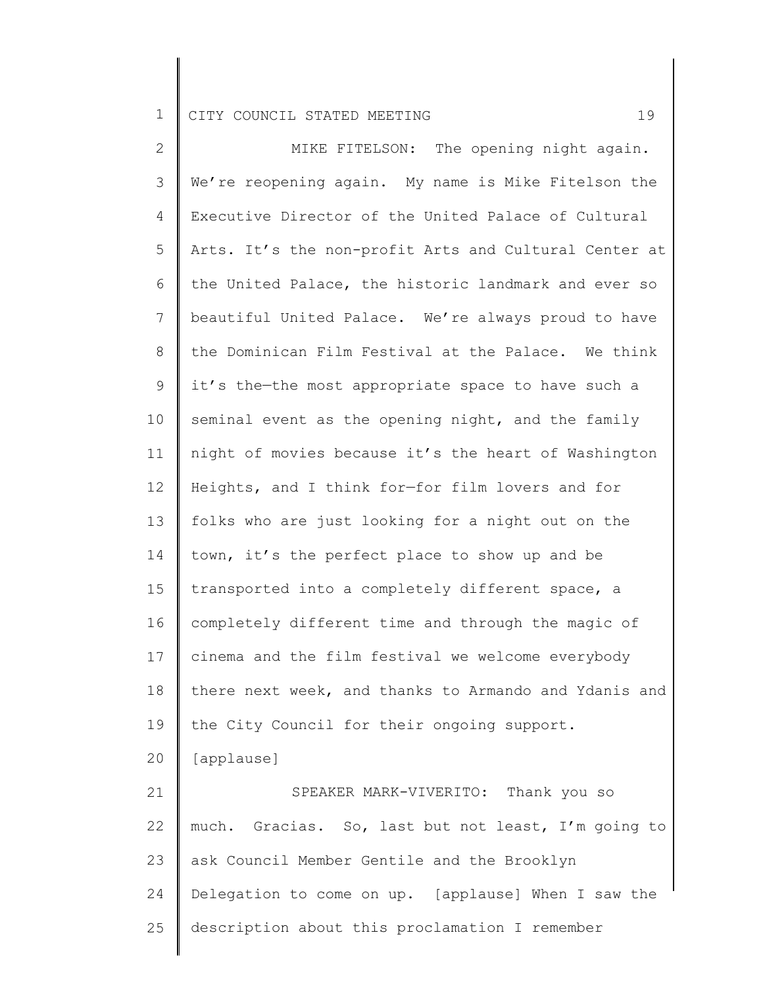25

2 3 4 5 6 7 8 9 10 11 12 13 14 15 16 17 18 19 20 21 22 23 24 MIKE FITELSON: The opening night again. We're reopening again. My name is Mike Fitelson the Executive Director of the United Palace of Cultural Arts. It's the non-profit Arts and Cultural Center at the United Palace, the historic landmark and ever so beautiful United Palace. We're always proud to have the Dominican Film Festival at the Palace. We think it's the—the most appropriate space to have such a seminal event as the opening night, and the family night of movies because it's the heart of Washington Heights, and I think for—for film lovers and for folks who are just looking for a night out on the town, it's the perfect place to show up and be transported into a completely different space, a completely different time and through the magic of cinema and the film festival we welcome everybody there next week, and thanks to Armando and Ydanis and the City Council for their ongoing support. [applause] SPEAKER MARK-VIVERITO: Thank you so much. Gracias. So, last but not least, I'm going to ask Council Member Gentile and the Brooklyn Delegation to come on up. [applause] When I saw the

description about this proclamation I remember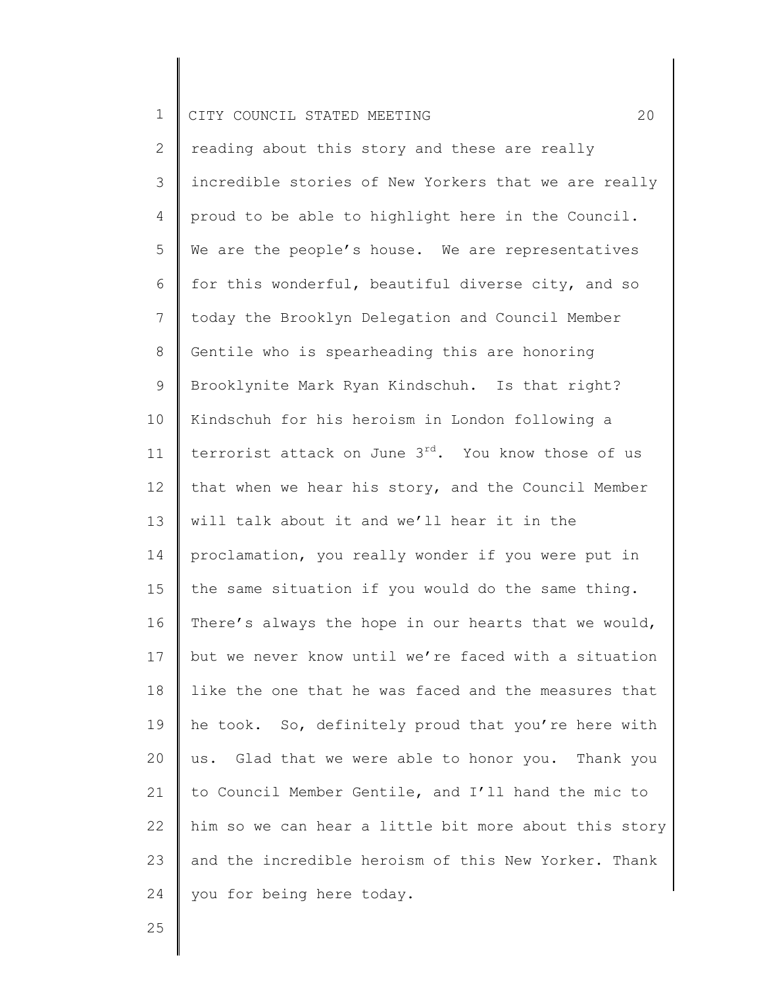2 3 4 5 6 7 8 9 10 11 12 13 14 15 16 17 18 19 20 21 22 23 24 reading about this story and these are really incredible stories of New Yorkers that we are really proud to be able to highlight here in the Council. We are the people's house. We are representatives for this wonderful, beautiful diverse city, and so today the Brooklyn Delegation and Council Member Gentile who is spearheading this are honoring Brooklynite Mark Ryan Kindschuh. Is that right? Kindschuh for his heroism in London following a terrorist attack on June  $3^{rd}$ . You know those of us that when we hear his story, and the Council Member will talk about it and we'll hear it in the proclamation, you really wonder if you were put in the same situation if you would do the same thing. There's always the hope in our hearts that we would, but we never know until we're faced with a situation like the one that he was faced and the measures that he took. So, definitely proud that you're here with us. Glad that we were able to honor you. Thank you to Council Member Gentile, and I'll hand the mic to him so we can hear a little bit more about this story and the incredible heroism of this New Yorker. Thank you for being here today.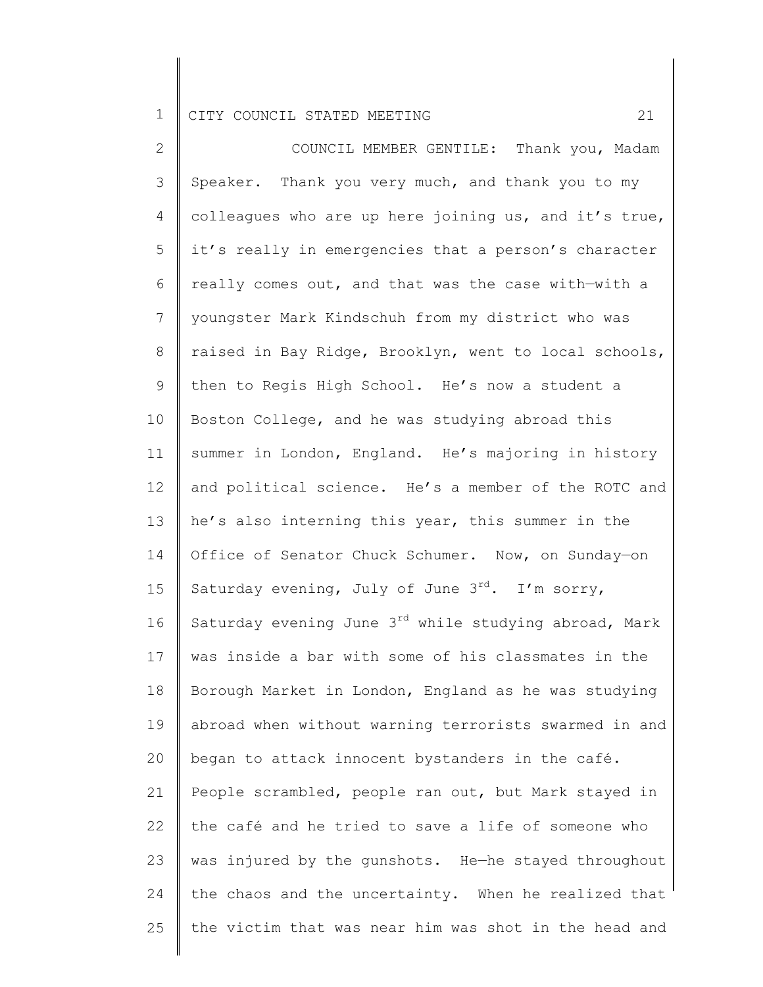2 3 4 5 6 7 8 9 10 11 12 13 14 15 16 17 18 19 20 21 22 23 24 25 COUNCIL MEMBER GENTILE: Thank you, Madam Speaker. Thank you very much, and thank you to my colleagues who are up here joining us, and it's true, it's really in emergencies that a person's character really comes out, and that was the case with—with a youngster Mark Kindschuh from my district who was raised in Bay Ridge, Brooklyn, went to local schools, then to Regis High School. He's now a student a Boston College, and he was studying abroad this summer in London, England. He's majoring in history and political science. He's a member of the ROTC and he's also interning this year, this summer in the Office of Senator Chuck Schumer. Now, on Sunday—on Saturday evening, July of June  $3^{rd}$ . I'm sorry, Saturday evening June  $3^{rd}$  while studying abroad, Mark was inside a bar with some of his classmates in the Borough Market in London, England as he was studying abroad when without warning terrorists swarmed in and began to attack innocent bystanders in the café. People scrambled, people ran out, but Mark stayed in the café and he tried to save a life of someone who was injured by the gunshots. He—he stayed throughout the chaos and the uncertainty. When he realized that the victim that was near him was shot in the head and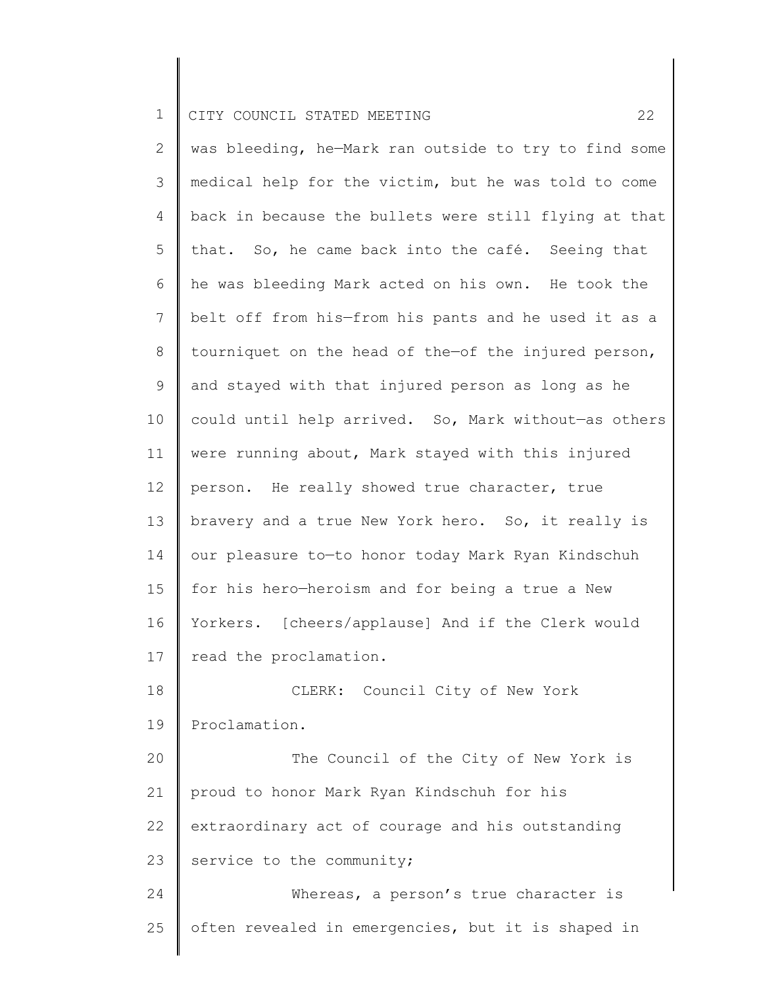2 3 4 5 6 7 8 9 10 11 12 13 14 15 16 17 18 19 20 21 22 23 24 25 was bleeding, he—Mark ran outside to try to find some medical help for the victim, but he was told to come back in because the bullets were still flying at that that. So, he came back into the café. Seeing that he was bleeding Mark acted on his own. He took the belt off from his—from his pants and he used it as a tourniquet on the head of the—of the injured person, and stayed with that injured person as long as he could until help arrived. So, Mark without—as others were running about, Mark stayed with this injured person. He really showed true character, true bravery and a true New York hero. So, it really is our pleasure to—to honor today Mark Ryan Kindschuh for his hero—heroism and for being a true a New Yorkers. [cheers/applause] And if the Clerk would read the proclamation. CLERK: Council City of New York Proclamation. The Council of the City of New York is proud to honor Mark Ryan Kindschuh for his extraordinary act of courage and his outstanding service to the community; Whereas, a person's true character is often revealed in emergencies, but it is shaped in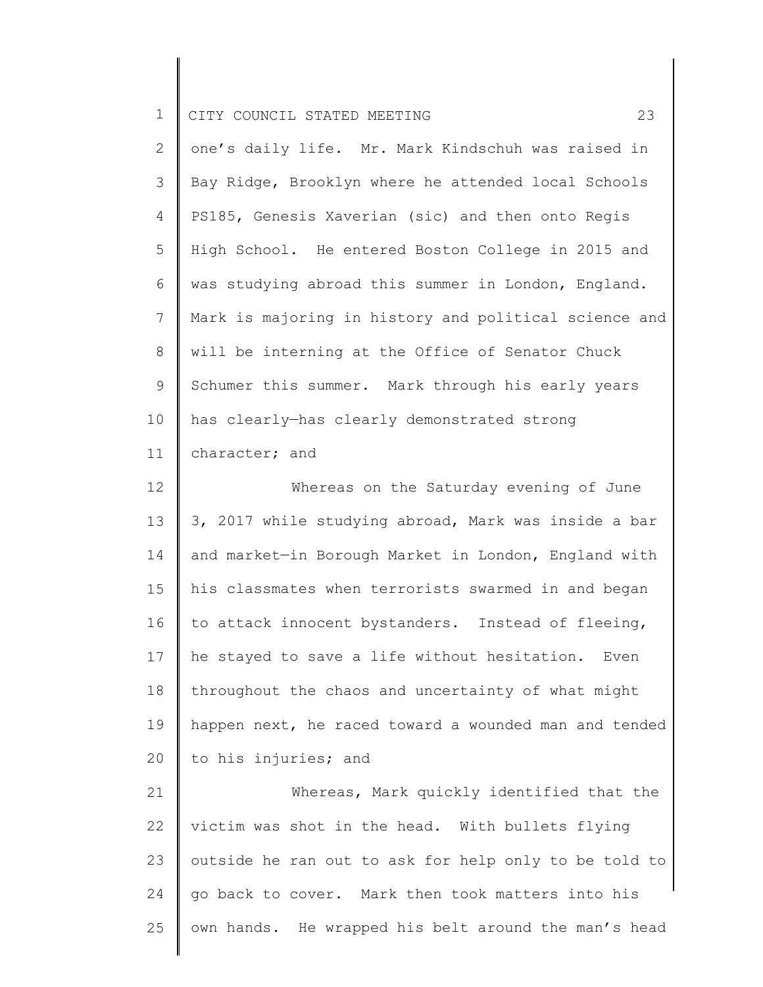| ᅩ |  | CITY COUNCIL STATED MEETING |  |  |  |  |  |
|---|--|-----------------------------|--|--|--|--|--|
|---|--|-----------------------------|--|--|--|--|--|

| $\overline{2}$  | one's daily life. Mr. Mark Kindschuh was raised in    |
|-----------------|-------------------------------------------------------|
| 3               | Bay Ridge, Brooklyn where he attended local Schools   |
| $\overline{4}$  | PS185, Genesis Xaverian (sic) and then onto Regis     |
| 5               | High School. He entered Boston College in 2015 and    |
| 6               | was studying abroad this summer in London, England.   |
| $7\overline{ }$ | Mark is majoring in history and political science and |
| 8               | will be interning at the Office of Senator Chuck      |
| 9               | Schumer this summer. Mark through his early years     |
| 10              | has clearly-has clearly demonstrated strong           |
| 11              | character; and                                        |

12 13 14 15 16 17 18 19 20 Whereas on the Saturday evening of June 3, 2017 while studying abroad, Mark was inside a bar and market—in Borough Market in London, England with his classmates when terrorists swarmed in and began to attack innocent bystanders. Instead of fleeing, he stayed to save a life without hesitation. Even throughout the chaos and uncertainty of what might happen next, he raced toward a wounded man and tended to his injuries; and

21 22 23 24 25 Whereas, Mark quickly identified that the victim was shot in the head. With bullets flying outside he ran out to ask for help only to be told to go back to cover. Mark then took matters into his own hands. He wrapped his belt around the man's head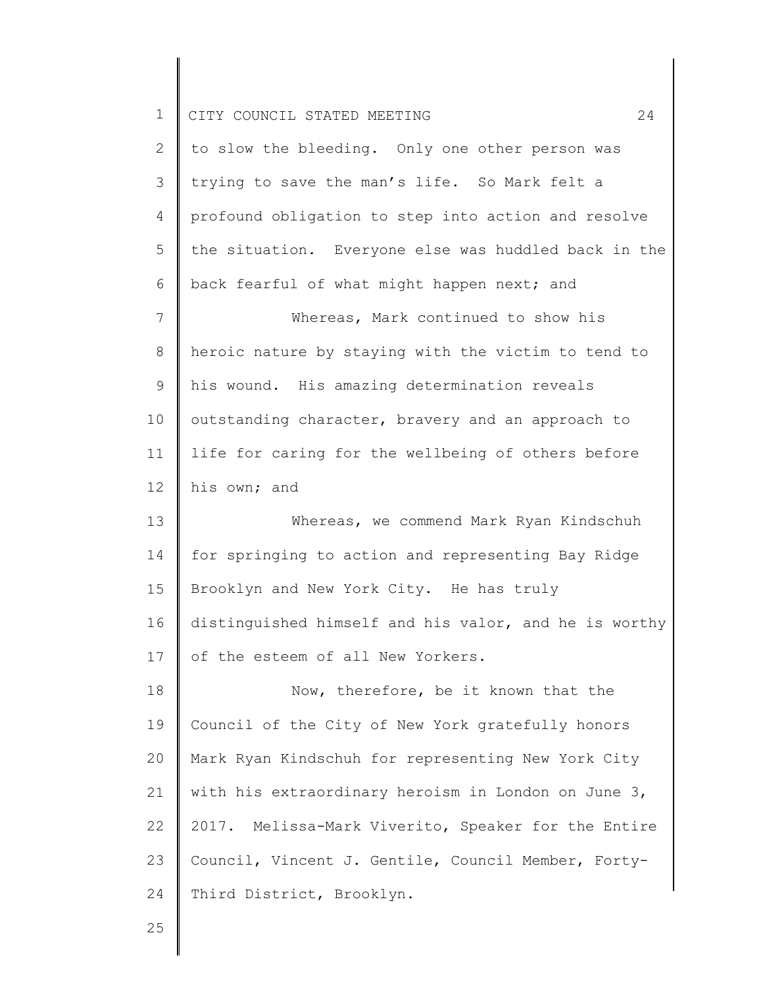| $\mathbf 1$     | 24<br>CITY COUNCIL STATED MEETING                     |
|-----------------|-------------------------------------------------------|
| 2               | to slow the bleeding. Only one other person was       |
| 3               | trying to save the man's life. So Mark felt a         |
| 4               | profound obligation to step into action and resolve   |
| 5               | the situation. Everyone else was huddled back in the  |
| 6               | back fearful of what might happen next; and           |
| 7               | Whereas, Mark continued to show his                   |
| $8\,$           | heroic nature by staying with the victim to tend to   |
| 9               | his wound. His amazing determination reveals          |
| 10              | outstanding character, bravery and an approach to     |
| 11              | life for caring for the wellbeing of others before    |
| 12 <sup>°</sup> | his own; and                                          |
| 13              | Whereas, we commend Mark Ryan Kindschuh               |
| 14              | for springing to action and representing Bay Ridge    |
| 15              | Brooklyn and New York City. He has truly              |
| 16              | distinguished himself and his valor, and he is worthy |
| 17              | of the esteem of all New Yorkers.                     |
| 18              | Now, therefore, be it known that the                  |
| 19              | Council of the City of New York gratefully honors     |
| 20              | Mark Ryan Kindschuh for representing New York City    |
| 21              | with his extraordinary heroism in London on June 3,   |
| 22              | 2017. Melissa-Mark Viverito, Speaker for the Entire   |
| 23              | Council, Vincent J. Gentile, Council Member, Forty-   |
| 24              | Third District, Brooklyn.                             |
| $\cap$          |                                                       |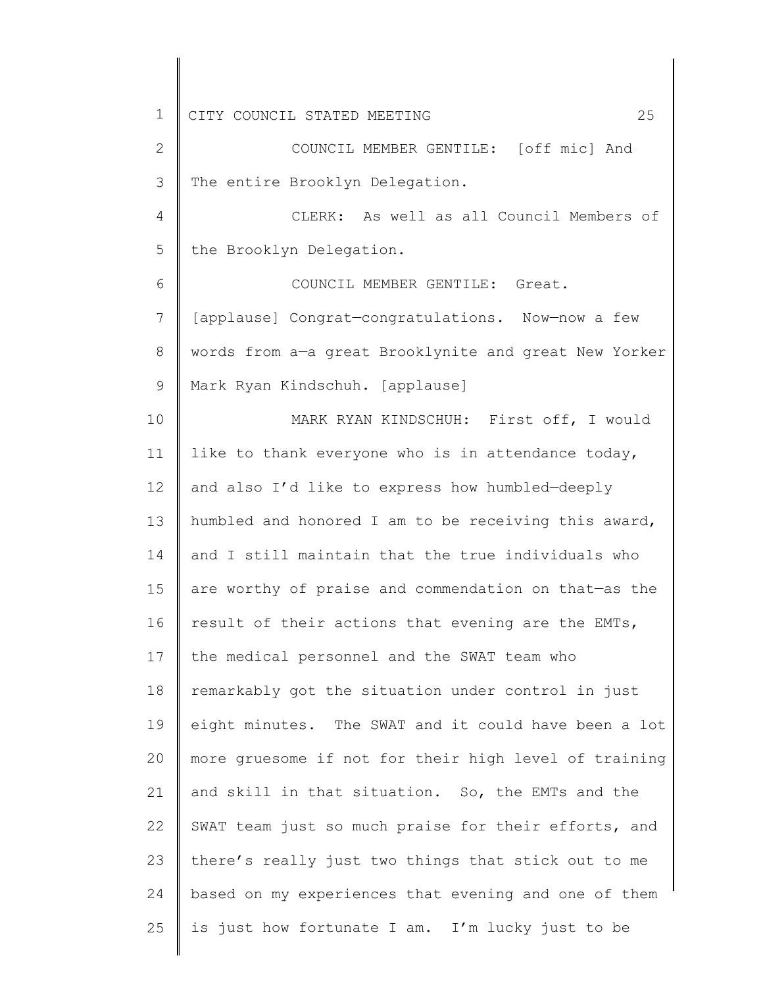2 3 COUNCIL MEMBER GENTILE: [off mic] And The entire Brooklyn Delegation.

4 5 CLERK: As well as all Council Members of the Brooklyn Delegation.

6 7 8 9 COUNCIL MEMBER GENTILE: Great. [applause] Congrat—congratulations. Now—now a few words from a—a great Brooklynite and great New Yorker Mark Ryan Kindschuh. [applause]

10 11 12 13 14 15 16 17 18 19 20 21 22 23 24 25 MARK RYAN KINDSCHUH: First off, I would like to thank everyone who is in attendance today, and also I'd like to express how humbled—deeply humbled and honored I am to be receiving this award, and I still maintain that the true individuals who are worthy of praise and commendation on that—as the result of their actions that evening are the EMTs, the medical personnel and the SWAT team who remarkably got the situation under control in just eight minutes. The SWAT and it could have been a lot more gruesome if not for their high level of training and skill in that situation. So, the EMTs and the SWAT team just so much praise for their efforts, and there's really just two things that stick out to me based on my experiences that evening and one of them is just how fortunate I am. I'm lucky just to be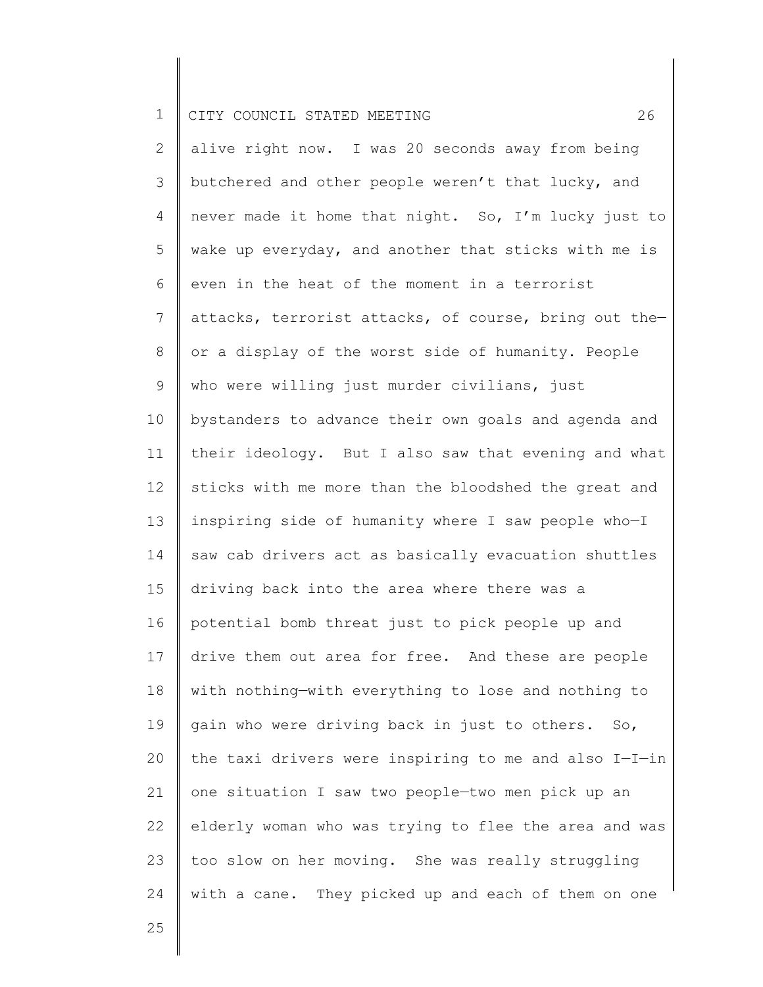2 3 4 5 6 7 8 9 10 11 12 13 14 15 16 17 18 19 20 21 22 23 24 alive right now. I was 20 seconds away from being butchered and other people weren't that lucky, and never made it home that night. So, I'm lucky just to wake up everyday, and another that sticks with me is even in the heat of the moment in a terrorist attacks, terrorist attacks, of course, bring out the or a display of the worst side of humanity. People who were willing just murder civilians, just bystanders to advance their own goals and agenda and their ideology. But I also saw that evening and what sticks with me more than the bloodshed the great and inspiring side of humanity where I saw people who—I saw cab drivers act as basically evacuation shuttles driving back into the area where there was a potential bomb threat just to pick people up and drive them out area for free. And these are people with nothing—with everything to lose and nothing to gain who were driving back in just to others. So, the taxi drivers were inspiring to me and also I—I—in one situation I saw two people—two men pick up an elderly woman who was trying to flee the area and was too slow on her moving. She was really struggling with a cane. They picked up and each of them on one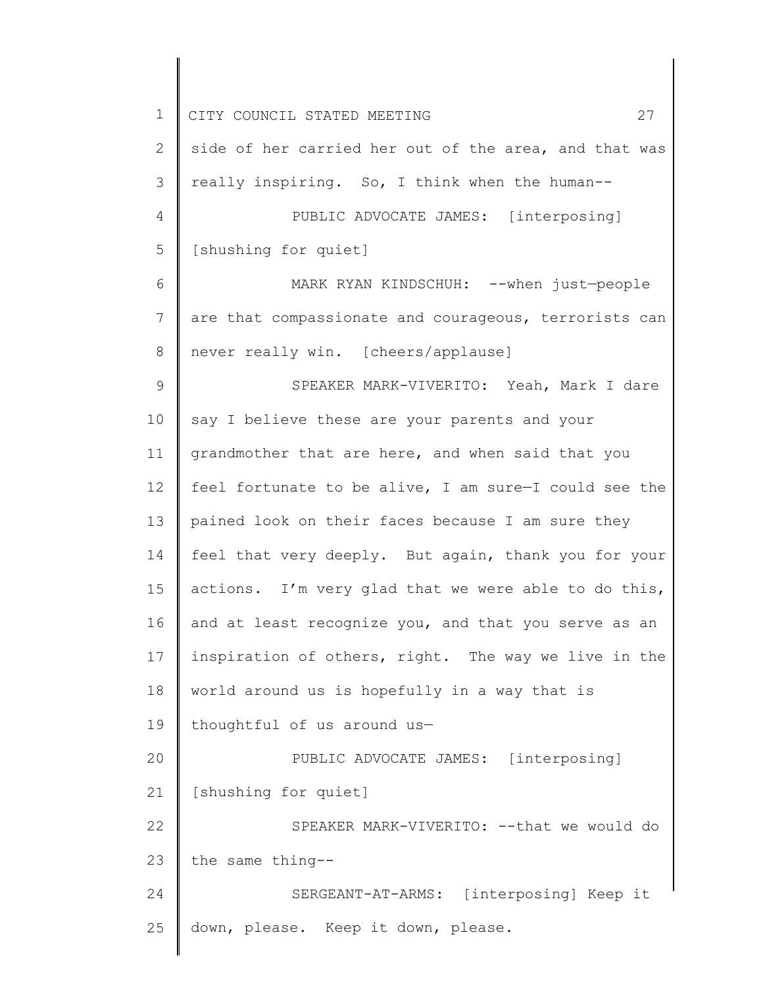| $\mathbf 1$    | 27<br>CITY COUNCIL STATED MEETING                     |
|----------------|-------------------------------------------------------|
| 2              | side of her carried her out of the area, and that was |
| 3              | really inspiring. So, I think when the human--        |
| 4              | PUBLIC ADVOCATE JAMES: [interposing]                  |
| 5              | [shushing for quiet]                                  |
| 6              | MARK RYAN KINDSCHUH: -- when just-people              |
| $\overline{7}$ | are that compassionate and courageous, terrorists can |
| 8              | never really win. [cheers/applause]                   |
| $\mathsf 9$    | SPEAKER MARK-VIVERITO: Yeah, Mark I dare              |
| 10             | say I believe these are your parents and your         |
| 11             | grandmother that are here, and when said that you     |
| 12             | feel fortunate to be alive, I am sure-I could see the |
| 13             | pained look on their faces because I am sure they     |
| 14             | feel that very deeply. But again, thank you for your  |
| 15             | actions. I'm very glad that we were able to do this,  |
| 16             | and at least recognize you, and that you serve as an  |
| 17             | inspiration of others, right. The way we live in the  |
| 18             | world around us is hopefully in a way that is         |
| 19             | thoughtful of us around us-                           |
| 20             | PUBLIC ADVOCATE JAMES: [interposing]                  |
| 21             | [shushing for quiet]                                  |
| 22             | SPEAKER MARK-VIVERITO: -- that we would do            |
| 23             | the same thing--                                      |
| 24             | SERGEANT-AT-ARMS: [interposing] Keep it               |
| 25             | down, please. Keep it down, please.                   |
|                |                                                       |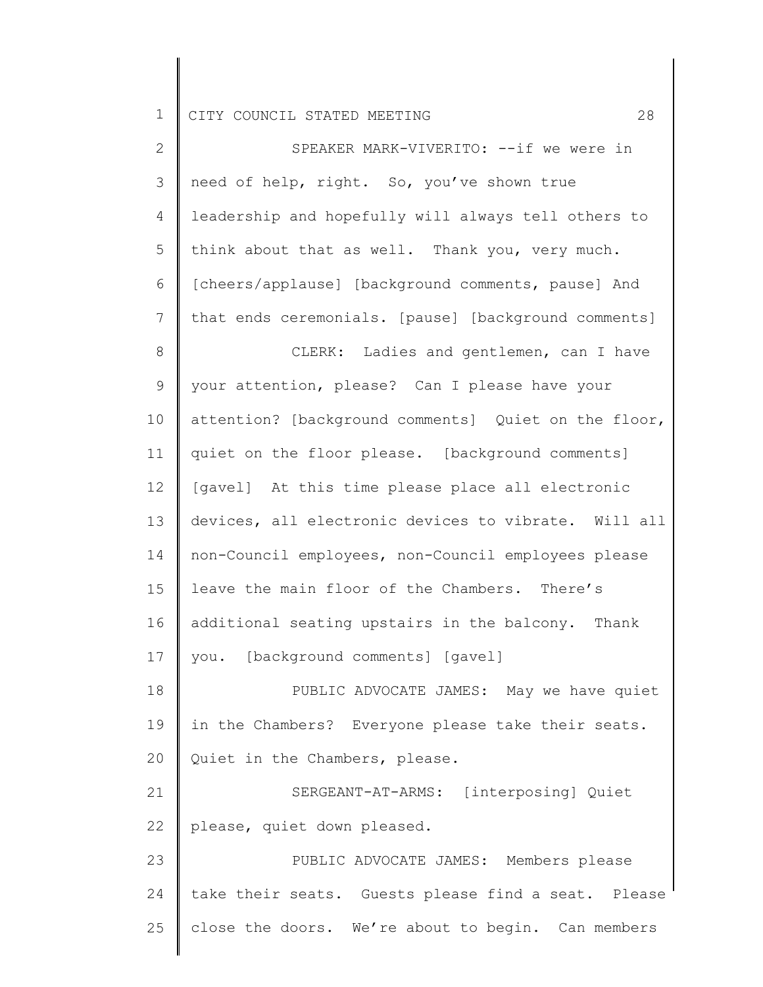| $\overline{2}$  | SPEAKER MARK-VIVERITO: --if we were in               |
|-----------------|------------------------------------------------------|
| 3               | need of help, right. So, you've shown true           |
| 4               | leadership and hopefully will always tell others to  |
| 5               | think about that as well. Thank you, very much.      |
| 6               | [cheers/applause] [background comments, pause] And   |
| $7\phantom{.0}$ | that ends ceremonials. [pause] [background comments] |
| $8\,$           | CLERK: Ladies and gentlemen, can I have              |
| 9               | your attention, please? Can I please have your       |
| 10              | attention? [background comments] Quiet on the floor, |
| 11              | quiet on the floor please. [background comments]     |
| 12              | [gavel] At this time please place all electronic     |
| 13              | devices, all electronic devices to vibrate. Will all |
| 14              | non-Council employees, non-Council employees please  |
| 15              | leave the main floor of the Chambers. There's        |
| 16              | additional seating upstairs in the balcony. Thank    |
| 17              | [background comments] [gavel]<br>you.                |
| 18              | PUBLIC ADVOCATE JAMES: May we have quiet             |
| 19              | in the Chambers? Everyone please take their seats.   |
| 20              | Quiet in the Chambers, please.                       |
| 21              | SERGEANT-AT-ARMS: [interposing] Quiet                |
| 22              | please, quiet down pleased.                          |
| 23              | PUBLIC ADVOCATE JAMES: Members please                |
| 24              | take their seats. Guests please find a seat. Please  |
| 25              | close the doors. We're about to begin. Can members   |
|                 |                                                      |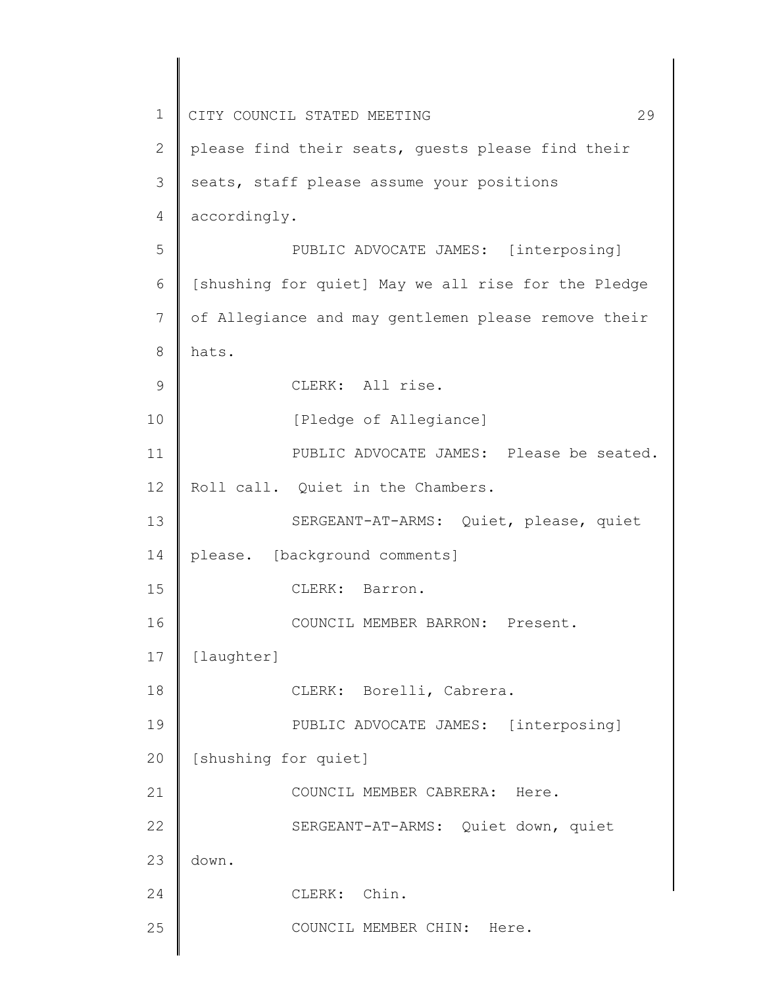| $\mathbf 1$ | 29<br>CITY COUNCIL STATED MEETING                   |
|-------------|-----------------------------------------------------|
| 2           | please find their seats, guests please find their   |
| 3           | seats, staff please assume your positions           |
| 4           | accordingly.                                        |
| 5           | PUBLIC ADVOCATE JAMES: [interposing]                |
| 6           | [shushing for quiet] May we all rise for the Pledge |
| 7           | of Allegiance and may gentlemen please remove their |
| 8           | hats.                                               |
| $\mathsf 9$ | CLERK: All rise.                                    |
| 10          | [Pledge of Allegiance]                              |
| 11          | PUBLIC ADVOCATE JAMES: Please be seated.            |
| 12          | Roll call. Quiet in the Chambers.                   |
| 13          | SERGEANT-AT-ARMS: Quiet, please, quiet              |
| 14          | please. [background comments]                       |
| 15          | CLERK: Barron.                                      |
| 16          | COUNCIL MEMBER BARRON: Present.                     |
| 17          | [laughter]                                          |
| 18          | CLERK: Borelli, Cabrera.                            |
| 19          | PUBLIC ADVOCATE JAMES: [interposing]                |
| 20          | [shushing for quiet]                                |
| 21          | COUNCIL MEMBER CABRERA: Here.                       |
| 22          | SERGEANT-AT-ARMS: Quiet down, quiet                 |
| 23          | down.                                               |
| 24          | Chin.<br>CLERK:                                     |
| 25          | COUNCIL MEMBER CHIN: Here.                          |
|             |                                                     |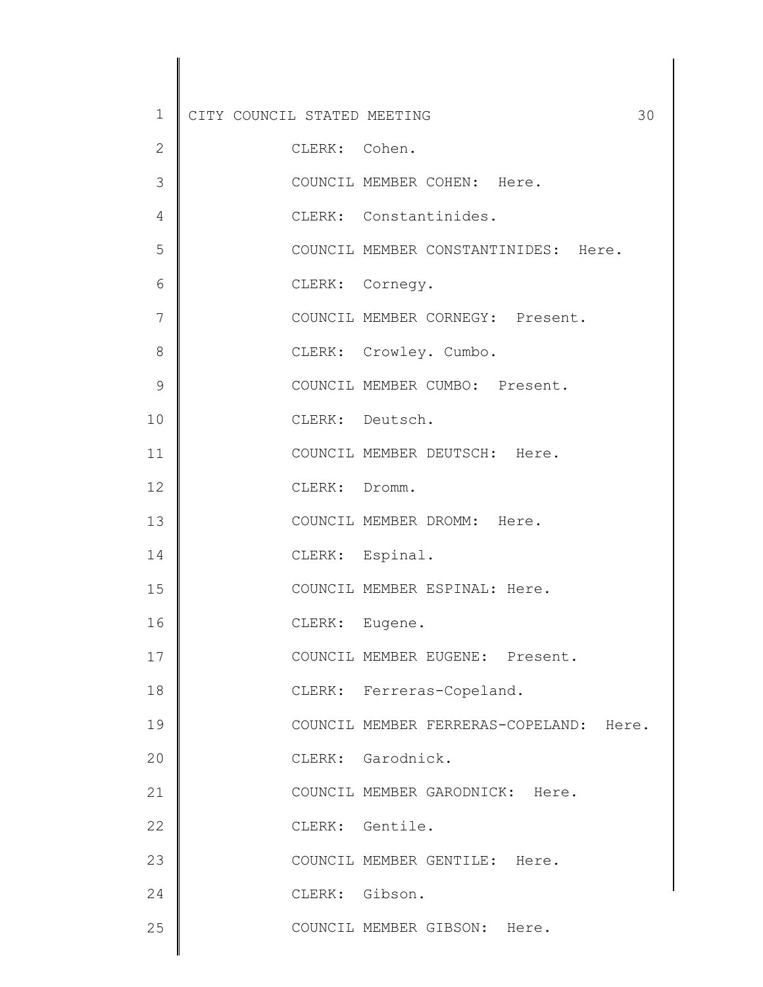| $\mathbf 1$  | CITY COUNCIL STATED MEETING |                                         | 30 |
|--------------|-----------------------------|-----------------------------------------|----|
| $\mathbf{2}$ | CLERK: Cohen.               |                                         |    |
| 3            |                             | COUNCIL MEMBER COHEN: Here.             |    |
| 4            |                             | CLERK: Constantinides.                  |    |
| 5            |                             | COUNCIL MEMBER CONSTANTINIDES: Here.    |    |
| 6            |                             | CLERK: Cornegy.                         |    |
| 7            |                             | COUNCIL MEMBER CORNEGY: Present.        |    |
| 8            |                             | CLERK: Crowley. Cumbo.                  |    |
| 9            |                             | COUNCIL MEMBER CUMBO: Present.          |    |
| 10           |                             | CLERK: Deutsch.                         |    |
| 11           |                             | COUNCIL MEMBER DEUTSCH: Here.           |    |
| 12           | CLERK: Dromm.               |                                         |    |
| 13           |                             | COUNCIL MEMBER DROMM: Here.             |    |
| 14           |                             | CLERK: Espinal.                         |    |
| 15           |                             | COUNCIL MEMBER ESPINAL: Here.           |    |
| 16           | CLERK: Eugene.              |                                         |    |
| 17           |                             | COUNCIL MEMBER EUGENE: Present.         |    |
| 18           |                             | CLERK: Ferreras-Copeland.               |    |
| 19           |                             | COUNCIL MEMBER FERRERAS-COPELAND: Here. |    |
| 20           |                             | CLERK: Garodnick.                       |    |
| 21           |                             | COUNCIL MEMBER GARODNICK: Here.         |    |
| 22           |                             | CLERK: Gentile.                         |    |
| 23           |                             | COUNCIL MEMBER GENTILE: Here.           |    |
| 24           | CLERK: Gibson.              |                                         |    |
| 25           |                             | COUNCIL MEMBER GIBSON: Here.            |    |

 $\begin{array}{c} \hline \end{array}$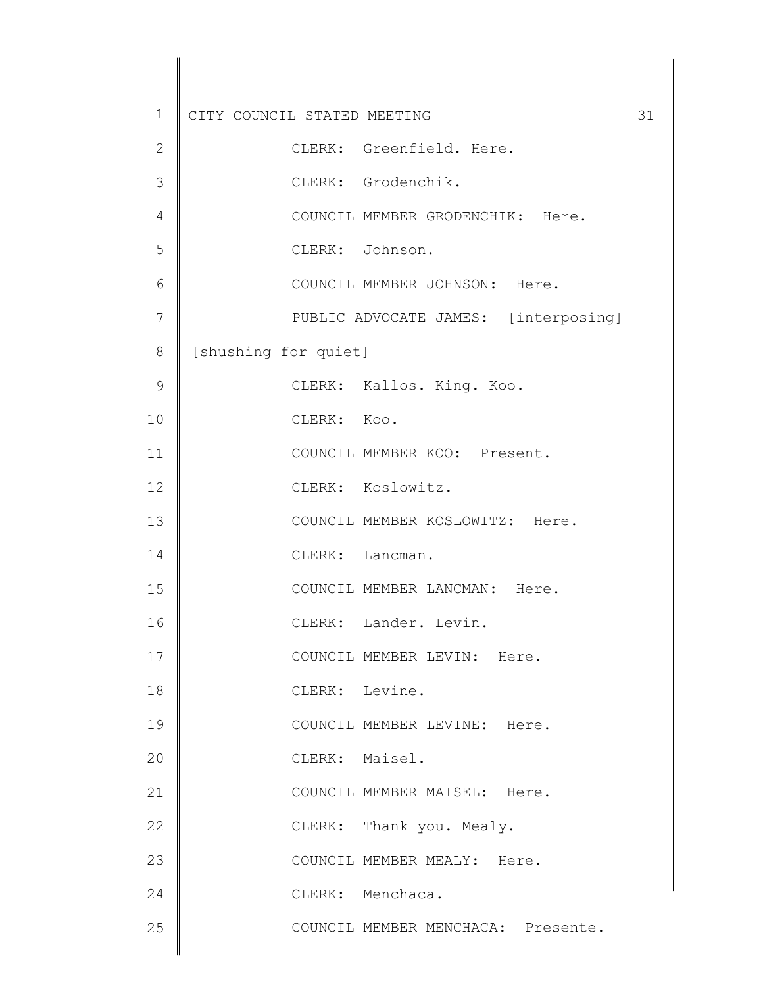| $\mathbf 1$   | CITY COUNCIL STATED MEETING          | 31 |
|---------------|--------------------------------------|----|
| $\mathbf{2}$  | CLERK: Greenfield. Here.             |    |
| 3             | CLERK: Grodenchik.                   |    |
| 4             | COUNCIL MEMBER GRODENCHIK: Here.     |    |
| 5             | CLERK: Johnson.                      |    |
| 6             | COUNCIL MEMBER JOHNSON: Here.        |    |
| 7             | PUBLIC ADVOCATE JAMES: [interposing] |    |
| 8             | [shushing for quiet]                 |    |
| $\mathcal{G}$ | CLERK: Kallos. King. Koo.            |    |
| 10            | CLERK: Koo.                          |    |
| 11            | COUNCIL MEMBER KOO: Present.         |    |
| 12            | CLERK: Koslowitz.                    |    |
| 13            | COUNCIL MEMBER KOSLOWITZ: Here.      |    |
| 14            | CLERK: Lancman.                      |    |
| 15            | COUNCIL MEMBER LANCMAN: Here.        |    |
| 16            | CLERK: Lander. Levin.                |    |
| 17            | COUNCIL MEMBER LEVIN: Here.          |    |
| 18            | CLERK: Levine.                       |    |
| 19            | COUNCIL MEMBER LEVINE: Here.         |    |
| 20            | CLERK: Maisel.                       |    |
| 21            | COUNCIL MEMBER MAISEL: Here.         |    |
| 22            | CLERK: Thank you. Mealy.             |    |
| 23            | COUNCIL MEMBER MEALY: Here.          |    |
| 24            | CLERK: Menchaca.                     |    |
| 25            | COUNCIL MEMBER MENCHACA: Presente.   |    |
|               |                                      |    |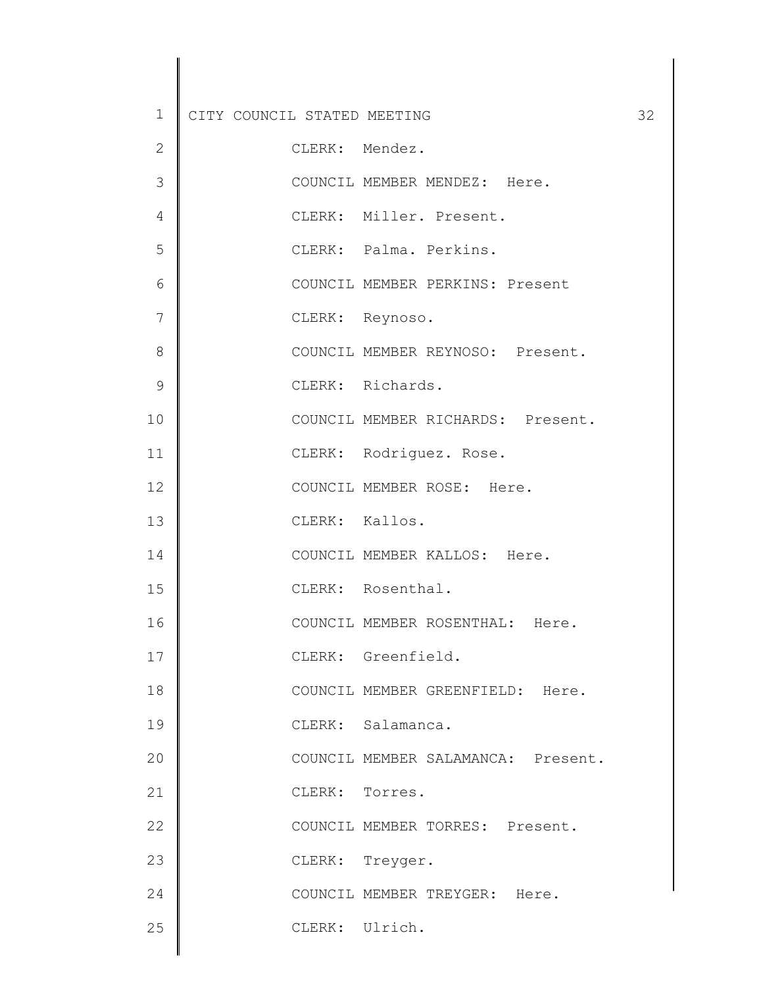| $\mathbf 1$   | CITY COUNCIL STATED MEETING |                                    | 32 |
|---------------|-----------------------------|------------------------------------|----|
| $\mathbf{2}$  | CLERK: Mendez.              |                                    |    |
| 3             |                             | COUNCIL MEMBER MENDEZ: Here.       |    |
| 4             |                             | CLERK: Miller. Present.            |    |
| 5             |                             | CLERK: Palma. Perkins.             |    |
| 6             |                             | COUNCIL MEMBER PERKINS: Present    |    |
| 7             | CLERK: Reynoso.             |                                    |    |
| 8             |                             | COUNCIL MEMBER REYNOSO: Present.   |    |
| $\mathcal{G}$ |                             | CLERK: Richards.                   |    |
| 10            |                             | COUNCIL MEMBER RICHARDS: Present.  |    |
| 11            |                             | CLERK: Rodriguez. Rose.            |    |
| 12            |                             | COUNCIL MEMBER ROSE: Here.         |    |
| 13            | CLERK: Kallos.              |                                    |    |
| 14            |                             | COUNCIL MEMBER KALLOS: Here.       |    |
| 15            |                             | CLERK: Rosenthal.                  |    |
| 16            |                             | COUNCIL MEMBER ROSENTHAL: Here.    |    |
| 17            |                             | CLERK: Greenfield.                 |    |
| 18            |                             | COUNCIL MEMBER GREENFIELD: Here.   |    |
| 19            |                             | CLERK: Salamanca.                  |    |
| 20            |                             | COUNCIL MEMBER SALAMANCA: Present. |    |
| 21            | CLERK: Torres.              |                                    |    |
| 22            |                             | COUNCIL MEMBER TORRES: Present.    |    |
| 23            | CLERK: Treyger.             |                                    |    |
| 24            |                             | COUNCIL MEMBER TREYGER: Here.      |    |
| 25            | CLERK: Ulrich.              |                                    |    |
|               |                             |                                    |    |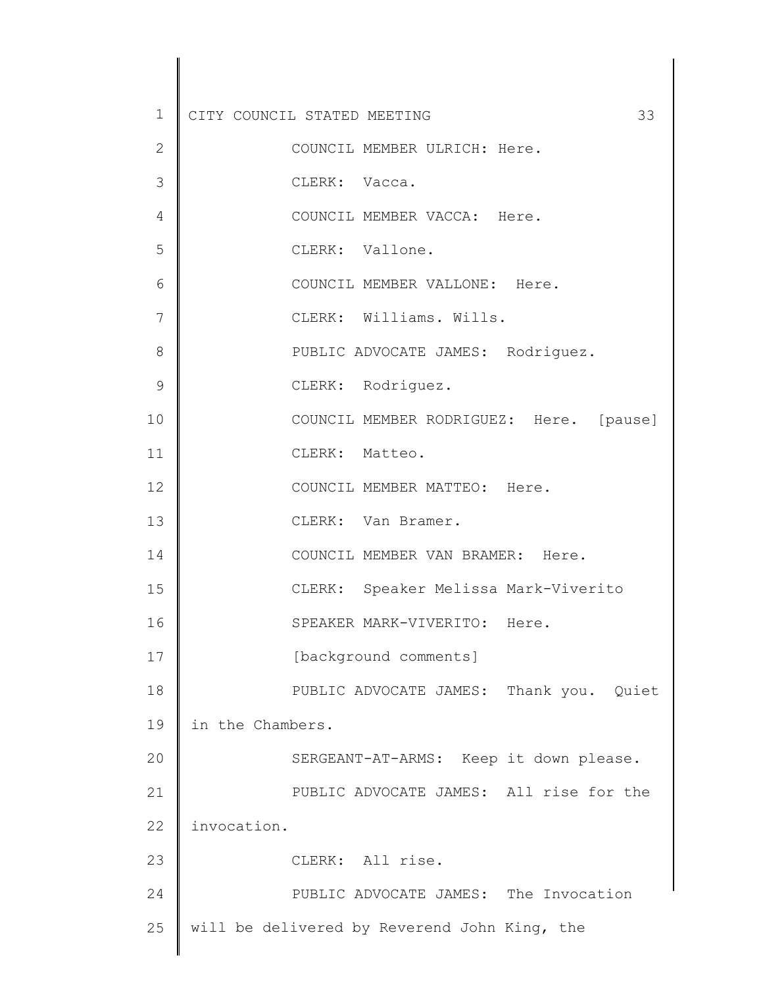| $\mathbf 1$  | CITY COUNCIL STATED MEETING<br>33            |
|--------------|----------------------------------------------|
| $\mathbf{2}$ | COUNCIL MEMBER ULRICH: Here.                 |
| 3            | CLERK: Vacca.                                |
| 4            | COUNCIL MEMBER VACCA: Here.                  |
| 5            | CLERK: Vallone.                              |
| 6            | COUNCIL MEMBER VALLONE: Here.                |
| 7            | CLERK: Williams. Wills.                      |
| 8            | PUBLIC ADVOCATE JAMES: Rodriguez.            |
| 9            | CLERK: Rodriguez.                            |
| 10           | COUNCIL MEMBER RODRIGUEZ: Here. [pause]      |
| 11           | CLERK: Matteo.                               |
| 12           | COUNCIL MEMBER MATTEO: Here.                 |
| 13           | CLERK: Van Bramer.                           |
| 14           | COUNCIL MEMBER VAN BRAMER: Here.             |
| 15           | CLERK: Speaker Melissa Mark-Viverito         |
| 16           | SPEAKER MARK-VIVERITO: Here.                 |
| 17           | [background comments]                        |
| 18           | PUBLIC ADVOCATE JAMES: Thank you. Quiet      |
| 19           | in the Chambers.                             |
| 20           | SERGEANT-AT-ARMS: Keep it down please.       |
| 21           | PUBLIC ADVOCATE JAMES: All rise for the      |
| 22           | invocation.                                  |
| 23           | CLERK: All rise.                             |
| 24           | PUBLIC ADVOCATE JAMES: The Invocation        |
| 25           | will be delivered by Reverend John King, the |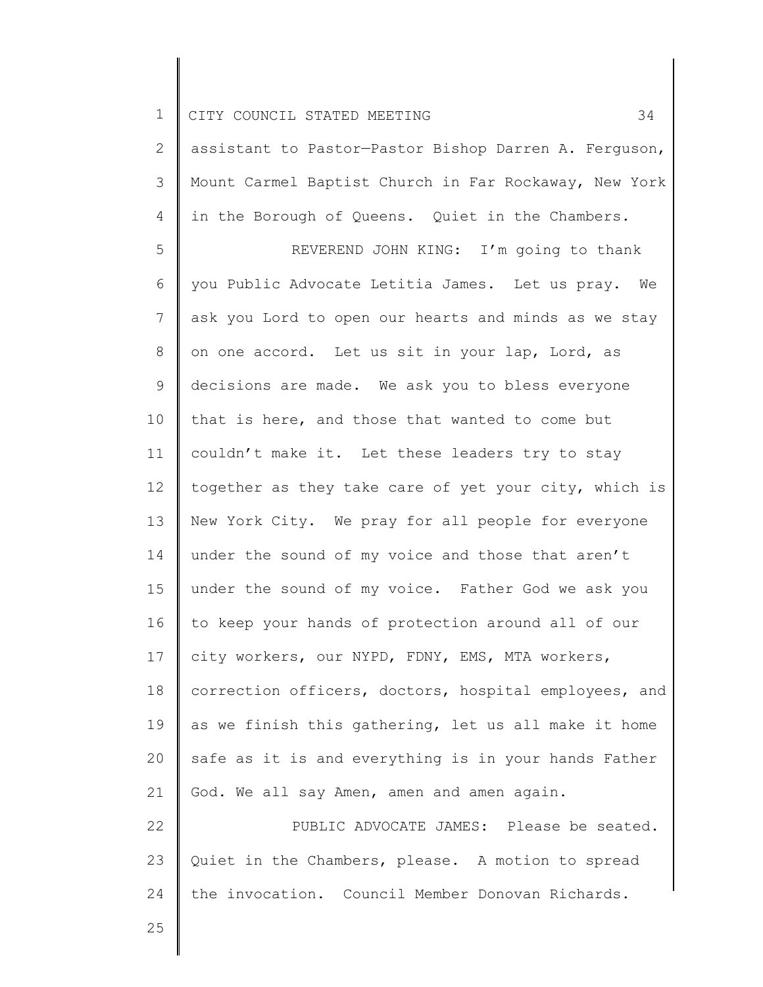2 3 4 assistant to Pastor—Pastor Bishop Darren A. Ferguson, Mount Carmel Baptist Church in Far Rockaway, New York in the Borough of Queens. Quiet in the Chambers.

5 6 7 8 9 10 11 12 13 14 15 16 17 18 19 20 21 REVEREND JOHN KING: I'm going to thank you Public Advocate Letitia James. Let us pray. We ask you Lord to open our hearts and minds as we stay on one accord. Let us sit in your lap, Lord, as decisions are made. We ask you to bless everyone that is here, and those that wanted to come but couldn't make it. Let these leaders try to stay together as they take care of yet your city, which is New York City. We pray for all people for everyone under the sound of my voice and those that aren't under the sound of my voice. Father God we ask you to keep your hands of protection around all of our city workers, our NYPD, FDNY, EMS, MTA workers, correction officers, doctors, hospital employees, and as we finish this gathering, let us all make it home safe as it is and everything is in your hands Father God. We all say Amen, amen and amen again.

22 23 24 PUBLIC ADVOCATE JAMES: Please be seated. Quiet in the Chambers, please. A motion to spread the invocation. Council Member Donovan Richards.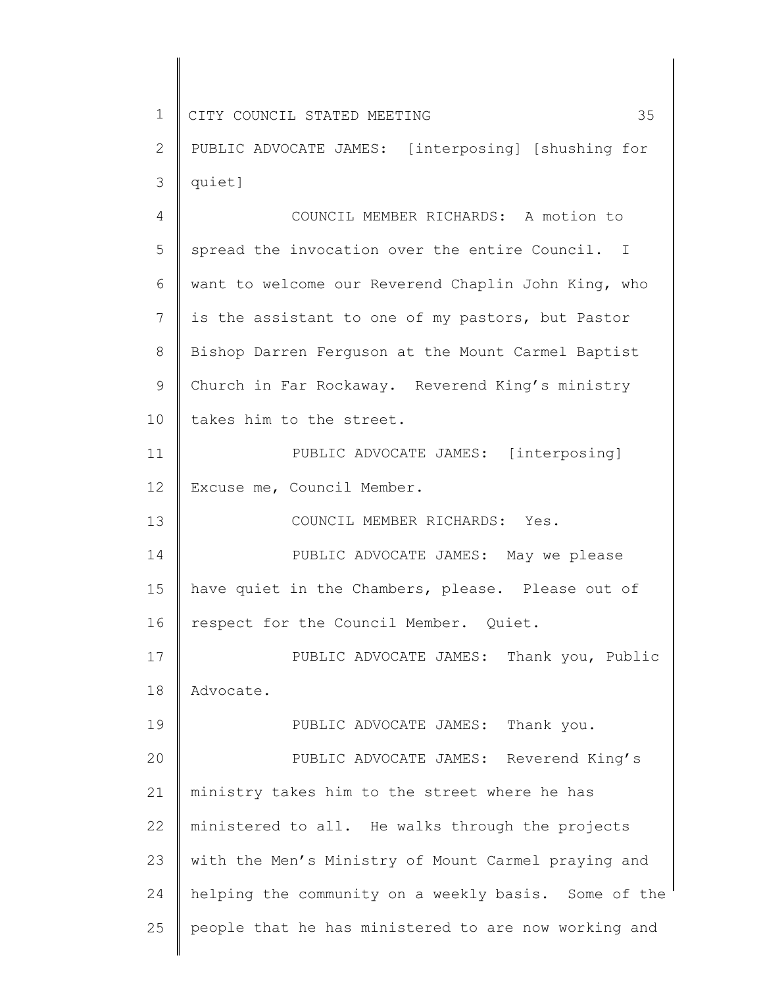1 2 3 4 5 6 7 8 9 10 11 12 13 14 15 16 17 18 19 20 21 22 23 24 25 CITY COUNCIL STATED MEETING 35 PUBLIC ADVOCATE JAMES: [interposing] [shushing for quiet] COUNCIL MEMBER RICHARDS: A motion to spread the invocation over the entire Council. I want to welcome our Reverend Chaplin John King, who is the assistant to one of my pastors, but Pastor Bishop Darren Ferguson at the Mount Carmel Baptist Church in Far Rockaway. Reverend King's ministry takes him to the street. PUBLIC ADVOCATE JAMES: [interposing] Excuse me, Council Member. COUNCIL MEMBER RICHARDS: Yes. PUBLIC ADVOCATE JAMES: May we please have quiet in the Chambers, please. Please out of respect for the Council Member. Quiet. PUBLIC ADVOCATE JAMES: Thank you, Public Advocate. PUBLIC ADVOCATE JAMES: Thank you. PUBLIC ADVOCATE JAMES: Reverend King's ministry takes him to the street where he has ministered to all. He walks through the projects with the Men's Ministry of Mount Carmel praying and helping the community on a weekly basis. Some of the people that he has ministered to are now working and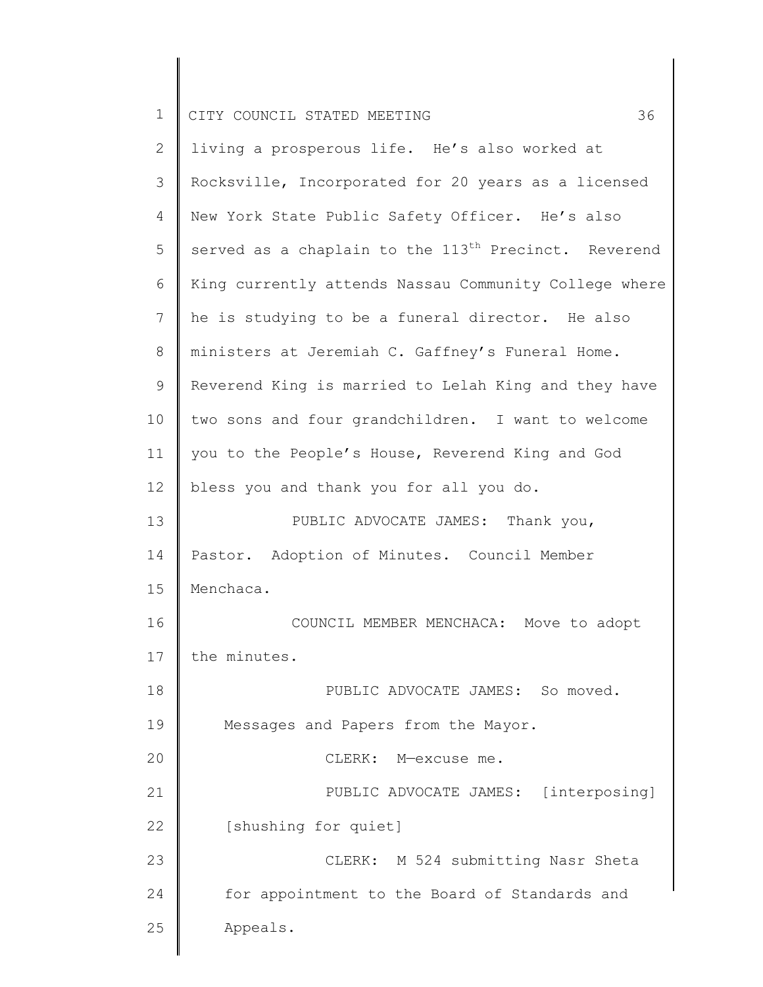| Τ. | CITY COUNCIL STATED MEETING |  |  |  |
|----|-----------------------------|--|--|--|
|    |                             |  |  |  |

| 2  | living a prosperous life. He's also worked at                    |
|----|------------------------------------------------------------------|
| 3  | Rocksville, Incorporated for 20 years as a licensed              |
| 4  | New York State Public Safety Officer. He's also                  |
| 5  | served as a chaplain to the 113 <sup>th</sup> Precinct. Reverend |
| 6  | King currently attends Nassau Community College where            |
| 7  | he is studying to be a funeral director. He also                 |
| 8  | ministers at Jeremiah C. Gaffney's Funeral Home.                 |
| 9  | Reverend King is married to Lelah King and they have             |
| 10 | two sons and four grandchildren. I want to welcome               |
| 11 | you to the People's House, Reverend King and God                 |
| 12 | bless you and thank you for all you do.                          |
| 13 | PUBLIC ADVOCATE JAMES: Thank you,                                |
| 14 | Pastor. Adoption of Minutes. Council Member                      |
| 15 | Menchaca.                                                        |
| 16 | COUNCIL MEMBER MENCHACA: Move to adopt                           |
| 17 | the minutes.                                                     |
| 18 | PUBLIC ADVOCATE JAMES: So moved.                                 |
| 19 | Messages and Papers from the Mayor.                              |
| 20 | CLERK: M-excuse me.                                              |
| 21 | PUBLIC ADVOCATE JAMES: [interposing]                             |
| 22 | [shushing for quiet]                                             |
| 23 | CLERK: M 524 submitting Nasr Sheta                               |
| 24 | for appointment to the Board of Standards and                    |
| 25 | Appeals.                                                         |
|    |                                                                  |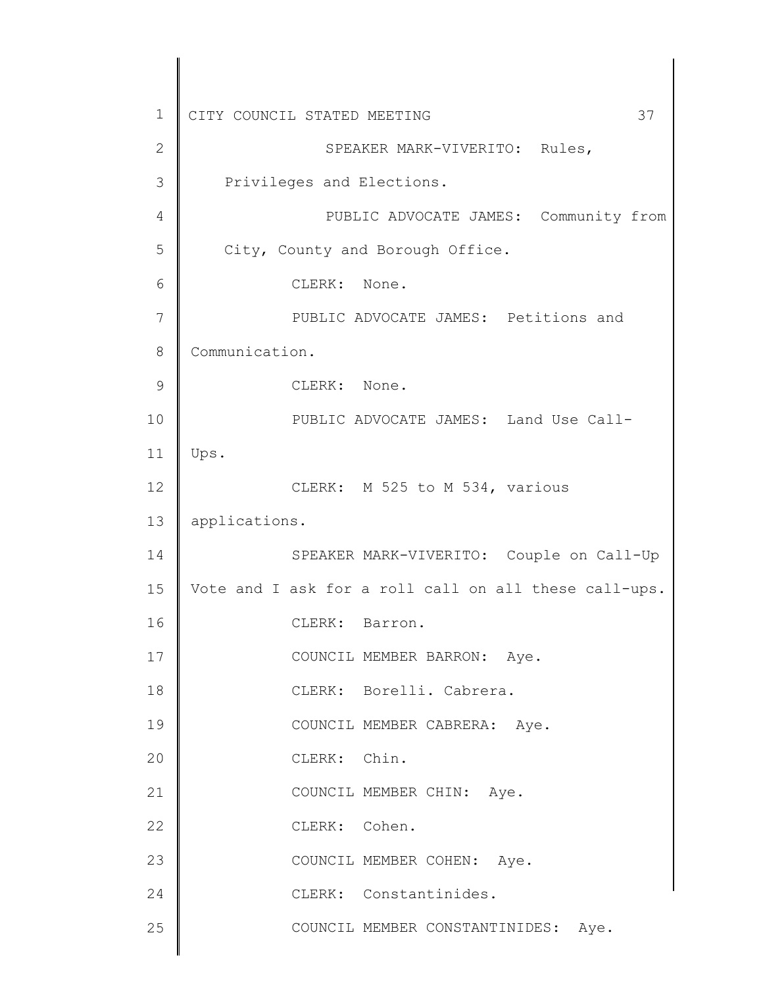| 37<br>CITY COUNCIL STATED MEETING                     |
|-------------------------------------------------------|
| SPEAKER MARK-VIVERITO: Rules,                         |
| Privileges and Elections.                             |
| PUBLIC ADVOCATE JAMES: Community from                 |
| City, County and Borough Office.                      |
| CLERK: None.                                          |
| PUBLIC ADVOCATE JAMES: Petitions and                  |
| Communication.                                        |
| CLERK: None.                                          |
| PUBLIC ADVOCATE JAMES: Land Use Call-                 |
| Ups.                                                  |
| CLERK: M 525 to M 534, various                        |
| applications.                                         |
| SPEAKER MARK-VIVERITO: Couple on Call-Up              |
| Vote and I ask for a roll call on all these call-ups. |
| CLERK: Barron.                                        |
| COUNCIL MEMBER BARRON: Aye.                           |
| CLERK: Borelli. Cabrera.                              |
| COUNCIL MEMBER CABRERA: Aye.                          |
| CLERK: Chin.                                          |
| COUNCIL MEMBER CHIN: Aye.                             |
| CLERK: Cohen.                                         |
| COUNCIL MEMBER COHEN: Aye.                            |
|                                                       |
| CLERK: Constantinides.                                |
|                                                       |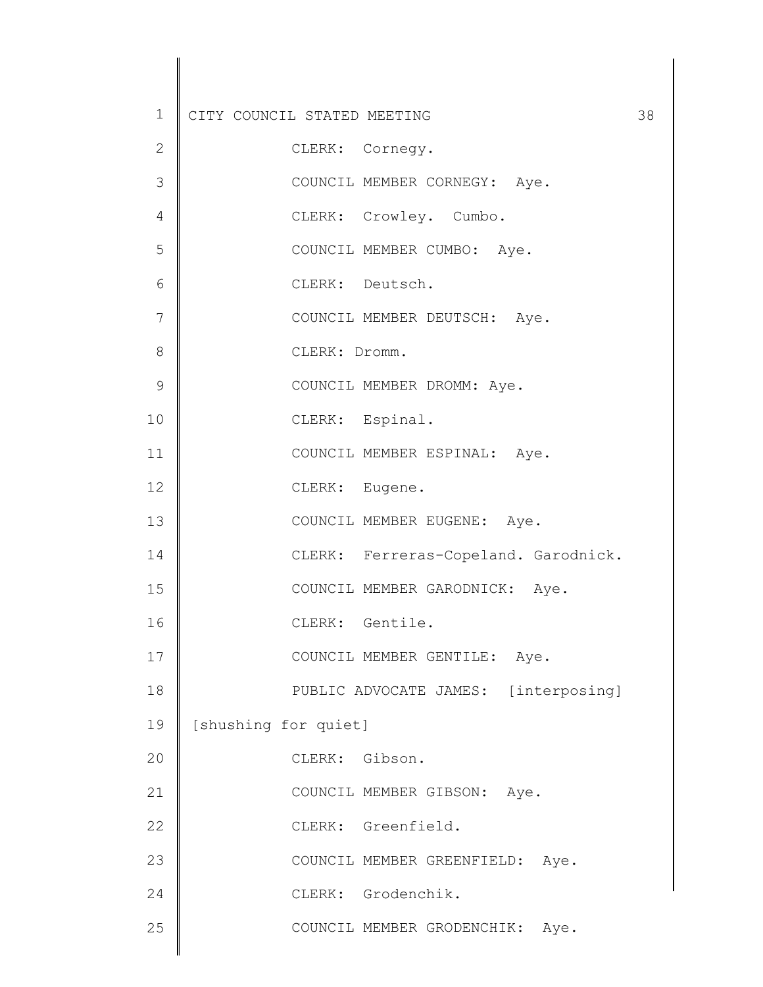| $\mathbf 1$   | CITY COUNCIL STATED MEETING          | 38 |
|---------------|--------------------------------------|----|
| $\mathbf{2}$  | CLERK: Cornegy.                      |    |
| 3             | COUNCIL MEMBER CORNEGY: Aye.         |    |
| 4             | CLERK: Crowley. Cumbo.               |    |
| 5             | COUNCIL MEMBER CUMBO: Aye.           |    |
| 6             | CLERK: Deutsch.                      |    |
| 7             | COUNCIL MEMBER DEUTSCH: Aye.         |    |
| 8             | CLERK: Dromm.                        |    |
| $\mathcal{G}$ | COUNCIL MEMBER DROMM: Aye.           |    |
| 10            | CLERK: Espinal.                      |    |
| 11            | COUNCIL MEMBER ESPINAL: Aye.         |    |
| 12            | CLERK: Eugene.                       |    |
| 13            | COUNCIL MEMBER EUGENE: Aye.          |    |
| 14            | CLERK: Ferreras-Copeland. Garodnick. |    |
| 15            | COUNCIL MEMBER GARODNICK: Aye.       |    |
| 16            | CLERK: Gentile.                      |    |
| 17            | COUNCIL MEMBER GENTILE: Aye.         |    |
| 18            | PUBLIC ADVOCATE JAMES: [interposing] |    |
| 19            | [shushing for quiet]                 |    |
| 20            | CLERK: Gibson.                       |    |
| 21            | COUNCIL MEMBER GIBSON: Aye.          |    |
| 22            | CLERK: Greenfield.                   |    |
| 23            | COUNCIL MEMBER GREENFIELD: Aye.      |    |
| 24            | CLERK: Grodenchik.                   |    |
| 25            | COUNCIL MEMBER GRODENCHIK: Aye.      |    |
|               |                                      |    |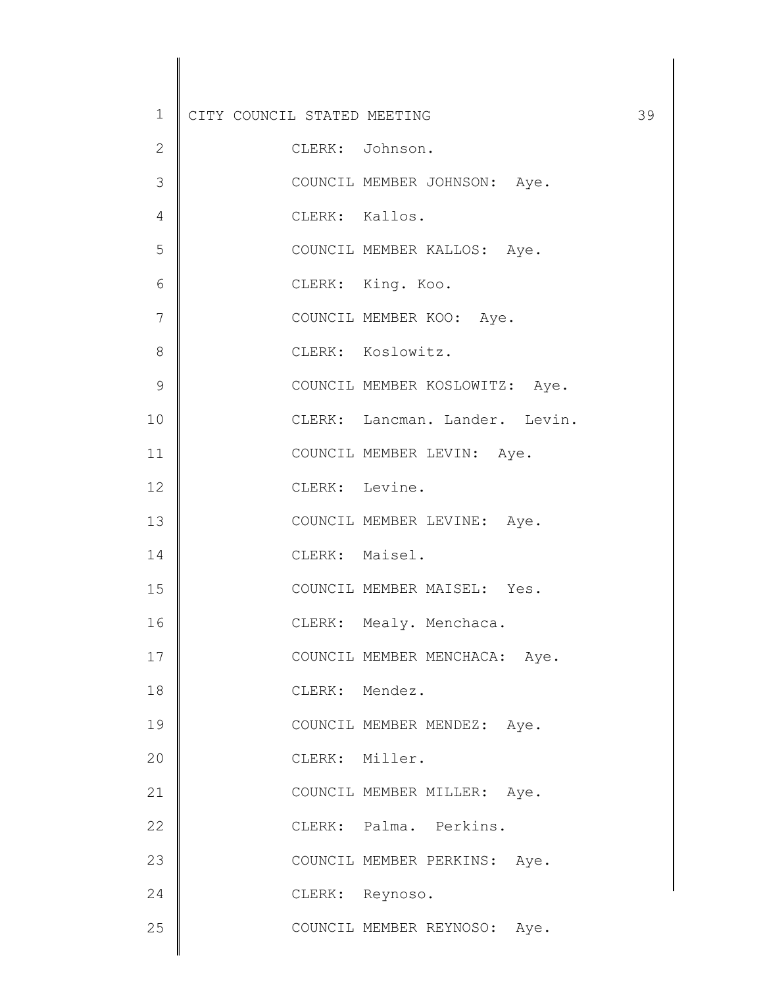| $\mathbf 1$    | CITY COUNCIL STATED MEETING |                                  | 39 |
|----------------|-----------------------------|----------------------------------|----|
| $\mathbf 2$    | CLERK: Johnson.             |                                  |    |
| 3              |                             | COUNCIL MEMBER JOHNSON: Aye.     |    |
| 4              | CLERK: Kallos.              |                                  |    |
| 5              |                             | COUNCIL MEMBER KALLOS: Aye.      |    |
| 6              | CLERK: King. Koo.           |                                  |    |
| $\overline{7}$ |                             | COUNCIL MEMBER KOO: Aye.         |    |
| 8              | CLERK: Koslowitz.           |                                  |    |
| 9              |                             | COUNCIL MEMBER KOSLOWITZ: Aye.   |    |
| 10             |                             | CLERK: Lancman. Lander. Levin.   |    |
| 11             |                             | COUNCIL MEMBER LEVIN: Aye.       |    |
| 12             | CLERK: Levine.              |                                  |    |
| 13             |                             | COUNCIL MEMBER LEVINE: Aye.      |    |
| 14             | CLERK: Maisel.              |                                  |    |
| 15             |                             | COUNCIL MEMBER MAISEL: Yes.      |    |
| 16             |                             | CLERK: Mealy. Menchaca.          |    |
| 17             |                             | COUNCIL MEMBER MENCHACA:<br>Aye. |    |
| 18             | CLERK: Mendez.              |                                  |    |
| 19             |                             | COUNCIL MEMBER MENDEZ: Aye.      |    |
| 20             | CLERK: Miller.              |                                  |    |
| 21             |                             | COUNCIL MEMBER MILLER: Aye.      |    |
| 22             |                             | CLERK: Palma. Perkins.           |    |
| 23             |                             | COUNCIL MEMBER PERKINS: Aye.     |    |
| 24             | CLERK: Reynoso.             |                                  |    |
| 25             |                             | COUNCIL MEMBER REYNOSO: Aye.     |    |
|                |                             |                                  |    |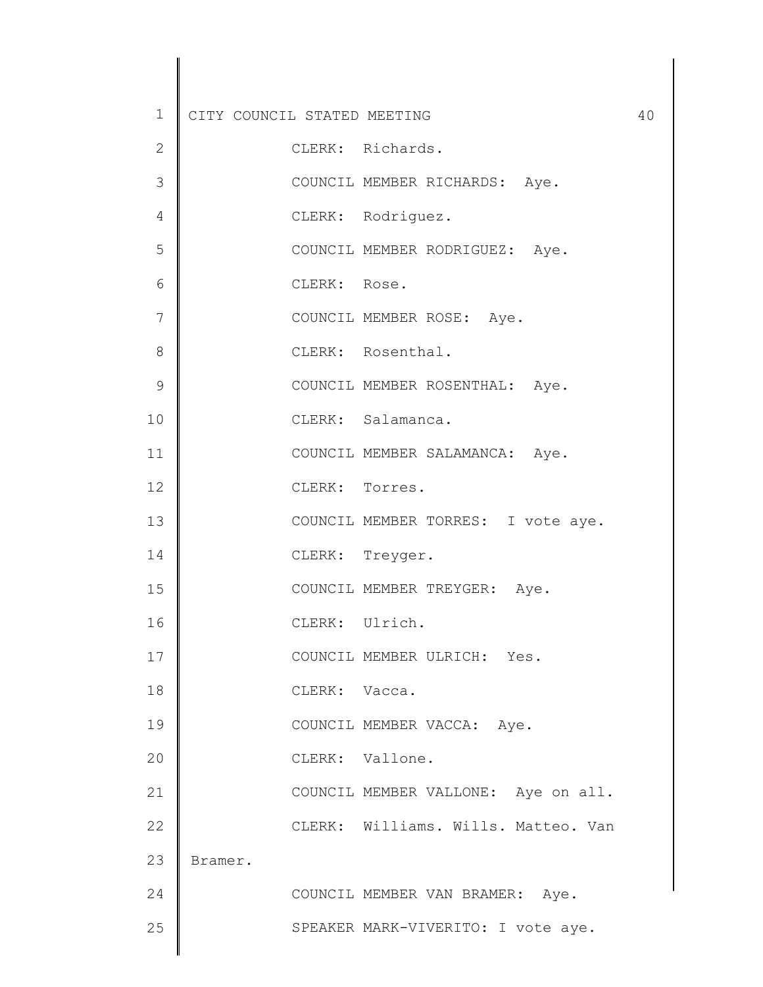| $\mathbf 1$   | CITY COUNCIL STATED MEETING |                |                                     | 40 |
|---------------|-----------------------------|----------------|-------------------------------------|----|
| 2             |                             |                | CLERK: Richards.                    |    |
| 3             |                             |                | COUNCIL MEMBER RICHARDS: Aye.       |    |
| 4             |                             |                | CLERK: Rodriguez.                   |    |
| 5             |                             |                | COUNCIL MEMBER RODRIGUEZ: Aye.      |    |
| 6             |                             | CLERK: Rose.   |                                     |    |
| 7             |                             |                | COUNCIL MEMBER ROSE: Aye.           |    |
| 8             |                             |                | CLERK: Rosenthal.                   |    |
| $\mathcal{G}$ |                             |                | COUNCIL MEMBER ROSENTHAL: Aye.      |    |
| 10            |                             |                | CLERK: Salamanca.                   |    |
| 11            |                             |                | COUNCIL MEMBER SALAMANCA: Aye.      |    |
| 12            |                             | CLERK: Torres. |                                     |    |
| 13            |                             |                | COUNCIL MEMBER TORRES: I vote aye.  |    |
| 14            |                             |                | CLERK: Treyger.                     |    |
| 15            |                             |                | COUNCIL MEMBER TREYGER: Aye.        |    |
| 16            |                             | CLERK: Ulrich. |                                     |    |
| 17            |                             |                | COUNCIL MEMBER ULRICH: Yes.         |    |
| 18            |                             | CLERK: Vacca.  |                                     |    |
| 19            |                             |                | COUNCIL MEMBER VACCA: Aye.          |    |
| 20            |                             |                | CLERK: Vallone.                     |    |
| 21            |                             |                | COUNCIL MEMBER VALLONE: Aye on all. |    |
| 22            |                             |                | CLERK: Williams. Wills. Matteo. Van |    |
| 23            | Bramer.                     |                |                                     |    |
| 24            |                             |                | COUNCIL MEMBER VAN BRAMER: Aye.     |    |
| 25            |                             |                | SPEAKER MARK-VIVERITO: I vote aye.  |    |
|               |                             |                |                                     |    |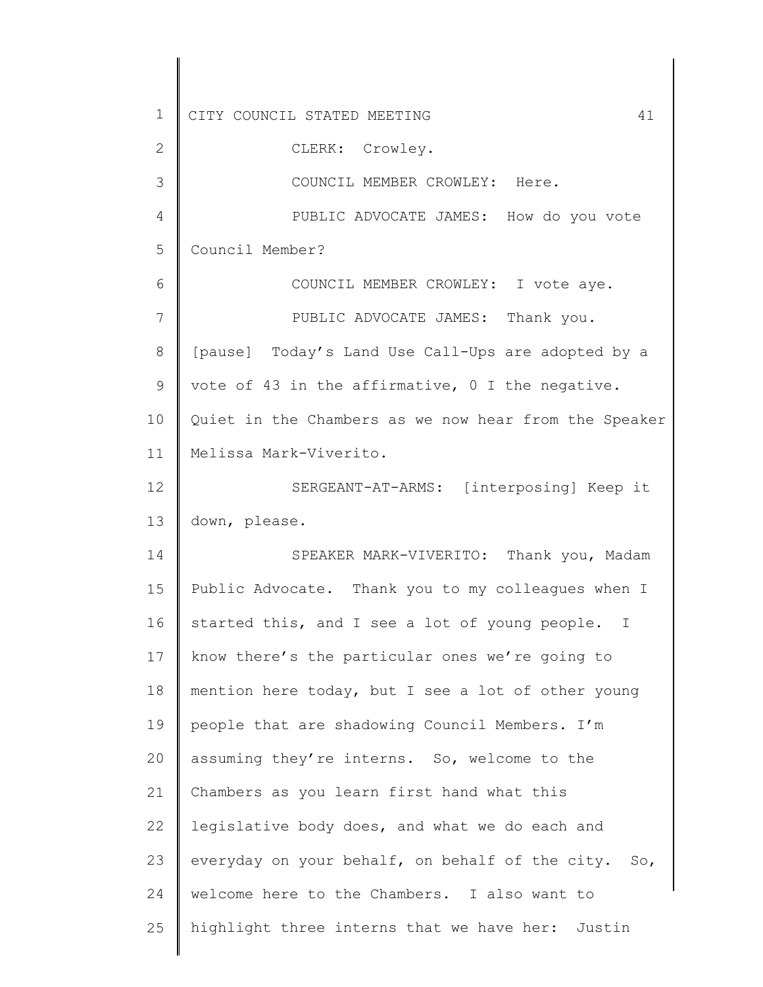1 2 3 4 5 6 7 8 9 10 11 12 13 14 15 16 17 18 19 20 21 22 23 24 25 CITY COUNCIL STATED MEETING 41 CLERK: Crowley. COUNCIL MEMBER CROWLEY: Here. PUBLIC ADVOCATE JAMES: How do you vote Council Member? COUNCIL MEMBER CROWLEY: I vote aye. PUBLIC ADVOCATE JAMES: Thank you. [pause] Today's Land Use Call-Ups are adopted by a vote of 43 in the affirmative, 0 I the negative. Quiet in the Chambers as we now hear from the Speaker Melissa Mark-Viverito. SERGEANT-AT-ARMS: [interposing] Keep it down, please. SPEAKER MARK-VIVERITO: Thank you, Madam Public Advocate. Thank you to my colleagues when I started this, and I see a lot of young people. I know there's the particular ones we're going to mention here today, but I see a lot of other young people that are shadowing Council Members. I'm assuming they're interns. So, welcome to the Chambers as you learn first hand what this legislative body does, and what we do each and everyday on your behalf, on behalf of the city. So, welcome here to the Chambers. I also want to highlight three interns that we have her: Justin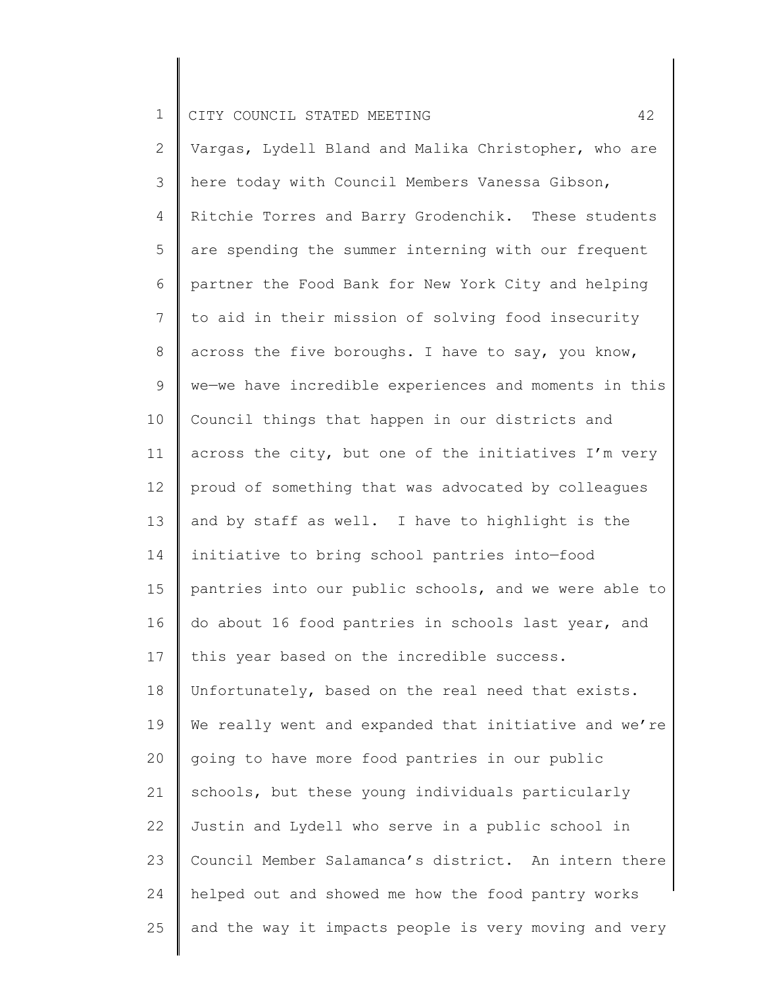2 3 4 5 6 7 8 9 10 11 12 13 14 15 16 17 18 19 20 21 22 23 24 25 Vargas, Lydell Bland and Malika Christopher, who are here today with Council Members Vanessa Gibson, Ritchie Torres and Barry Grodenchik. These students are spending the summer interning with our frequent partner the Food Bank for New York City and helping to aid in their mission of solving food insecurity across the five boroughs. I have to say, you know, we—we have incredible experiences and moments in this Council things that happen in our districts and across the city, but one of the initiatives I'm very proud of something that was advocated by colleagues and by staff as well. I have to highlight is the initiative to bring school pantries into—food pantries into our public schools, and we were able to do about 16 food pantries in schools last year, and this year based on the incredible success. Unfortunately, based on the real need that exists. We really went and expanded that initiative and we're going to have more food pantries in our public schools, but these young individuals particularly Justin and Lydell who serve in a public school in Council Member Salamanca's district. An intern there helped out and showed me how the food pantry works and the way it impacts people is very moving and very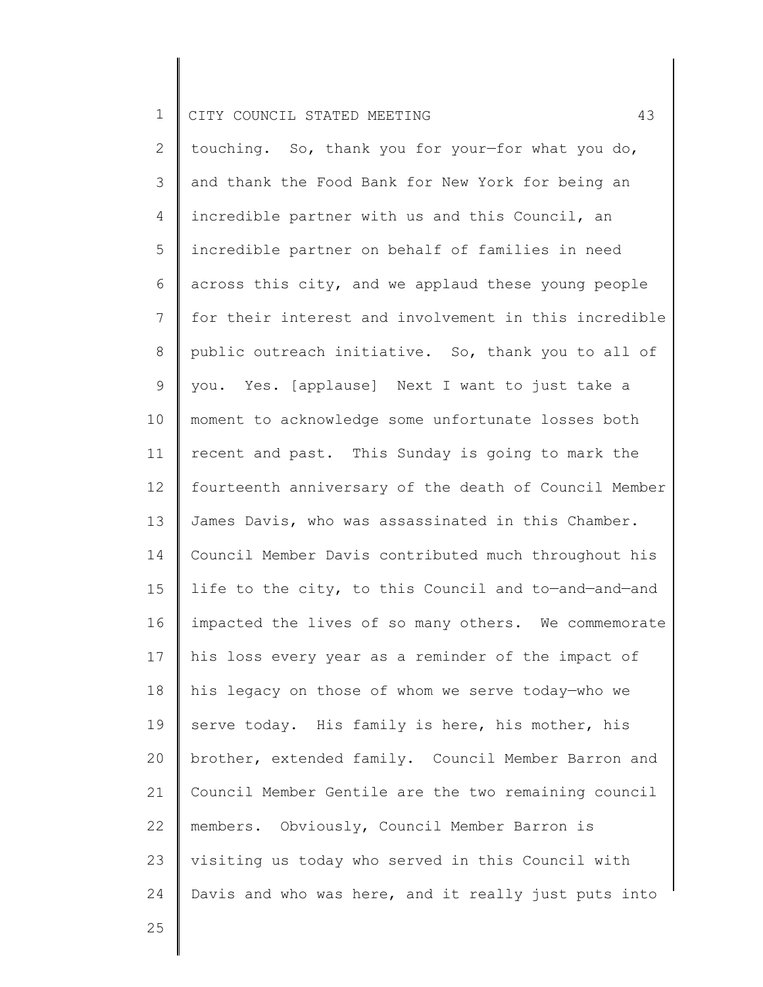2 3 4 5 6 7 8 9 10 11 12 13 14 15 16 17 18 19 20 21 22 23 24 touching. So, thank you for your—for what you do, and thank the Food Bank for New York for being an incredible partner with us and this Council, an incredible partner on behalf of families in need across this city, and we applaud these young people for their interest and involvement in this incredible public outreach initiative. So, thank you to all of you. Yes. [applause] Next I want to just take a moment to acknowledge some unfortunate losses both recent and past. This Sunday is going to mark the fourteenth anniversary of the death of Council Member James Davis, who was assassinated in this Chamber. Council Member Davis contributed much throughout his life to the city, to this Council and to—and—and—and impacted the lives of so many others. We commemorate his loss every year as a reminder of the impact of his legacy on those of whom we serve today—who we serve today. His family is here, his mother, his brother, extended family. Council Member Barron and Council Member Gentile are the two remaining council members. Obviously, Council Member Barron is visiting us today who served in this Council with Davis and who was here, and it really just puts into

25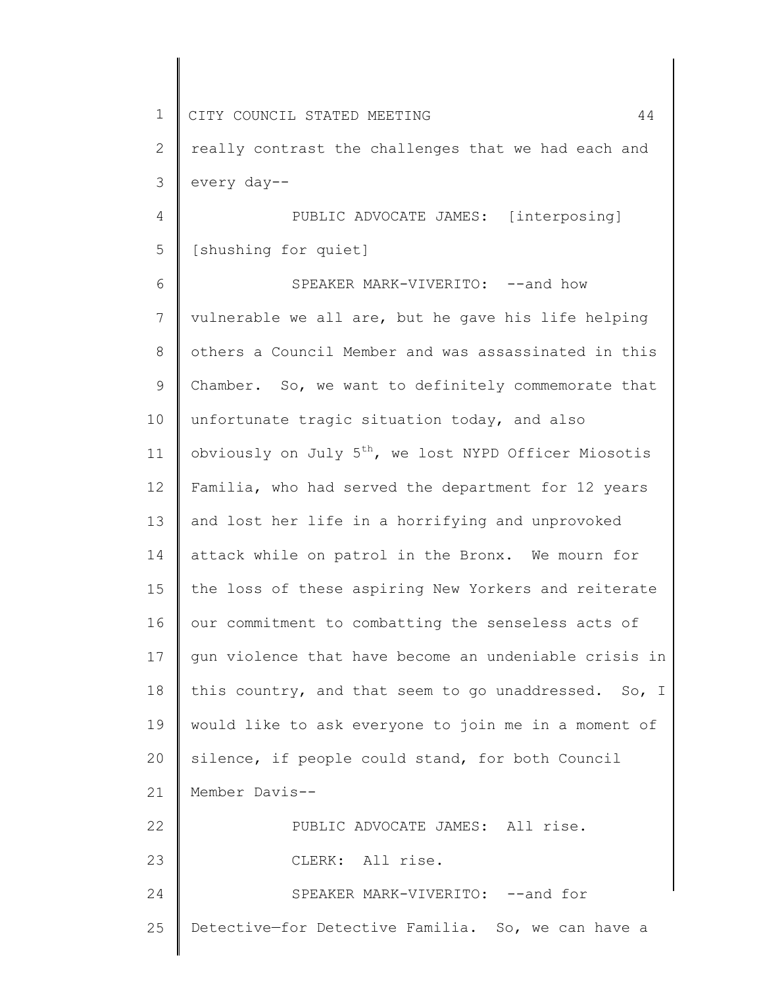1 2 3 4 5 6 7 8 9 10 11 12 13 14 15 16 17 18 19 20 21 22 23 24 25 CITY COUNCIL STATED MEETING 44 really contrast the challenges that we had each and every day-- PUBLIC ADVOCATE JAMES: [interposing] [shushing for quiet] SPEAKER MARK-VIVERITO: -- and how vulnerable we all are, but he gave his life helping others a Council Member and was assassinated in this Chamber. So, we want to definitely commemorate that unfortunate tragic situation today, and also obviously on July  $5<sup>th</sup>$ , we lost NYPD Officer Miosotis Familia, who had served the department for 12 years and lost her life in a horrifying and unprovoked attack while on patrol in the Bronx. We mourn for the loss of these aspiring New Yorkers and reiterate our commitment to combatting the senseless acts of gun violence that have become an undeniable crisis in this country, and that seem to go unaddressed. So, I would like to ask everyone to join me in a moment of silence, if people could stand, for both Council Member Davis-- PUBLIC ADVOCATE JAMES: All rise. CLERK: All rise. SPEAKER MARK-VIVERITO: --and for Detective—for Detective Familia. So, we can have a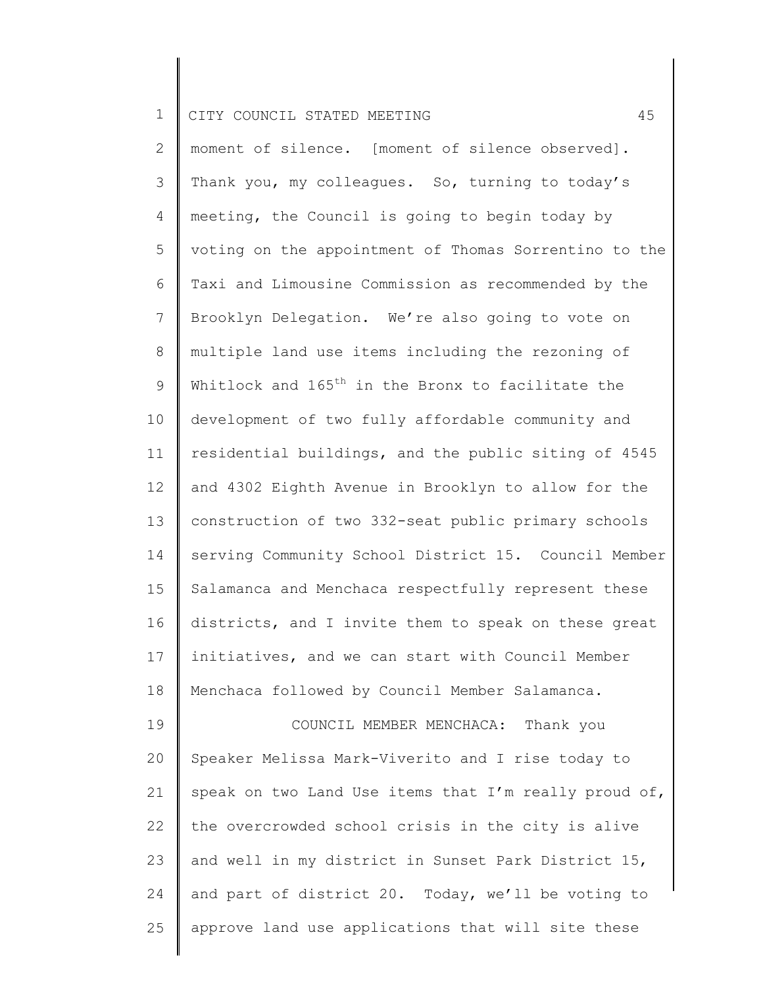24

25

2 3 4 5 6 7 8 9 10 11 12 13 14 15 16 17 18 19 20 21 22 23 moment of silence. [moment of silence observed]. Thank you, my colleagues. So, turning to today's meeting, the Council is going to begin today by voting on the appointment of Thomas Sorrentino to the Taxi and Limousine Commission as recommended by the Brooklyn Delegation. We're also going to vote on multiple land use items including the rezoning of Whitlock and  $165<sup>th</sup>$  in the Bronx to facilitate the development of two fully affordable community and residential buildings, and the public siting of 4545 and 4302 Eighth Avenue in Brooklyn to allow for the construction of two 332-seat public primary schools serving Community School District 15. Council Member Salamanca and Menchaca respectfully represent these districts, and I invite them to speak on these great initiatives, and we can start with Council Member Menchaca followed by Council Member Salamanca. COUNCIL MEMBER MENCHACA: Thank you Speaker Melissa Mark-Viverito and I rise today to speak on two Land Use items that I'm really proud of, the overcrowded school crisis in the city is alive and well in my district in Sunset Park District 15,

and part of district 20. Today, we'll be voting to

approve land use applications that will site these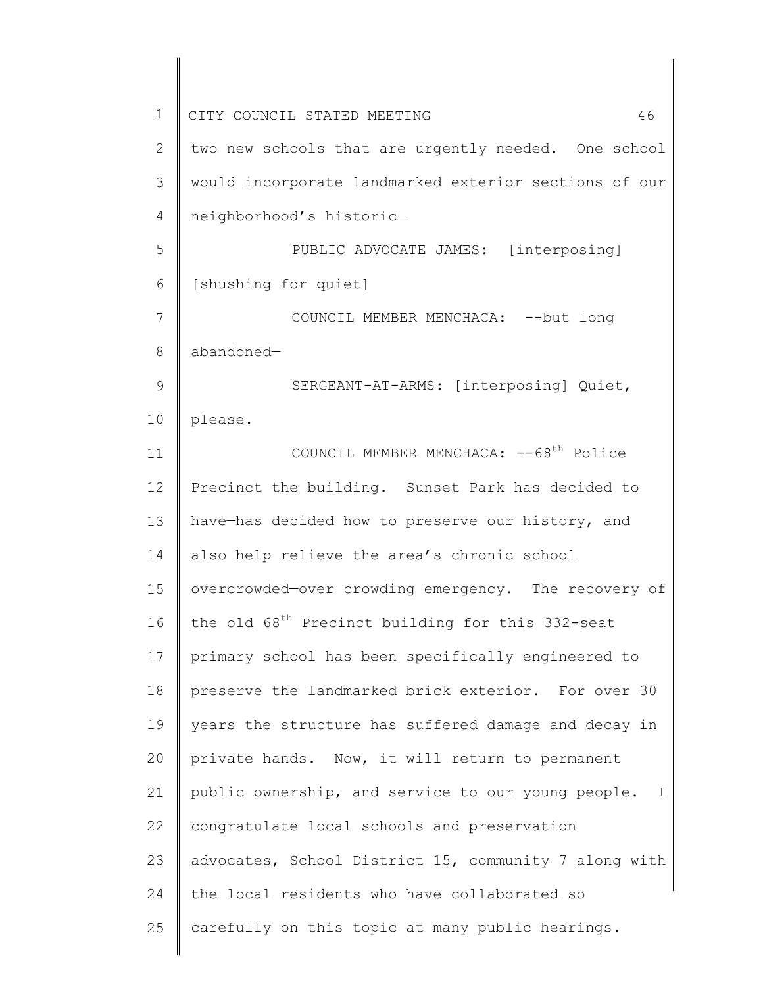| $1\,$          | CITY COUNCIL STATED MEETING<br>46                            |
|----------------|--------------------------------------------------------------|
| $\overline{2}$ | two new schools that are urgently needed. One school         |
| 3              | would incorporate landmarked exterior sections of our        |
| 4              | neighborhood's historic-                                     |
| 5              | PUBLIC ADVOCATE JAMES: [interposing]                         |
| 6              | [shushing for quiet]                                         |
| 7              | COUNCIL MEMBER MENCHACA: -- but long                         |
| 8              | abandoned-                                                   |
| 9              | SERGEANT-AT-ARMS: [interposing] Quiet,                       |
| 10             | please.                                                      |
| 11             | COUNCIL MEMBER MENCHACA: -- 68 <sup>th</sup> Police          |
| 12             | Precinct the building. Sunset Park has decided to            |
| 13             | have-has decided how to preserve our history, and            |
| 14             | also help relieve the area's chronic school                  |
| 15             | overcrowded-over crowding emergency. The recovery of         |
| 16             | the old 68 <sup>th</sup> Precinct building for this 332-seat |
| 17             | primary school has been specifically engineered to           |
| 18             | preserve the landmarked brick exterior. For over 30          |
| 19             | years the structure has suffered damage and decay in         |
| 20             | private hands. Now, it will return to permanent              |
| 21             | public ownership, and service to our young people.<br>I      |
| 22             | congratulate local schools and preservation                  |
| 23             | advocates, School District 15, community 7 along with        |
| 24             | the local residents who have collaborated so                 |
| 25             | carefully on this topic at many public hearings.             |
|                |                                                              |

║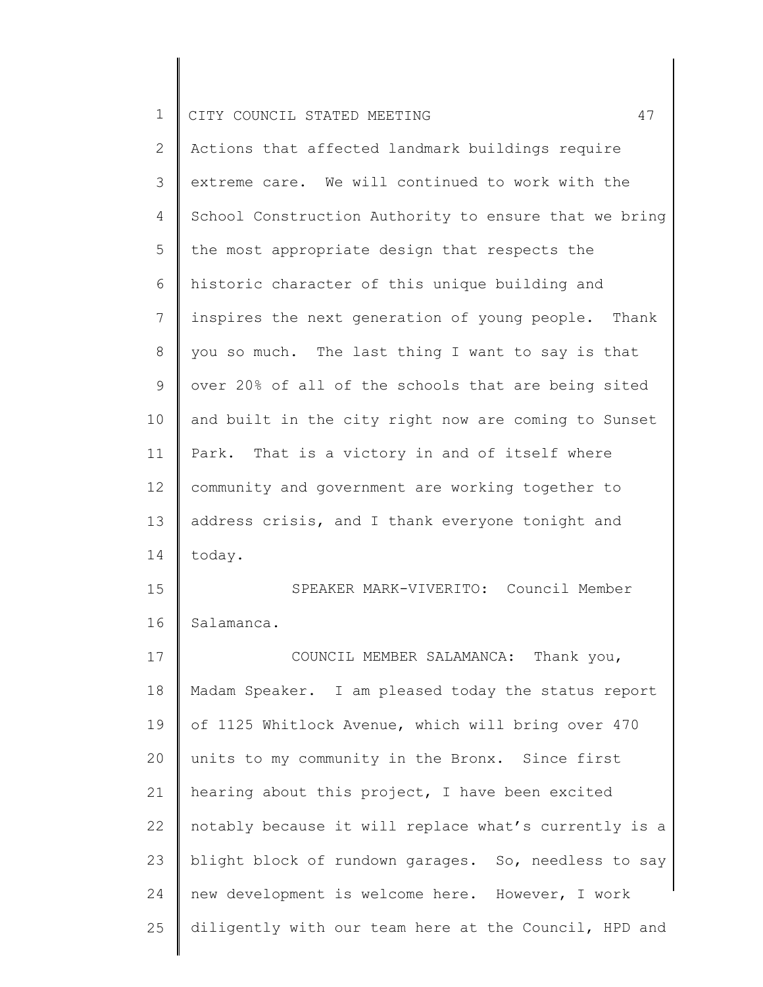|  | CITY COUNCIL STATED MEETING |  |  |  |
|--|-----------------------------|--|--|--|
|  |                             |  |  |  |

| $\overline{2}$ | Actions that affected landmark buildings require      |
|----------------|-------------------------------------------------------|
| 3              | extreme care. We will continued to work with the      |
| 4              | School Construction Authority to ensure that we bring |
| 5              | the most appropriate design that respects the         |
| 6              | historic character of this unique building and        |
| $\overline{7}$ | inspires the next generation of young people. Thank   |
| 8              | you so much. The last thing I want to say is that     |
| 9              | over 20% of all of the schools that are being sited   |
| 10             | and built in the city right now are coming to Sunset  |
| 11             | Park. That is a victory in and of itself where        |
| 12             | community and government are working together to      |
| 13             | address crisis, and I thank everyone tonight and      |
| 14             | today.                                                |
| 15             | SPEAKER MARK-VIVERITO: Council Member                 |
| 16             | Salamanca.                                            |
| 17             | COUNCIL MEMBER SALAMANCA: Thank you,                  |
| 18             | Madam Speaker. I am pleased today the status report   |
| 19             | of 1125 Whitlock Avenue, which will bring over 470    |
| 20             | units to my community in the Bronx. Since first       |
| 21             | hearing about this project, I have been excited       |
| 22             | notably because it will replace what's currently is a |
| 23             | blight block of rundown garages. So, needless to say  |
| 24             | new development is welcome here. However, I work      |
| 25             | diligently with our team here at the Council, HPD and |
|                |                                                       |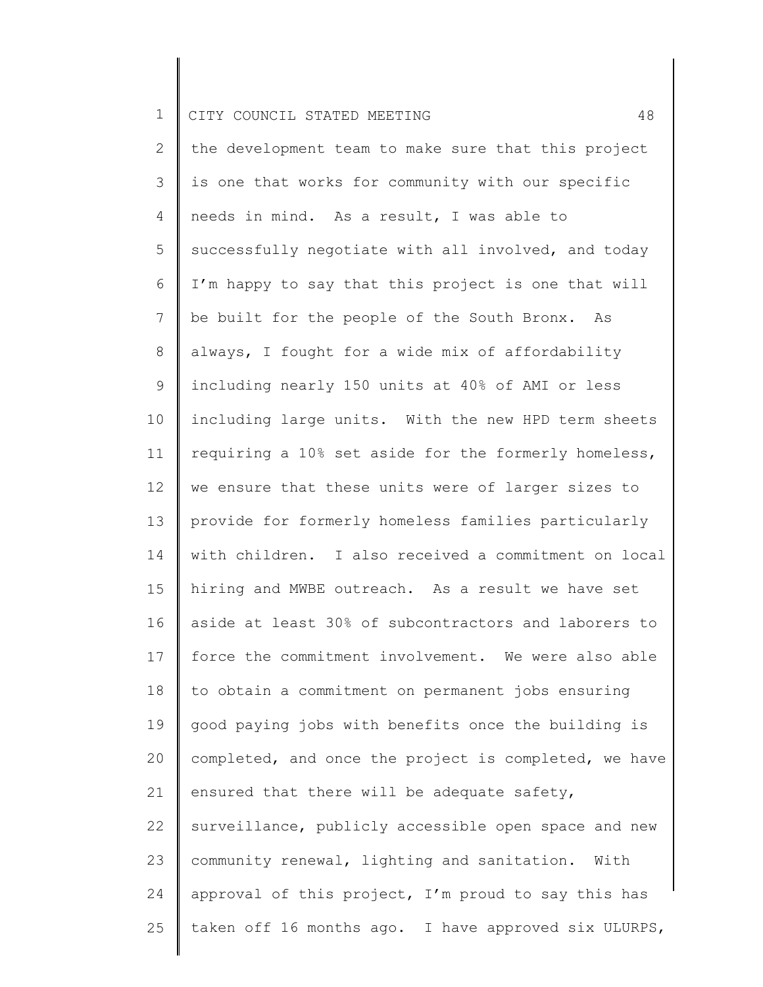2 3 4 5 6 7 8 9 10 11 12 13 14 15 16 17 18 19 20 21 22 23 24 25 the development team to make sure that this project is one that works for community with our specific needs in mind. As a result, I was able to successfully negotiate with all involved, and today I'm happy to say that this project is one that will be built for the people of the South Bronx. As always, I fought for a wide mix of affordability including nearly 150 units at 40% of AMI or less including large units. With the new HPD term sheets requiring a 10% set aside for the formerly homeless, we ensure that these units were of larger sizes to provide for formerly homeless families particularly with children. I also received a commitment on local hiring and MWBE outreach. As a result we have set aside at least 30% of subcontractors and laborers to force the commitment involvement. We were also able to obtain a commitment on permanent jobs ensuring good paying jobs with benefits once the building is completed, and once the project is completed, we have ensured that there will be adequate safety, surveillance, publicly accessible open space and new community renewal, lighting and sanitation. With approval of this project, I'm proud to say this has taken off 16 months ago. I have approved six ULURPS,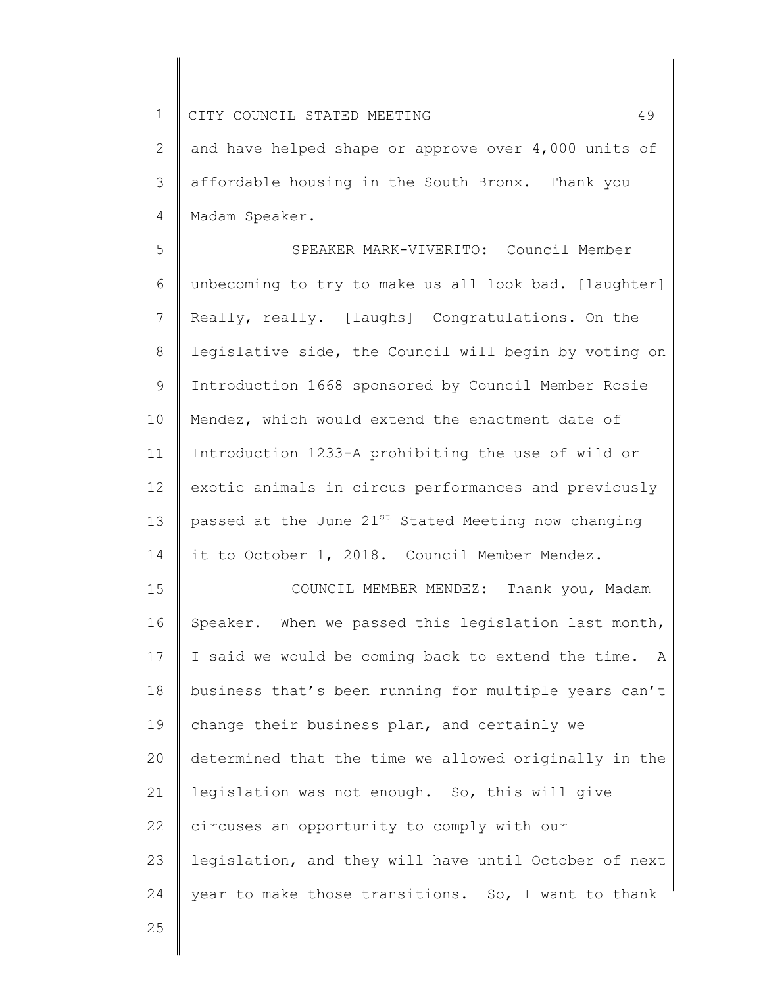2 3 4 and have helped shape or approve over 4,000 units of affordable housing in the South Bronx. Thank you Madam Speaker.

5 6 7 8 9 10 11 12 13 14 SPEAKER MARK-VIVERITO: Council Member unbecoming to try to make us all look bad. [laughter] Really, really. [laughs] Congratulations. On the legislative side, the Council will begin by voting on Introduction 1668 sponsored by Council Member Rosie Mendez, which would extend the enactment date of Introduction 1233-A prohibiting the use of wild or exotic animals in circus performances and previously passed at the June  $21^{st}$  Stated Meeting now changing it to October 1, 2018. Council Member Mendez.

15 16 17 18 19 20 21 22 23 24 COUNCIL MEMBER MENDEZ: Thank you, Madam Speaker. When we passed this legislation last month, I said we would be coming back to extend the time. A business that's been running for multiple years can't change their business plan, and certainly we determined that the time we allowed originally in the legislation was not enough. So, this will give circuses an opportunity to comply with our legislation, and they will have until October of next year to make those transitions. So, I want to thank

25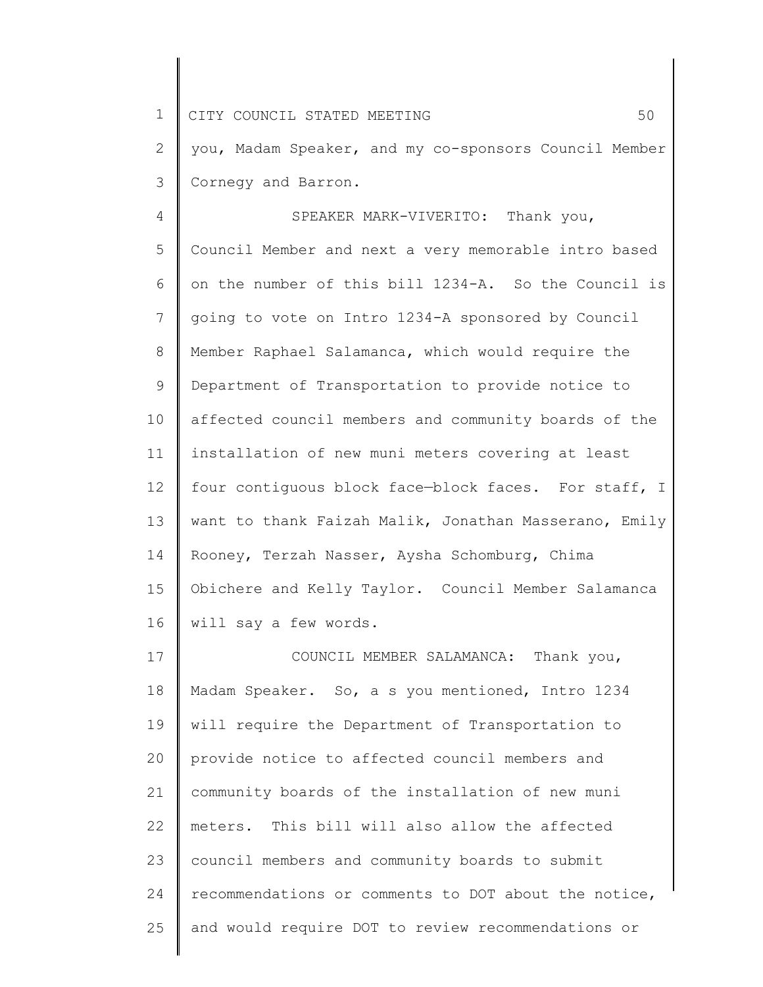1 2 3 CITY COUNCIL STATED MEETING 50 you, Madam Speaker, and my co-sponsors Council Member Cornegy and Barron.

4 5 6 7 8 9 10 11 12 13 14 15 16 SPEAKER MARK-VIVERITO: Thank you, Council Member and next a very memorable intro based on the number of this bill 1234-A. So the Council is going to vote on Intro 1234-A sponsored by Council Member Raphael Salamanca, which would require the Department of Transportation to provide notice to affected council members and community boards of the installation of new muni meters covering at least four contiguous block face—block faces. For staff, I want to thank Faizah Malik, Jonathan Masserano, Emily Rooney, Terzah Nasser, Aysha Schomburg, Chima Obichere and Kelly Taylor. Council Member Salamanca will say a few words.

17 18 19 20 21 22 23 24 25 COUNCIL MEMBER SALAMANCA: Thank you, Madam Speaker. So, a s you mentioned, Intro 1234 will require the Department of Transportation to provide notice to affected council members and community boards of the installation of new muni meters. This bill will also allow the affected council members and community boards to submit recommendations or comments to DOT about the notice, and would require DOT to review recommendations or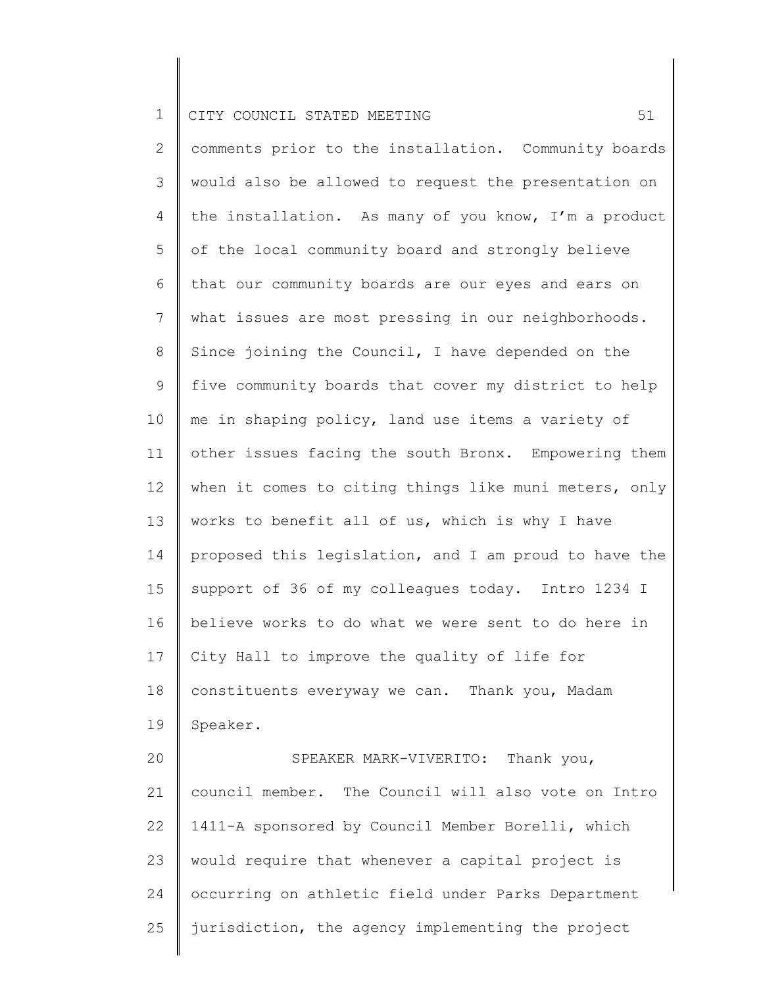25

2 3 4 5 6 7 8 9 10 11 12 13 14 15 16 17 18 19 20 21 22 23 24 comments prior to the installation. Community boards would also be allowed to request the presentation on the installation. As many of you know, I'm a product of the local community board and strongly believe that our community boards are our eyes and ears on what issues are most pressing in our neighborhoods. Since joining the Council, I have depended on the five community boards that cover my district to help me in shaping policy, land use items a variety of other issues facing the south Bronx. Empowering them when it comes to citing things like muni meters, only works to benefit all of us, which is why I have proposed this legislation, and I am proud to have the support of 36 of my colleagues today. Intro 1234 I believe works to do what we were sent to do here in City Hall to improve the quality of life for constituents everyway we can. Thank you, Madam Speaker. SPEAKER MARK-VIVERITO: Thank you, council member. The Council will also vote on Intro 1411-A sponsored by Council Member Borelli, which would require that whenever a capital project is occurring on athletic field under Parks Department

jurisdiction, the agency implementing the project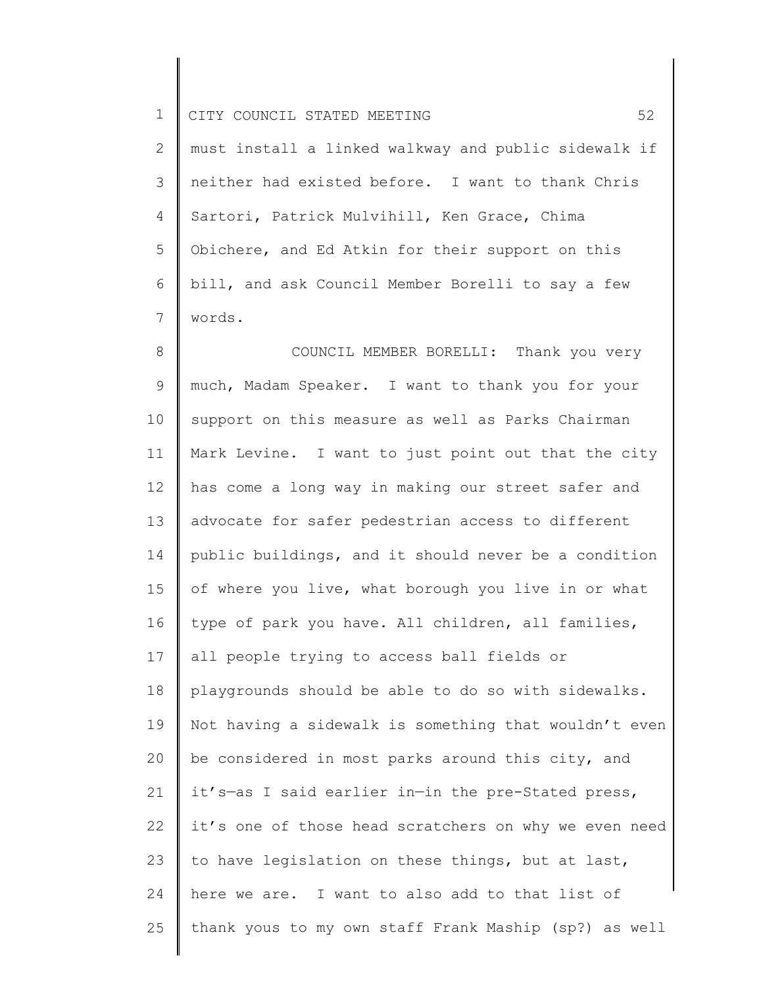2 3 4 5 6 7 must install a linked walkway and public sidewalk if neither had existed before. I want to thank Chris Sartori, Patrick Mulvihill, Ken Grace, Chima Obichere, and Ed Atkin for their support on this bill, and ask Council Member Borelli to say a few words.

8 9 10 11 12 13 14 15 16 17 18 19 20 21 22 23 24 25 COUNCIL MEMBER BORELLI: Thank you very much, Madam Speaker. I want to thank you for your support on this measure as well as Parks Chairman Mark Levine. I want to just point out that the city has come a long way in making our street safer and advocate for safer pedestrian access to different public buildings, and it should never be a condition of where you live, what borough you live in or what type of park you have. All children, all families, all people trying to access ball fields or playgrounds should be able to do so with sidewalks. Not having a sidewalk is something that wouldn't even be considered in most parks around this city, and it's—as I said earlier in—in the pre-Stated press, it's one of those head scratchers on why we even need to have legislation on these things, but at last, here we are. I want to also add to that list of thank yous to my own staff Frank Maship (sp?) as well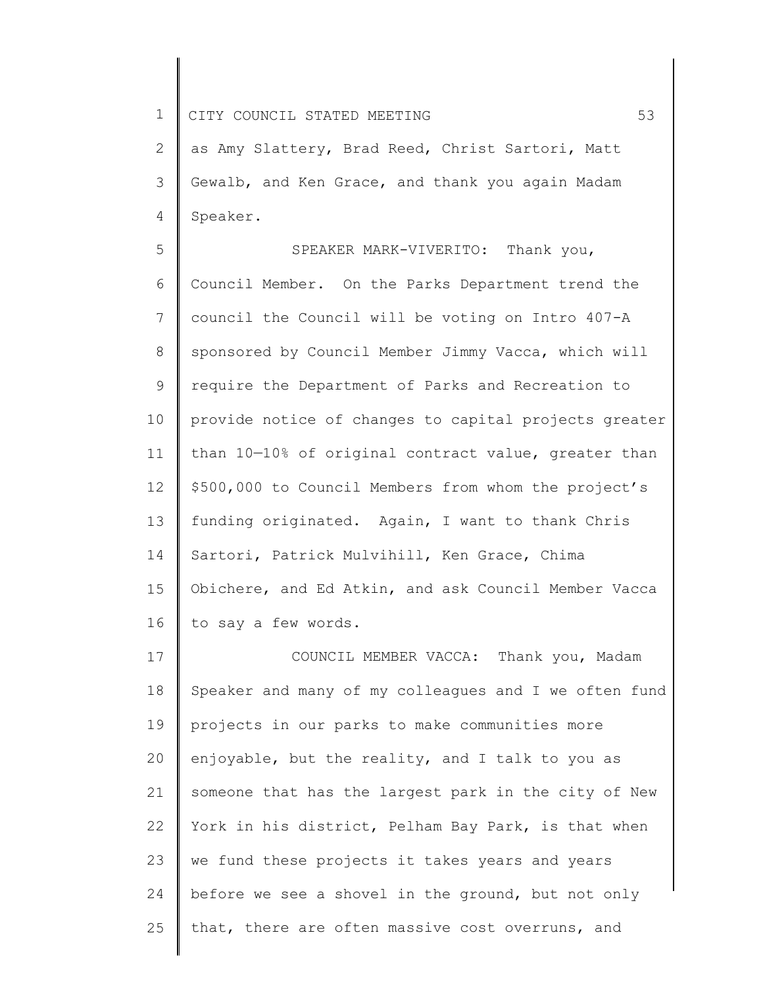2 3 4 as Amy Slattery, Brad Reed, Christ Sartori, Matt Gewalb, and Ken Grace, and thank you again Madam Speaker.

5 6 7 8 9 10 11 12 13 14 15 16 SPEAKER MARK-VIVERITO: Thank you, Council Member. On the Parks Department trend the council the Council will be voting on Intro 407-A sponsored by Council Member Jimmy Vacca, which will require the Department of Parks and Recreation to provide notice of changes to capital projects greater than 10—10% of original contract value, greater than \$500,000 to Council Members from whom the project's funding originated. Again, I want to thank Chris Sartori, Patrick Mulvihill, Ken Grace, Chima Obichere, and Ed Atkin, and ask Council Member Vacca to say a few words.

17 18 19 20 21 22 23 24 25 COUNCIL MEMBER VACCA: Thank you, Madam Speaker and many of my colleagues and I we often fund projects in our parks to make communities more enjoyable, but the reality, and I talk to you as someone that has the largest park in the city of New York in his district, Pelham Bay Park, is that when we fund these projects it takes years and years before we see a shovel in the ground, but not only that, there are often massive cost overruns, and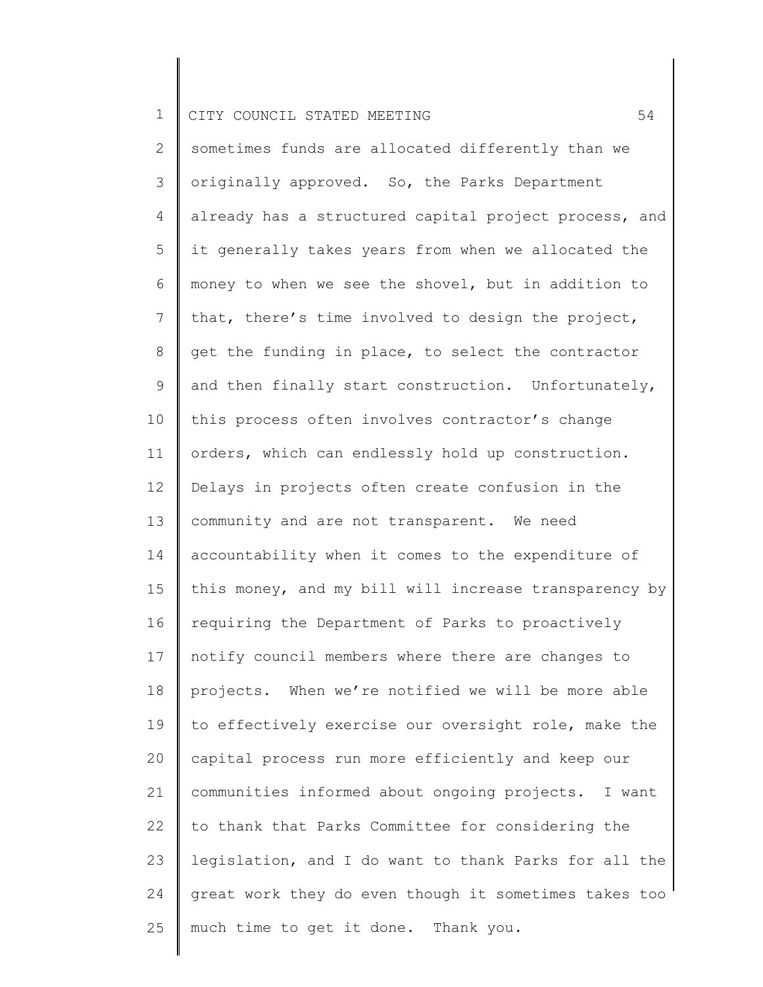2 3 4 5 6 7 8 9 10 11 12 13 14 15 16 17 18 19 20 21 22 23 24 25 sometimes funds are allocated differently than we originally approved. So, the Parks Department already has a structured capital project process, and it generally takes years from when we allocated the money to when we see the shovel, but in addition to that, there's time involved to design the project, get the funding in place, to select the contractor and then finally start construction. Unfortunately, this process often involves contractor's change orders, which can endlessly hold up construction. Delays in projects often create confusion in the community and are not transparent. We need accountability when it comes to the expenditure of this money, and my bill will increase transparency by requiring the Department of Parks to proactively notify council members where there are changes to projects. When we're notified we will be more able to effectively exercise our oversight role, make the capital process run more efficiently and keep our communities informed about ongoing projects. I want to thank that Parks Committee for considering the legislation, and I do want to thank Parks for all the great work they do even though it sometimes takes too much time to get it done. Thank you.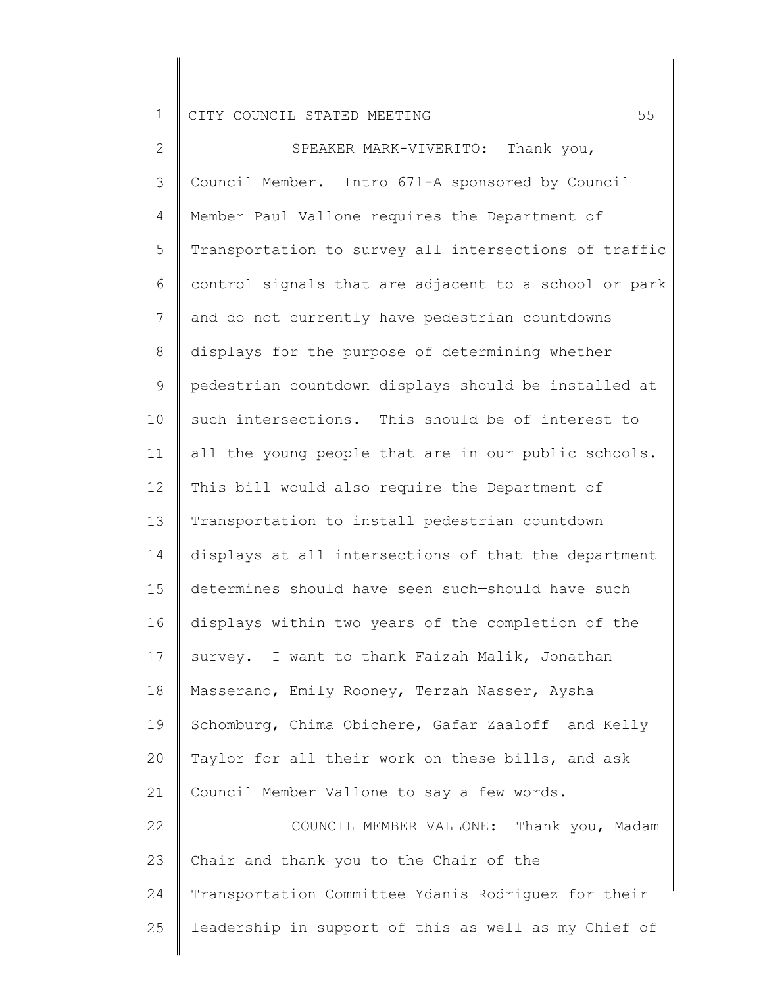2 3 4 5 6 7 8 9 10 11 12 13 14 15 16 17 18 19 20 21 22 23 24 25 SPEAKER MARK-VIVERITO: Thank you, Council Member. Intro 671-A sponsored by Council Member Paul Vallone requires the Department of Transportation to survey all intersections of traffic control signals that are adjacent to a school or park and do not currently have pedestrian countdowns displays for the purpose of determining whether pedestrian countdown displays should be installed at such intersections. This should be of interest to all the young people that are in our public schools. This bill would also require the Department of Transportation to install pedestrian countdown displays at all intersections of that the department determines should have seen such—should have such displays within two years of the completion of the survey. I want to thank Faizah Malik, Jonathan Masserano, Emily Rooney, Terzah Nasser, Aysha Schomburg, Chima Obichere, Gafar Zaaloff and Kelly Taylor for all their work on these bills, and ask Council Member Vallone to say a few words. COUNCIL MEMBER VALLONE: Thank you, Madam Chair and thank you to the Chair of the Transportation Committee Ydanis Rodriguez for their leadership in support of this as well as my Chief of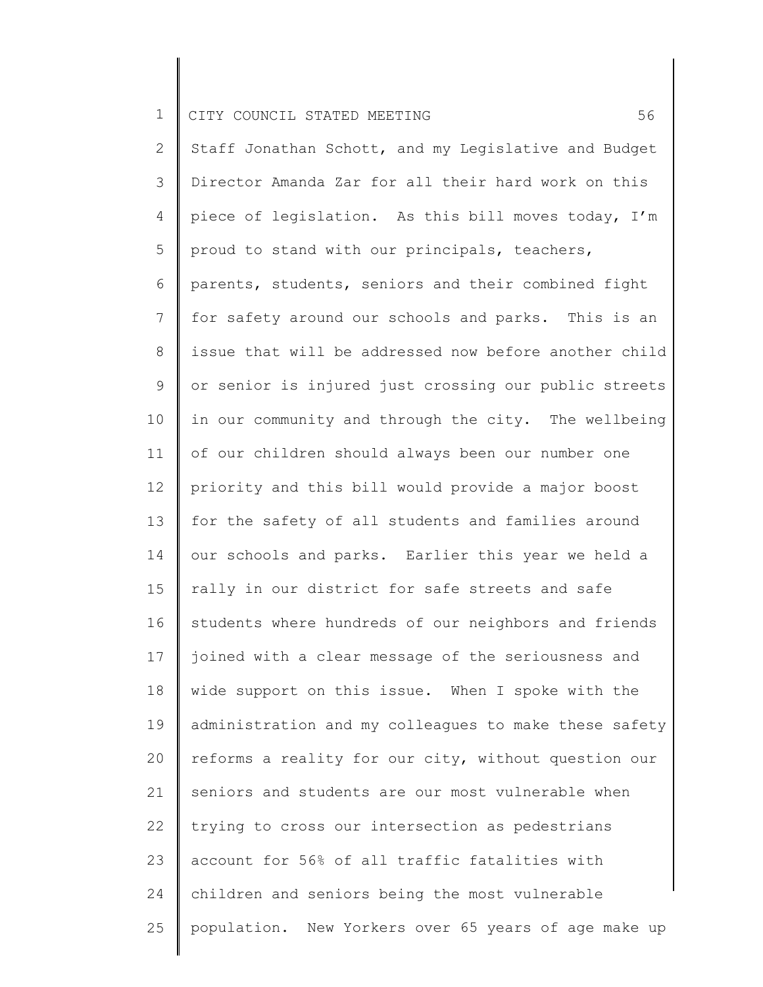2 3 4 5 6 7 8 9 10 11 12 13 14 15 16 17 18 19 20 21 22 23 24 25 Staff Jonathan Schott, and my Legislative and Budget Director Amanda Zar for all their hard work on this piece of legislation. As this bill moves today, I'm proud to stand with our principals, teachers, parents, students, seniors and their combined fight for safety around our schools and parks. This is an issue that will be addressed now before another child or senior is injured just crossing our public streets in our community and through the city. The wellbeing of our children should always been our number one priority and this bill would provide a major boost for the safety of all students and families around our schools and parks. Earlier this year we held a rally in our district for safe streets and safe students where hundreds of our neighbors and friends joined with a clear message of the seriousness and wide support on this issue. When I spoke with the administration and my colleagues to make these safety reforms a reality for our city, without question our seniors and students are our most vulnerable when trying to cross our intersection as pedestrians account for 56% of all traffic fatalities with children and seniors being the most vulnerable population. New Yorkers over 65 years of age make up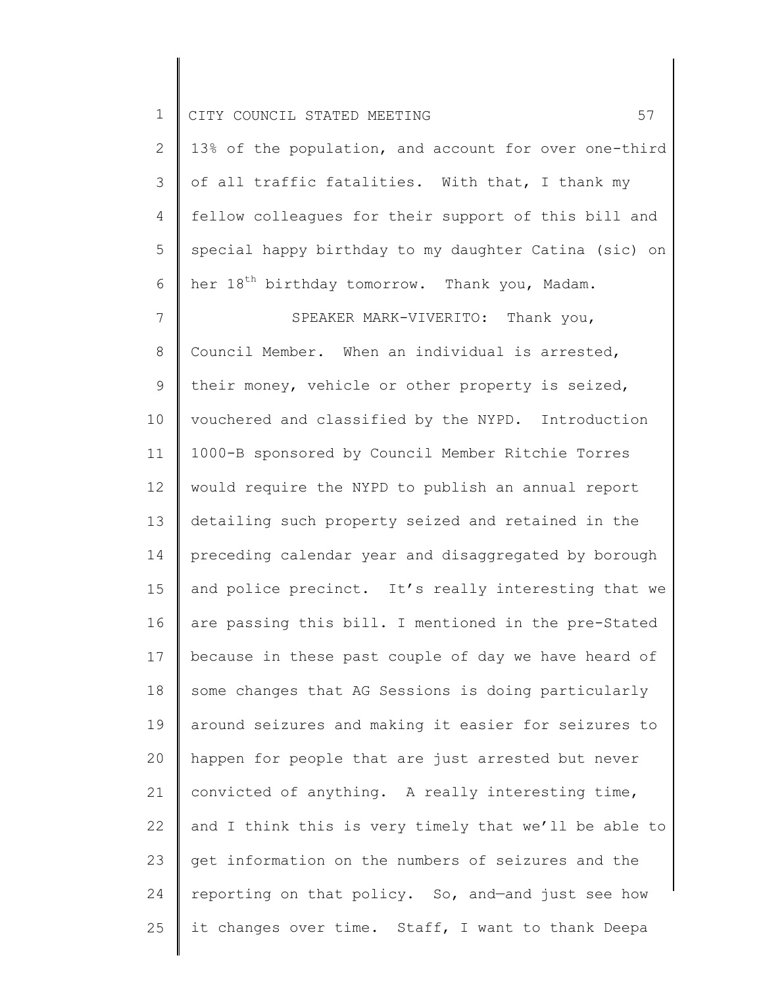2 3 4 5 6 13% of the population, and account for over one-third of all traffic fatalities. With that, I thank my fellow colleagues for their support of this bill and special happy birthday to my daughter Catina (sic) on her 18<sup>th</sup> birthday tomorrow. Thank you, Madam.

7 8 9 10 11 12 13 14 15 16 17 18 19 20 21 22 23 24 25 SPEAKER MARK-VIVERITO: Thank you, Council Member. When an individual is arrested, their money, vehicle or other property is seized, vouchered and classified by the NYPD. Introduction 1000-B sponsored by Council Member Ritchie Torres would require the NYPD to publish an annual report detailing such property seized and retained in the preceding calendar year and disaggregated by borough and police precinct. It's really interesting that we are passing this bill. I mentioned in the pre-Stated because in these past couple of day we have heard of some changes that AG Sessions is doing particularly around seizures and making it easier for seizures to happen for people that are just arrested but never convicted of anything. A really interesting time, and I think this is very timely that we'll be able to get information on the numbers of seizures and the reporting on that policy. So, and—and just see how it changes over time. Staff, I want to thank Deepa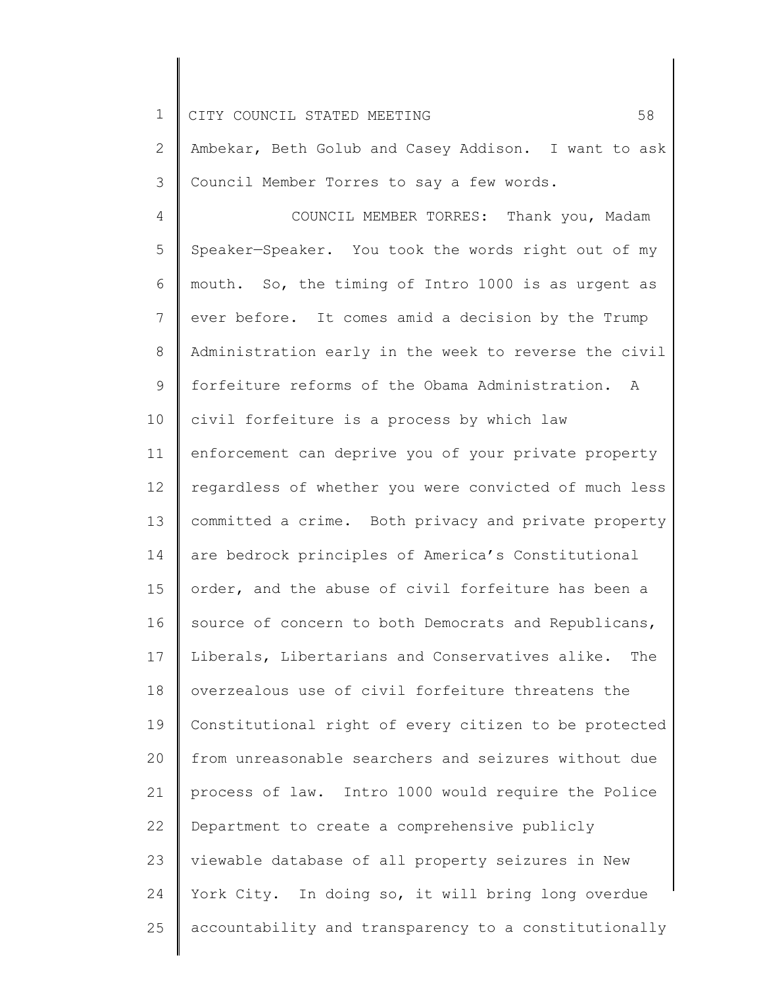2 3 Ambekar, Beth Golub and Casey Addison. I want to ask Council Member Torres to say a few words.

4 5 6 7 8 9 10 11 12 13 14 15 16 17 18 19 20 21 22 23 24 25 COUNCIL MEMBER TORRES: Thank you, Madam Speaker—Speaker. You took the words right out of my mouth. So, the timing of Intro 1000 is as urgent as ever before. It comes amid a decision by the Trump Administration early in the week to reverse the civil forfeiture reforms of the Obama Administration. A civil forfeiture is a process by which law enforcement can deprive you of your private property regardless of whether you were convicted of much less committed a crime. Both privacy and private property are bedrock principles of America's Constitutional order, and the abuse of civil forfeiture has been a source of concern to both Democrats and Republicans, Liberals, Libertarians and Conservatives alike. The overzealous use of civil forfeiture threatens the Constitutional right of every citizen to be protected from unreasonable searchers and seizures without due process of law. Intro 1000 would require the Police Department to create a comprehensive publicly viewable database of all property seizures in New York City. In doing so, it will bring long overdue accountability and transparency to a constitutionally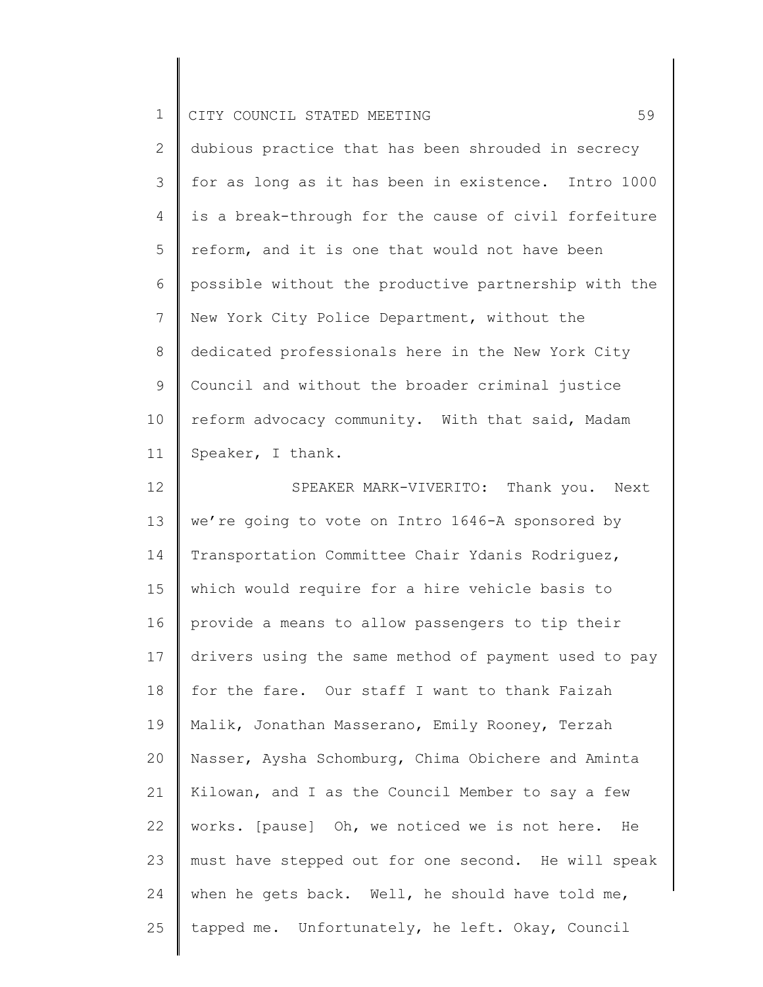| ᅩ |  | CITY COUNCIL STATED MEETING |  |  |  |  |  |
|---|--|-----------------------------|--|--|--|--|--|
|---|--|-----------------------------|--|--|--|--|--|

2 3 4 5 6 7 8 9 10 11 dubious practice that has been shrouded in secrecy for as long as it has been in existence. Intro 1000 is a break-through for the cause of civil forfeiture reform, and it is one that would not have been possible without the productive partnership with the New York City Police Department, without the dedicated professionals here in the New York City Council and without the broader criminal justice reform advocacy community. With that said, Madam Speaker, I thank.

12 13 14 15 16 17 18 19 20 21 22 23 24 25 SPEAKER MARK-VIVERITO: Thank you. Next we're going to vote on Intro 1646-A sponsored by Transportation Committee Chair Ydanis Rodriguez, which would require for a hire vehicle basis to provide a means to allow passengers to tip their drivers using the same method of payment used to pay for the fare. Our staff I want to thank Faizah Malik, Jonathan Masserano, Emily Rooney, Terzah Nasser, Aysha Schomburg, Chima Obichere and Aminta Kilowan, and I as the Council Member to say a few works. [pause] Oh, we noticed we is not here. He must have stepped out for one second. He will speak when he gets back. Well, he should have told me, tapped me. Unfortunately, he left. Okay, Council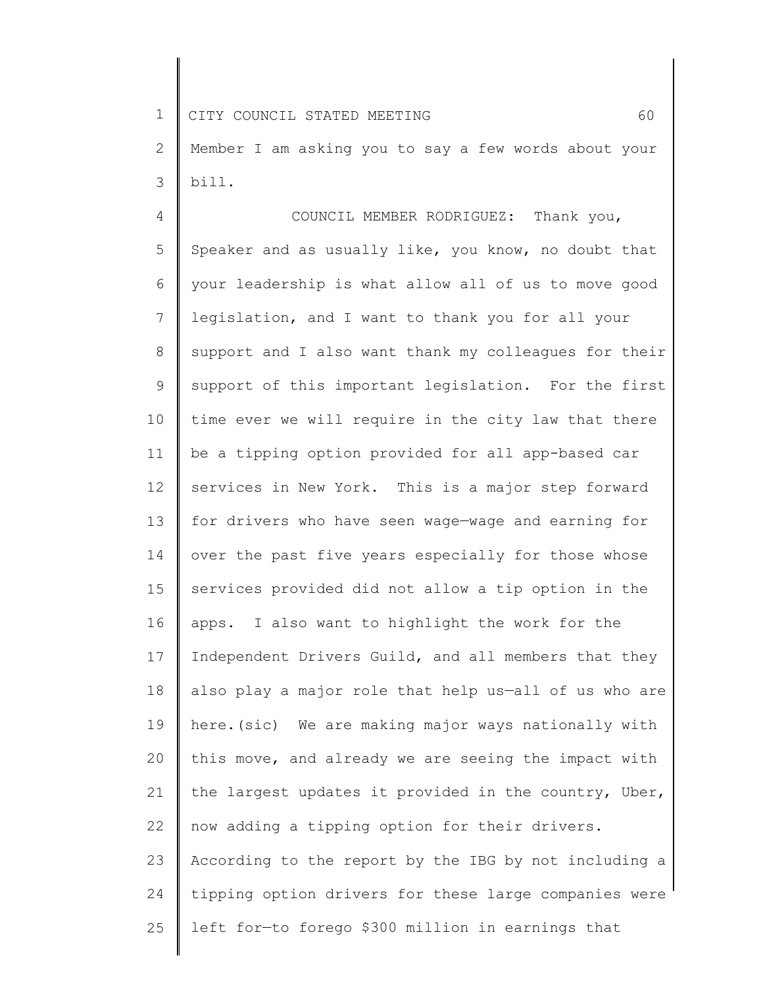1 2 3 CITY COUNCIL STATED MEETING 60 Member I am asking you to say a few words about your bill.

4 5 6 7 8 9 10 11 12 13 14 15 16 17 18 19 20 21 22 23 24 25 COUNCIL MEMBER RODRIGUEZ: Thank you, Speaker and as usually like, you know, no doubt that your leadership is what allow all of us to move good legislation, and I want to thank you for all your support and I also want thank my colleagues for their support of this important legislation. For the first time ever we will require in the city law that there be a tipping option provided for all app-based car services in New York. This is a major step forward for drivers who have seen wage—wage and earning for over the past five years especially for those whose services provided did not allow a tip option in the apps. I also want to highlight the work for the Independent Drivers Guild, and all members that they also play a major role that help us—all of us who are here.(sic) We are making major ways nationally with this move, and already we are seeing the impact with the largest updates it provided in the country, Uber, now adding a tipping option for their drivers. According to the report by the IBG by not including a tipping option drivers for these large companies were left for—to forego \$300 million in earnings that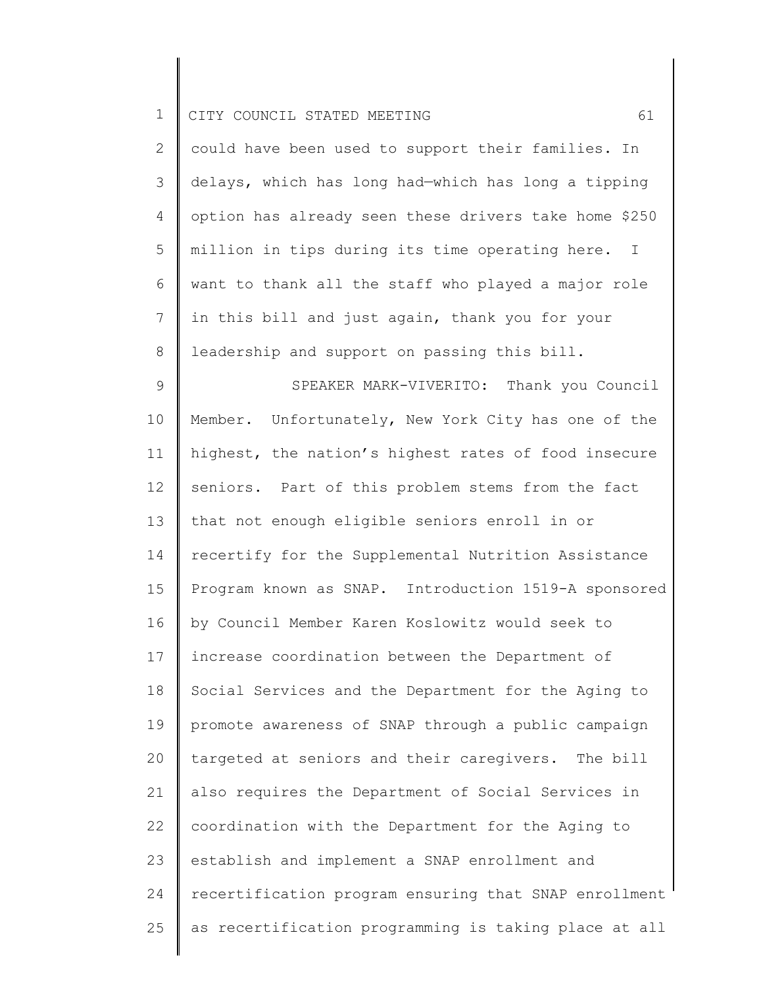| ᅩ |  | I CITY COUNCIL STATED MEETING |  |  |  |  |  |
|---|--|-------------------------------|--|--|--|--|--|
|---|--|-------------------------------|--|--|--|--|--|

| $\overline{2}$ | could have been used to support their families. In    |
|----------------|-------------------------------------------------------|
| 3              | delays, which has long had-which has long a tipping   |
| $\overline{4}$ | option has already seen these drivers take home \$250 |
| 5              | million in tips during its time operating here. I     |
| 6              | want to thank all the staff who played a major role   |
|                | in this bill and just again, thank you for your       |
| 8              | leadership and support on passing this bill.          |

9 10 11 12 13 14 15 16 17 18 19 20 21 22 23 24 25 SPEAKER MARK-VIVERITO: Thank you Council Member. Unfortunately, New York City has one of the highest, the nation's highest rates of food insecure seniors. Part of this problem stems from the fact that not enough eligible seniors enroll in or recertify for the Supplemental Nutrition Assistance Program known as SNAP. Introduction 1519-A sponsored by Council Member Karen Koslowitz would seek to increase coordination between the Department of Social Services and the Department for the Aging to promote awareness of SNAP through a public campaign targeted at seniors and their caregivers. The bill also requires the Department of Social Services in coordination with the Department for the Aging to establish and implement a SNAP enrollment and recertification program ensuring that SNAP enrollment as recertification programming is taking place at all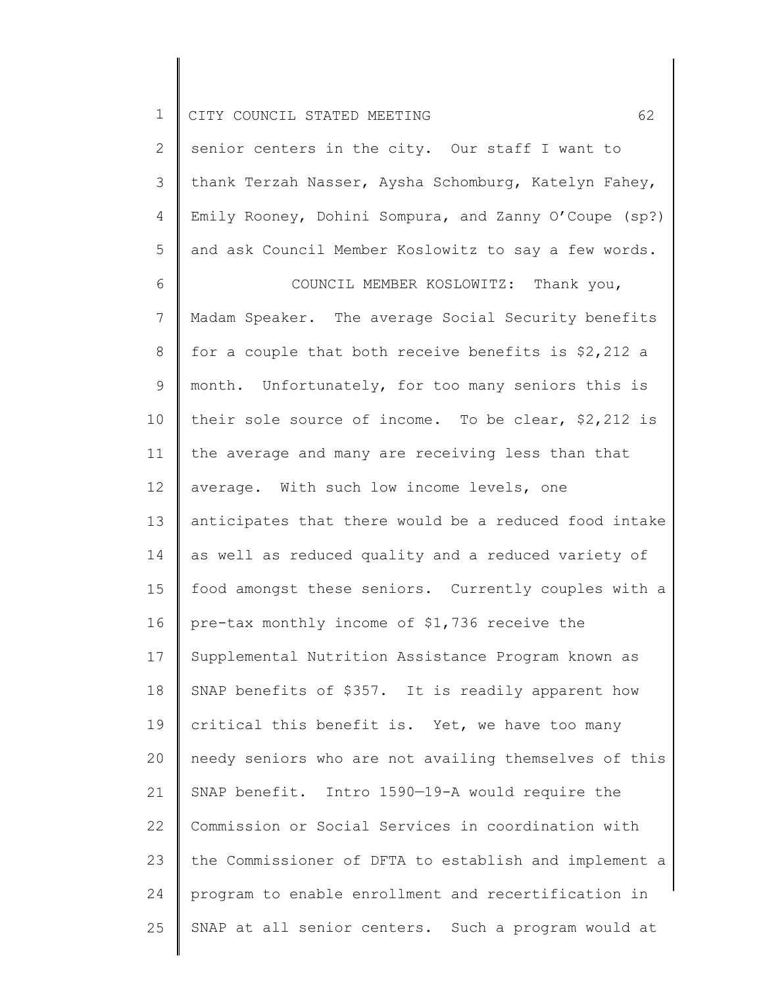| $\mathbf 1$    | 62<br>CITY COUNCIL STATED MEETING                     |
|----------------|-------------------------------------------------------|
| 2              | senior centers in the city. Our staff I want to       |
| 3              | thank Terzah Nasser, Aysha Schomburg, Katelyn Fahey,  |
| 4              | Emily Rooney, Dohini Sompura, and Zanny O'Coupe (sp?) |
| 5              | and ask Council Member Koslowitz to say a few words.  |
| 6              | COUNCIL MEMBER KOSLOWITZ: Thank you,                  |
| $7\phantom{.}$ | Madam Speaker. The average Social Security benefits   |
| 8              | for a couple that both receive benefits is \$2,212 a  |
| 9              | month. Unfortunately, for too many seniors this is    |
| 10             | their sole source of income. To be clear, $$2,212$ is |
| 11             | the average and many are receiving less than that     |
| 12             | average. With such low income levels, one             |
| 13             | anticipates that there would be a reduced food intake |
| 14             | as well as reduced quality and a reduced variety of   |
| 15             | food amongst these seniors. Currently couples with a  |
| 16             | pre-tax monthly income of \$1,736 receive the         |
| 17             | Supplemental Nutrition Assistance Program known as    |
| 18             | SNAP benefits of \$357. It is readily apparent how    |
| 19             | critical this benefit is. Yet, we have too many       |
| 20             | needy seniors who are not availing themselves of this |
| 21             | SNAP benefit. Intro 1590-19-A would require the       |
| 22             | Commission or Social Services in coordination with    |
| 23             | the Commissioner of DFTA to establish and implement a |
| 24             | program to enable enrollment and recertification in   |
| 25             | SNAP at all senior centers. Such a program would at   |
|                |                                                       |

║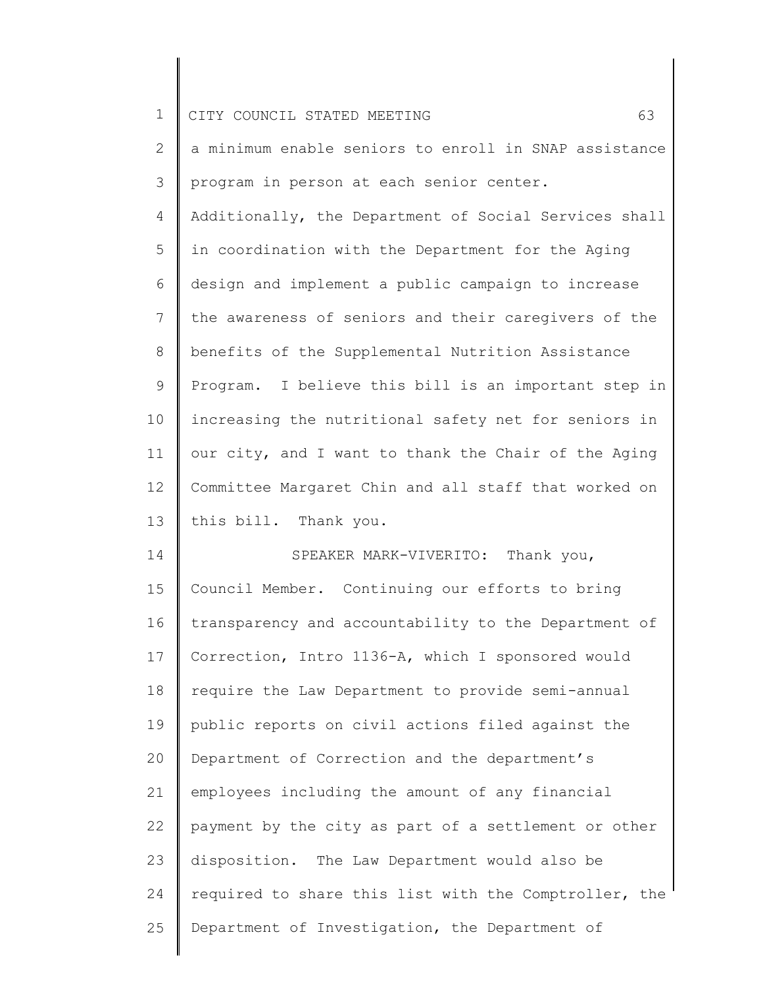| $\mathbf 1$                                        | 63<br>CITY COUNCIL STATED MEETING                     |
|----------------------------------------------------|-------------------------------------------------------|
| 2                                                  | a minimum enable seniors to enroll in SNAP assistance |
| 3                                                  | program in person at each senior center.              |
| 4                                                  | Additionally, the Department of Social Services shall |
| 5                                                  | in coordination with the Department for the Aging     |
| 6                                                  | design and implement a public campaign to increase    |
| $\overline{7}$                                     | the awareness of seniors and their caregivers of the  |
| 8                                                  | benefits of the Supplemental Nutrition Assistance     |
| 9                                                  | Program. I believe this bill is an important step in  |
| 10                                                 | increasing the nutritional safety net for seniors in  |
| 11                                                 | our city, and I want to thank the Chair of the Aging  |
| 12                                                 | Committee Margaret Chin and all staff that worked on  |
| 13                                                 | this bill. Thank you.                                 |
| 14                                                 | SPEAKER MARK-VIVERITO: Thank you,                     |
|                                                    | Council Member. Continuing our efforts to bring       |
|                                                    |                                                       |
|                                                    | transparency and accountability to the Department of  |
|                                                    | Correction, Intro 1136-A, which I sponsored would     |
|                                                    | require the Law Department to provide semi-annual     |
|                                                    | public reports on civil actions filed against the     |
| 20                                                 | Department of Correction and the department's         |
|                                                    | employees including the amount of any financial       |
|                                                    | payment by the city as part of a settlement or other  |
|                                                    | disposition. The Law Department would also be         |
| 15<br>16<br>17<br>18<br>19<br>21<br>22<br>23<br>24 | required to share this list with the Comptroller, the |
| 25                                                 | Department of Investigation, the Department of        |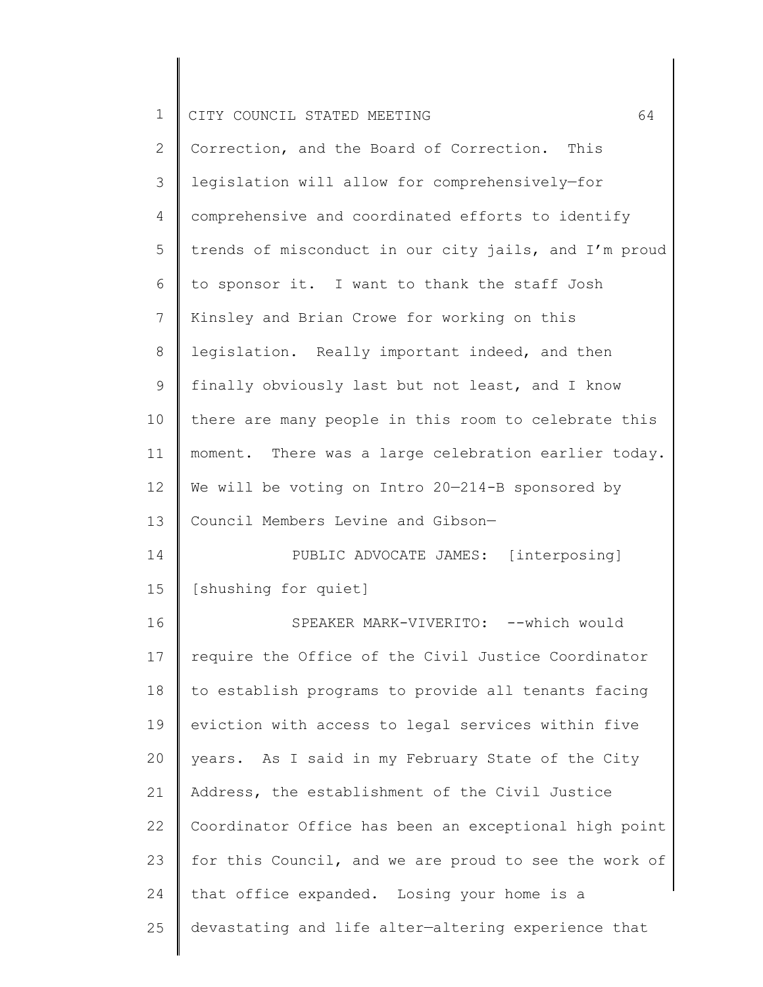| $\mathbf 1$  | 64<br>CITY COUNCIL STATED MEETING                     |
|--------------|-------------------------------------------------------|
| $\mathbf{2}$ | Correction, and the Board of Correction. This         |
| 3            | legislation will allow for comprehensively-for        |
| 4            | comprehensive and coordinated efforts to identify     |
| 5            | trends of misconduct in our city jails, and I'm proud |
| 6            | to sponsor it. I want to thank the staff Josh         |
| 7            | Kinsley and Brian Crowe for working on this           |
| 8            | legislation. Really important indeed, and then        |
| $\mathsf 9$  | finally obviously last but not least, and I know      |
| 10           | there are many people in this room to celebrate this  |
| 11           | moment. There was a large celebration earlier today.  |
| 12           | We will be voting on Intro 20-214-B sponsored by      |
| 13           | Council Members Levine and Gibson-                    |
| 14           | PUBLIC ADVOCATE JAMES: [interposing]                  |
| 15           | [shushing for quiet]                                  |
| 16           | SPEAKER MARK-VIVERITO: --which would                  |
| 17           | require the Office of the Civil Justice Coordinator   |
| 18           | to establish programs to provide all tenants facing   |
| 19           | eviction with access to legal services within five    |
| 20           | years. As I said in my February State of the City     |
| 21           | Address, the establishment of the Civil Justice       |
| 22           | Coordinator Office has been an exceptional high point |
| 23           | for this Council, and we are proud to see the work of |
| 24           | that office expanded. Losing your home is a           |
| 25           | devastating and life alter-altering experience that   |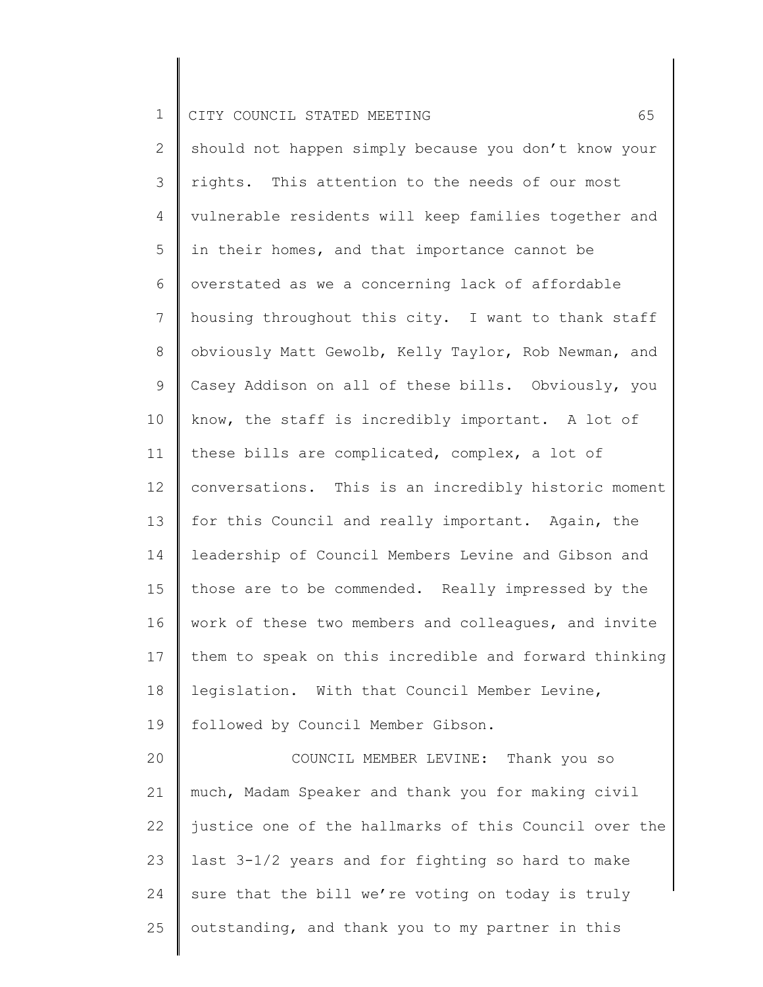2 3 4 5 6 7 8 9 10 11 12 13 14 15 16 17 18 19 20 21 22 23 24 25 should not happen simply because you don't know your rights. This attention to the needs of our most vulnerable residents will keep families together and in their homes, and that importance cannot be overstated as we a concerning lack of affordable housing throughout this city. I want to thank staff obviously Matt Gewolb, Kelly Taylor, Rob Newman, and Casey Addison on all of these bills. Obviously, you know, the staff is incredibly important. A lot of these bills are complicated, complex, a lot of conversations. This is an incredibly historic moment for this Council and really important. Again, the leadership of Council Members Levine and Gibson and those are to be commended. Really impressed by the work of these two members and colleagues, and invite them to speak on this incredible and forward thinking legislation. With that Council Member Levine, followed by Council Member Gibson. COUNCIL MEMBER LEVINE: Thank you so much, Madam Speaker and thank you for making civil justice one of the hallmarks of this Council over the last 3-1/2 years and for fighting so hard to make sure that the bill we're voting on today is truly outstanding, and thank you to my partner in this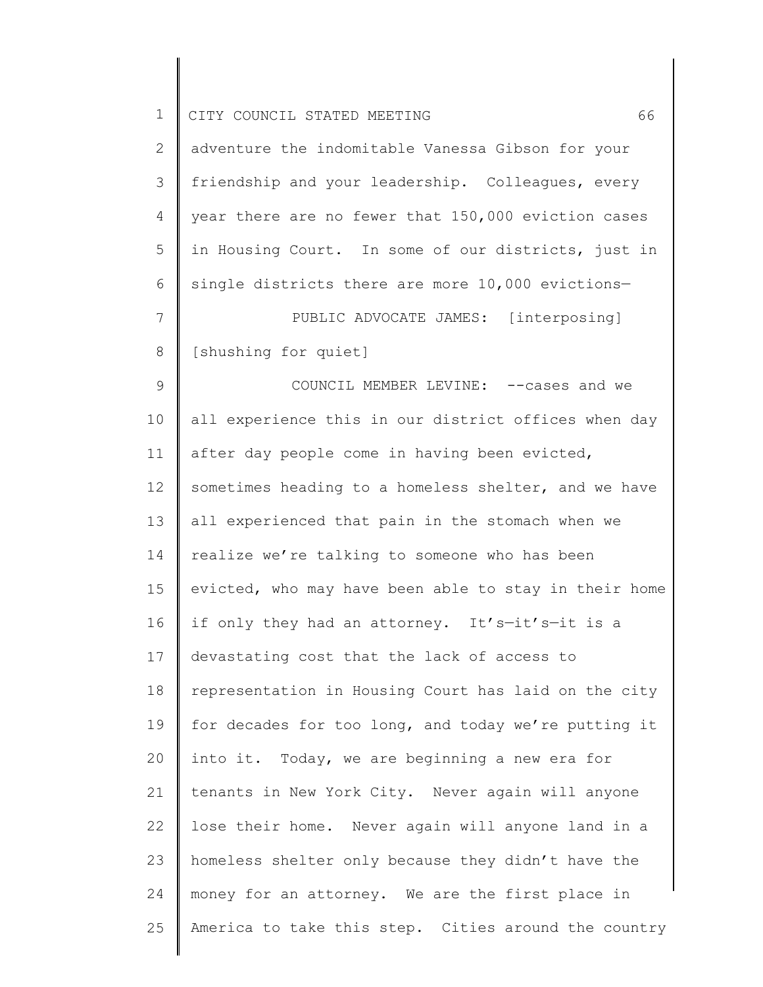| $\mathbf 1$     | 66<br>CITY COUNCIL STATED MEETING                     |
|-----------------|-------------------------------------------------------|
| 2               | adventure the indomitable Vanessa Gibson for your     |
| 3               | friendship and your leadership. Colleagues, every     |
| 4               | year there are no fewer that 150,000 eviction cases   |
| 5               | in Housing Court. In some of our districts, just in   |
| 6               | single districts there are more 10,000 evictions-     |
| $7\phantom{.0}$ | PUBLIC ADVOCATE JAMES: [interposing]                  |
| 8               | [shushing for quiet]                                  |
| $\mathcal{G}$   | COUNCIL MEMBER LEVINE: -- cases and we                |
| 10              | all experience this in our district offices when day  |
| 11              | after day people come in having been evicted,         |
| 12              | sometimes heading to a homeless shelter, and we have  |
| 13              | all experienced that pain in the stomach when we      |
| 14              | realize we're talking to someone who has been         |
| 15              | evicted, who may have been able to stay in their home |
| 16              | if only they had an attorney. It's-it's-it is a       |
| 17              | devastating cost that the lack of access to           |
| 18              | representation in Housing Court has laid on the city  |
| 19              | for decades for too long, and today we're putting it  |
| 20              | into it. Today, we are beginning a new era for        |
| 21              | tenants in New York City. Never again will anyone     |
| 22              | lose their home. Never again will anyone land in a    |
| 23              | homeless shelter only because they didn't have the    |
| 24              | money for an attorney. We are the first place in      |
| 25              | America to take this step. Cities around the country  |
|                 |                                                       |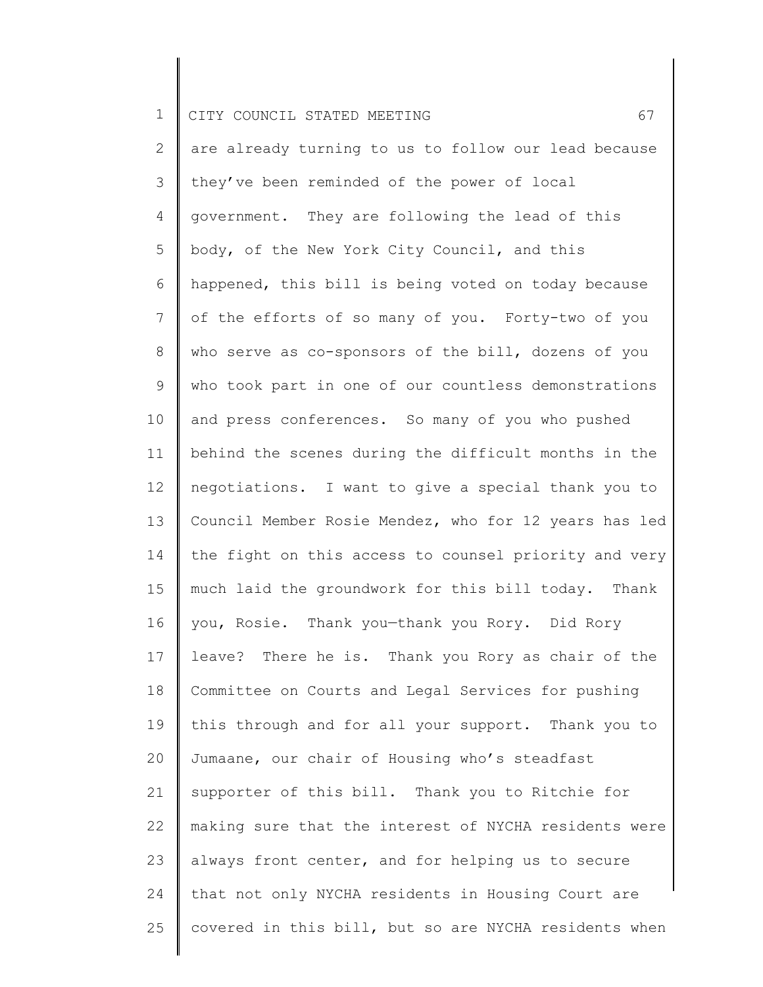2 3 4 5 6 7 8 9 10 11 12 13 14 15 16 17 18 19 20 21 22 23 24 25 are already turning to us to follow our lead because they've been reminded of the power of local government. They are following the lead of this body, of the New York City Council, and this happened, this bill is being voted on today because of the efforts of so many of you. Forty-two of you who serve as co-sponsors of the bill, dozens of you who took part in one of our countless demonstrations and press conferences. So many of you who pushed behind the scenes during the difficult months in the negotiations. I want to give a special thank you to Council Member Rosie Mendez, who for 12 years has led the fight on this access to counsel priority and very much laid the groundwork for this bill today. Thank you, Rosie. Thank you—thank you Rory. Did Rory leave? There he is. Thank you Rory as chair of the Committee on Courts and Legal Services for pushing this through and for all your support. Thank you to Jumaane, our chair of Housing who's steadfast supporter of this bill. Thank you to Ritchie for making sure that the interest of NYCHA residents were always front center, and for helping us to secure that not only NYCHA residents in Housing Court are covered in this bill, but so are NYCHA residents when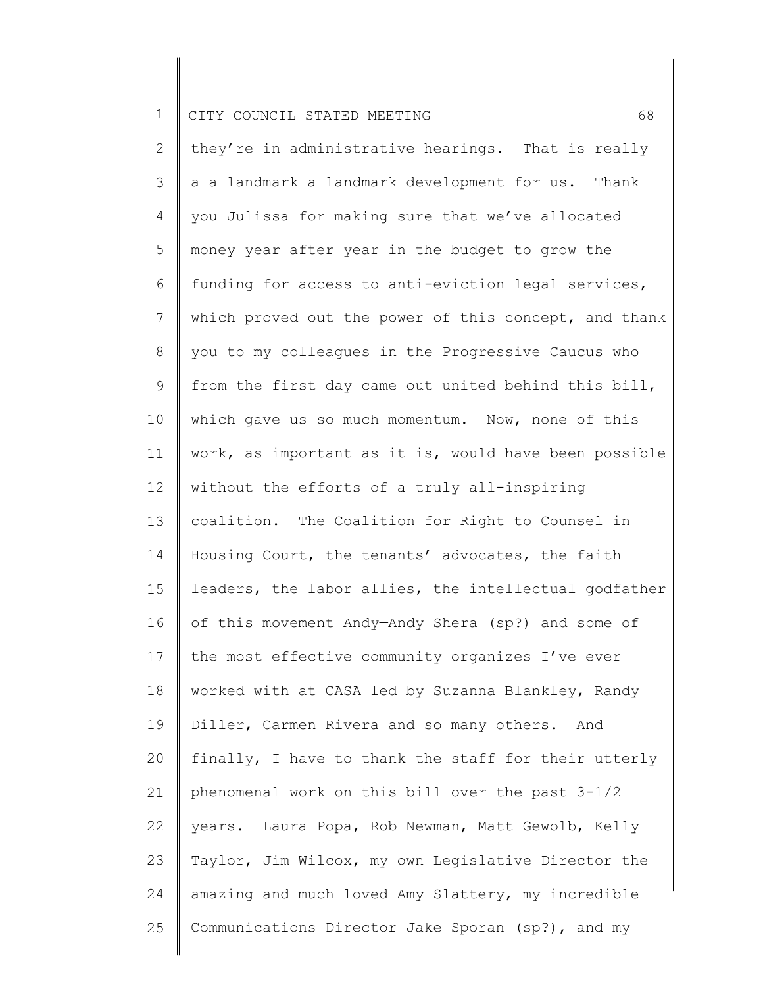2 3 4 5 6 7 8 9 10 11 12 13 14 15 16 17 18 19 20 21 22 23 24 25 they're in administrative hearings. That is really a—a landmark—a landmark development for us. Thank you Julissa for making sure that we've allocated money year after year in the budget to grow the funding for access to anti-eviction legal services, which proved out the power of this concept, and thank you to my colleagues in the Progressive Caucus who from the first day came out united behind this bill, which gave us so much momentum. Now, none of this work, as important as it is, would have been possible without the efforts of a truly all-inspiring coalition. The Coalition for Right to Counsel in Housing Court, the tenants' advocates, the faith leaders, the labor allies, the intellectual godfather of this movement Andy—Andy Shera (sp?) and some of the most effective community organizes I've ever worked with at CASA led by Suzanna Blankley, Randy Diller, Carmen Rivera and so many others. And finally, I have to thank the staff for their utterly phenomenal work on this bill over the past 3-1/2 years. Laura Popa, Rob Newman, Matt Gewolb, Kelly Taylor, Jim Wilcox, my own Legislative Director the amazing and much loved Amy Slattery, my incredible Communications Director Jake Sporan (sp?), and my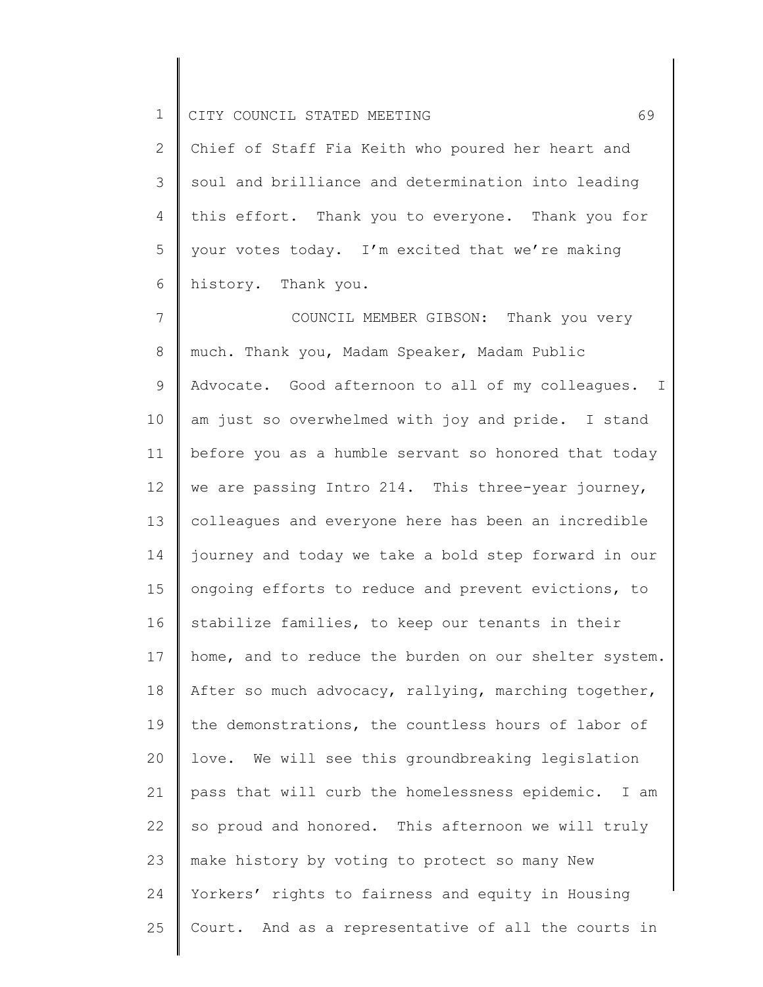2 3 4 5 6 Chief of Staff Fia Keith who poured her heart and soul and brilliance and determination into leading this effort. Thank you to everyone. Thank you for your votes today. I'm excited that we're making history. Thank you.

7 8 9 10 11 12 13 14 15 16 17 18 19 20 21 22 23 24 25 COUNCIL MEMBER GIBSON: Thank you very much. Thank you, Madam Speaker, Madam Public Advocate. Good afternoon to all of my colleagues. I am just so overwhelmed with joy and pride. I stand before you as a humble servant so honored that today we are passing Intro 214. This three-year journey, colleagues and everyone here has been an incredible journey and today we take a bold step forward in our ongoing efforts to reduce and prevent evictions, to stabilize families, to keep our tenants in their home, and to reduce the burden on our shelter system. After so much advocacy, rallying, marching together, the demonstrations, the countless hours of labor of love. We will see this groundbreaking legislation pass that will curb the homelessness epidemic. I am so proud and honored. This afternoon we will truly make history by voting to protect so many New Yorkers' rights to fairness and equity in Housing Court. And as a representative of all the courts in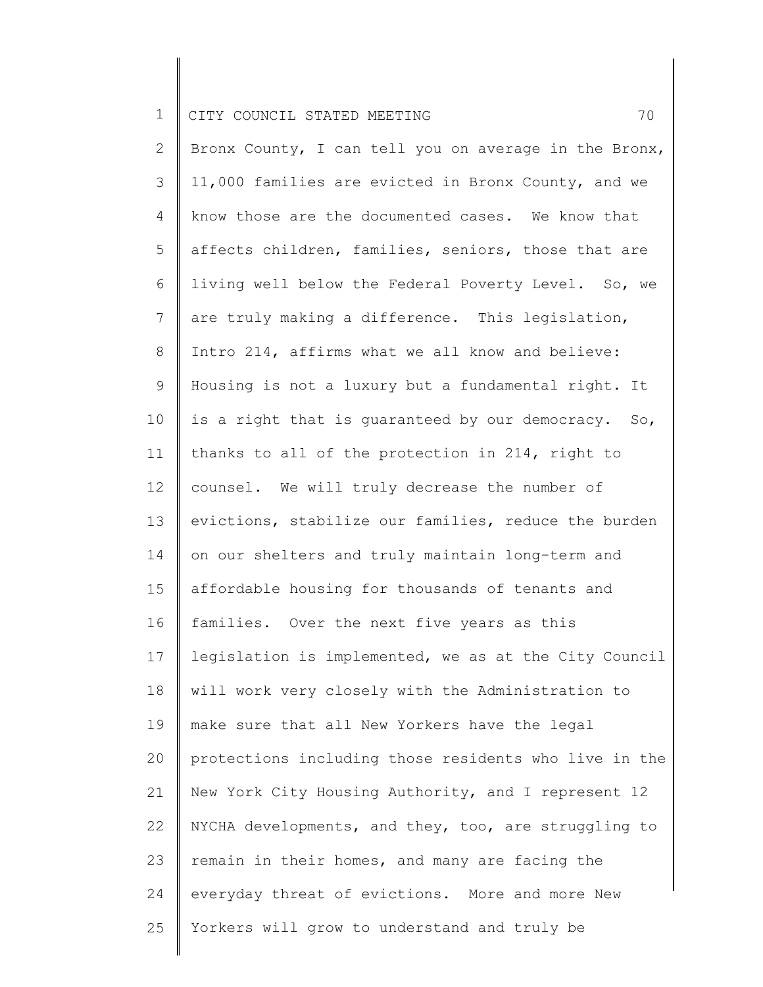2 3 4 5 6 7 8 9 10 11 12 13 14 15 16 17 18 19 20 21 22 23 24 25 Bronx County, I can tell you on average in the Bronx, 11,000 families are evicted in Bronx County, and we know those are the documented cases. We know that affects children, families, seniors, those that are living well below the Federal Poverty Level. So, we are truly making a difference. This legislation, Intro 214, affirms what we all know and believe: Housing is not a luxury but a fundamental right. It is a right that is guaranteed by our democracy. So, thanks to all of the protection in 214, right to counsel. We will truly decrease the number of evictions, stabilize our families, reduce the burden on our shelters and truly maintain long-term and affordable housing for thousands of tenants and families. Over the next five years as this legislation is implemented, we as at the City Council will work very closely with the Administration to make sure that all New Yorkers have the legal protections including those residents who live in the New York City Housing Authority, and I represent 12 NYCHA developments, and they, too, are struggling to remain in their homes, and many are facing the everyday threat of evictions. More and more New Yorkers will grow to understand and truly be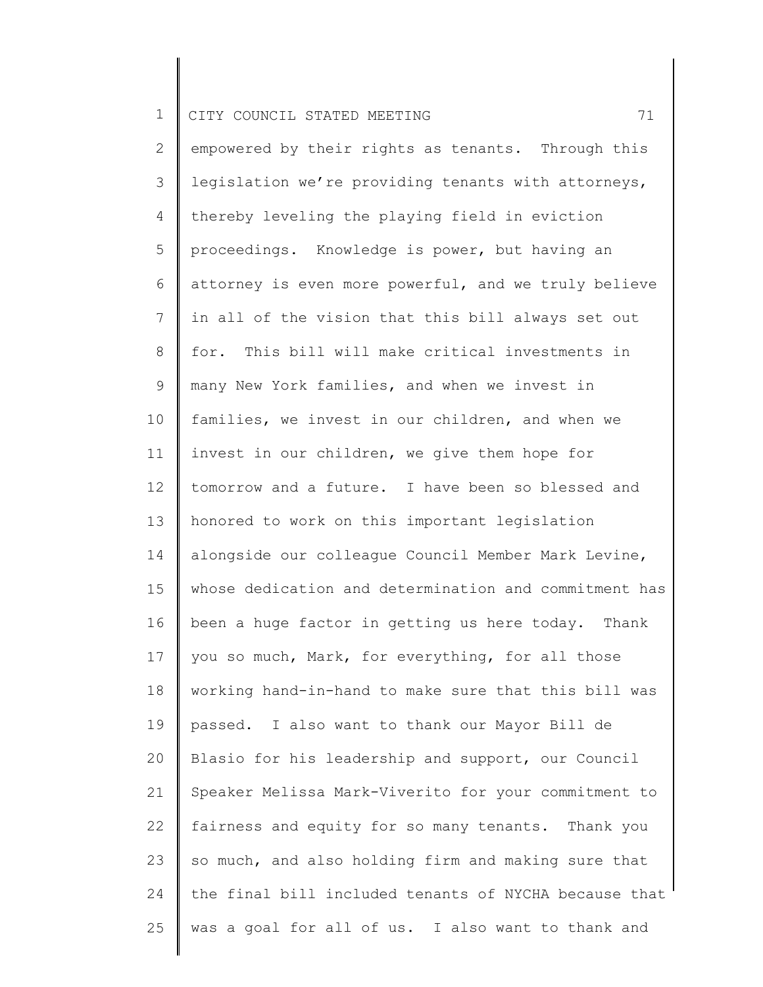2 3 4 5 6 7 8 9 10 11 12 13 14 15 16 17 18 19 20 21 22 23 24 25 empowered by their rights as tenants. Through this legislation we're providing tenants with attorneys, thereby leveling the playing field in eviction proceedings. Knowledge is power, but having an attorney is even more powerful, and we truly believe in all of the vision that this bill always set out for. This bill will make critical investments in many New York families, and when we invest in families, we invest in our children, and when we invest in our children, we give them hope for tomorrow and a future. I have been so blessed and honored to work on this important legislation alongside our colleague Council Member Mark Levine, whose dedication and determination and commitment has been a huge factor in getting us here today. Thank you so much, Mark, for everything, for all those working hand-in-hand to make sure that this bill was passed. I also want to thank our Mayor Bill de Blasio for his leadership and support, our Council Speaker Melissa Mark-Viverito for your commitment to fairness and equity for so many tenants. Thank you so much, and also holding firm and making sure that the final bill included tenants of NYCHA because that was a goal for all of us. I also want to thank and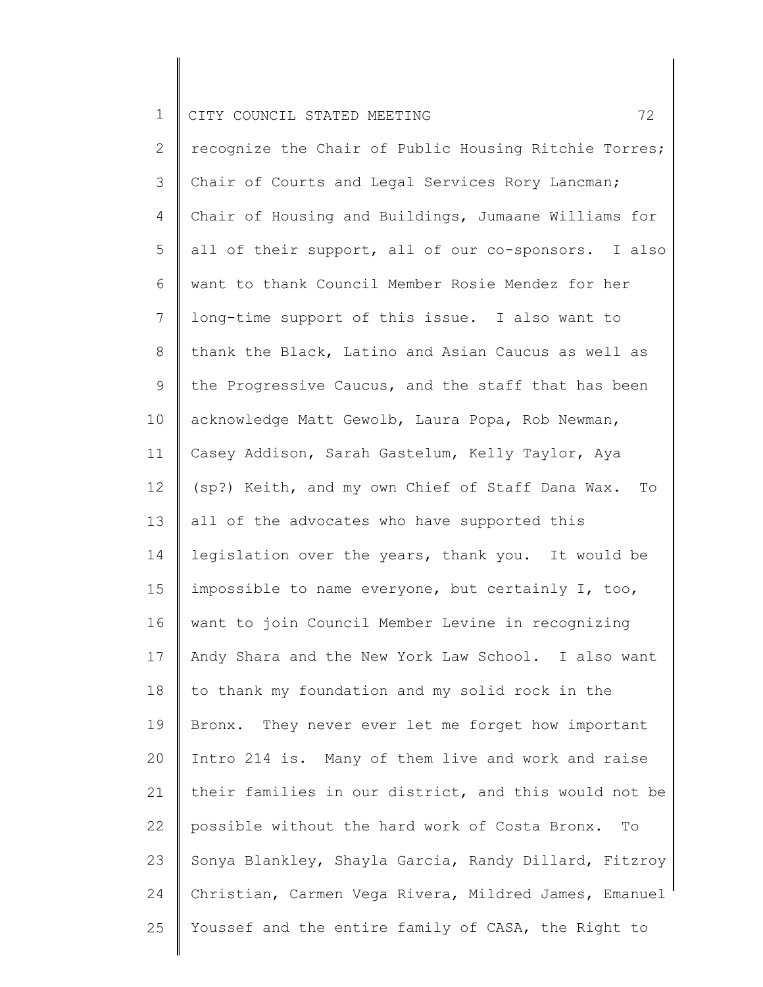2 3 4 5 6 7 8 9 10 11 12 13 14 15 16 17 18 19 20 21 22 23 24 25 recognize the Chair of Public Housing Ritchie Torres; Chair of Courts and Legal Services Rory Lancman; Chair of Housing and Buildings, Jumaane Williams for all of their support, all of our co-sponsors. I also want to thank Council Member Rosie Mendez for her long-time support of this issue. I also want to thank the Black, Latino and Asian Caucus as well as the Progressive Caucus, and the staff that has been acknowledge Matt Gewolb, Laura Popa, Rob Newman, Casey Addison, Sarah Gastelum, Kelly Taylor, Aya (sp?) Keith, and my own Chief of Staff Dana Wax. To all of the advocates who have supported this legislation over the years, thank you. It would be impossible to name everyone, but certainly I, too, want to join Council Member Levine in recognizing Andy Shara and the New York Law School. I also want to thank my foundation and my solid rock in the Bronx. They never ever let me forget how important Intro 214 is. Many of them live and work and raise their families in our district, and this would not be possible without the hard work of Costa Bronx. To Sonya Blankley, Shayla Garcia, Randy Dillard, Fitzroy Christian, Carmen Vega Rivera, Mildred James, Emanuel Youssef and the entire family of CASA, the Right to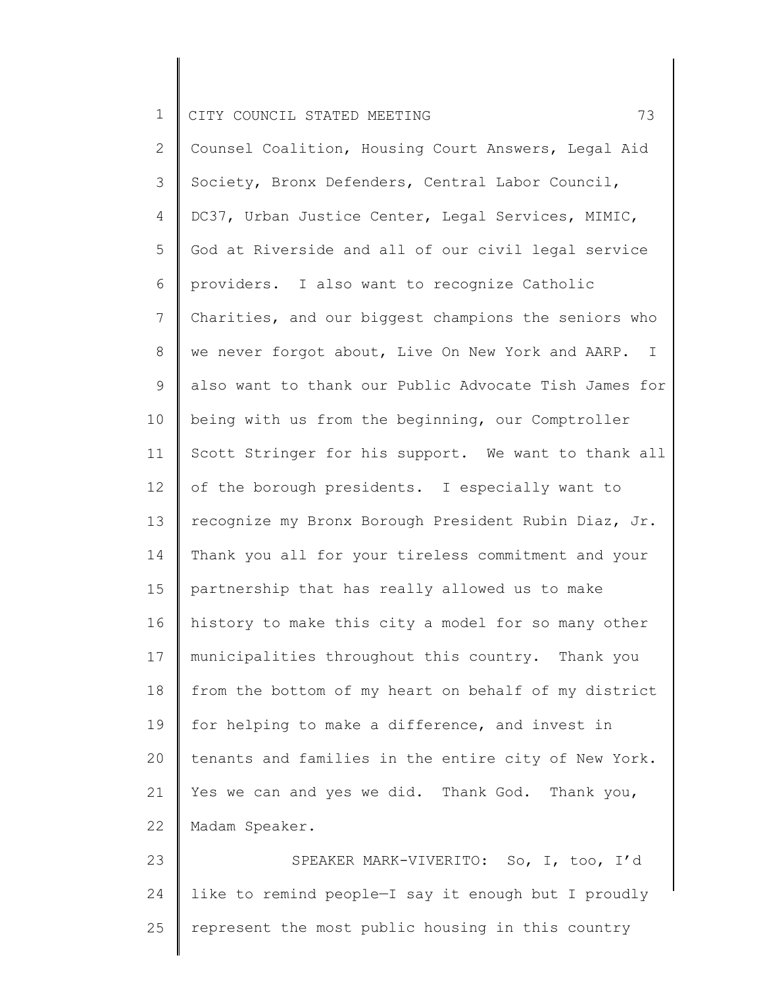2 3 4 5 6 7 8 9 10 11 12 13 14 15 16 17 18 19 20 21 22 Counsel Coalition, Housing Court Answers, Legal Aid Society, Bronx Defenders, Central Labor Council, DC37, Urban Justice Center, Legal Services, MIMIC, God at Riverside and all of our civil legal service providers. I also want to recognize Catholic Charities, and our biggest champions the seniors who we never forgot about, Live On New York and AARP. I also want to thank our Public Advocate Tish James for being with us from the beginning, our Comptroller Scott Stringer for his support. We want to thank all of the borough presidents. I especially want to recognize my Bronx Borough President Rubin Diaz, Jr. Thank you all for your tireless commitment and your partnership that has really allowed us to make history to make this city a model for so many other municipalities throughout this country. Thank you from the bottom of my heart on behalf of my district for helping to make a difference, and invest in tenants and families in the entire city of New York. Yes we can and yes we did. Thank God. Thank you, Madam Speaker.

23 24 25 SPEAKER MARK-VIVERITO: So, I, too, I'd like to remind people—I say it enough but I proudly represent the most public housing in this country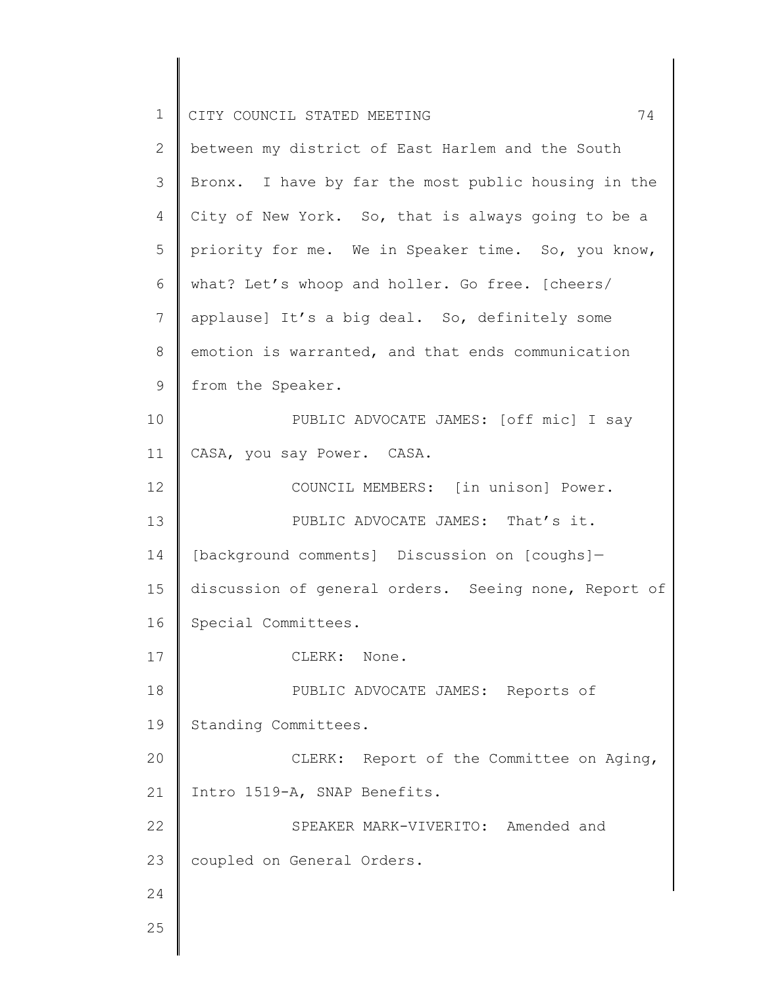| $\mathbf 1$  | 74<br>CITY COUNCIL STATED MEETING                    |
|--------------|------------------------------------------------------|
| $\mathbf{2}$ | between my district of East Harlem and the South     |
| 3            | Bronx. I have by far the most public housing in the  |
| 4            | City of New York. So, that is always going to be a   |
| 5            | priority for me. We in Speaker time. So, you know,   |
| 6            | what? Let's whoop and holler. Go free. [cheers/      |
| 7            | applause] It's a big deal. So, definitely some       |
| 8            | emotion is warranted, and that ends communication    |
| 9            | from the Speaker.                                    |
| 10           | PUBLIC ADVOCATE JAMES: [off mic] I say               |
| 11           | CASA, you say Power. CASA.                           |
| 12           | COUNCIL MEMBERS: [in unison] Power.                  |
| 13           | PUBLIC ADVOCATE JAMES: That's it.                    |
| 14           | [background comments] Discussion on [coughs]-        |
| 15           | discussion of general orders. Seeing none, Report of |
| 16           | Special Committees.                                  |
| 17           | CLERK: None.                                         |
| 18           | PUBLIC ADVOCATE JAMES: Reports of                    |
| 19           | Standing Committees.                                 |
| 20           | CLERK: Report of the Committee on Aging,             |
| 21           | Intro 1519-A, SNAP Benefits.                         |
| 22           | SPEAKER MARK-VIVERITO: Amended and                   |
| 23           | coupled on General Orders.                           |
| 24           |                                                      |
| 25           |                                                      |
|              |                                                      |

║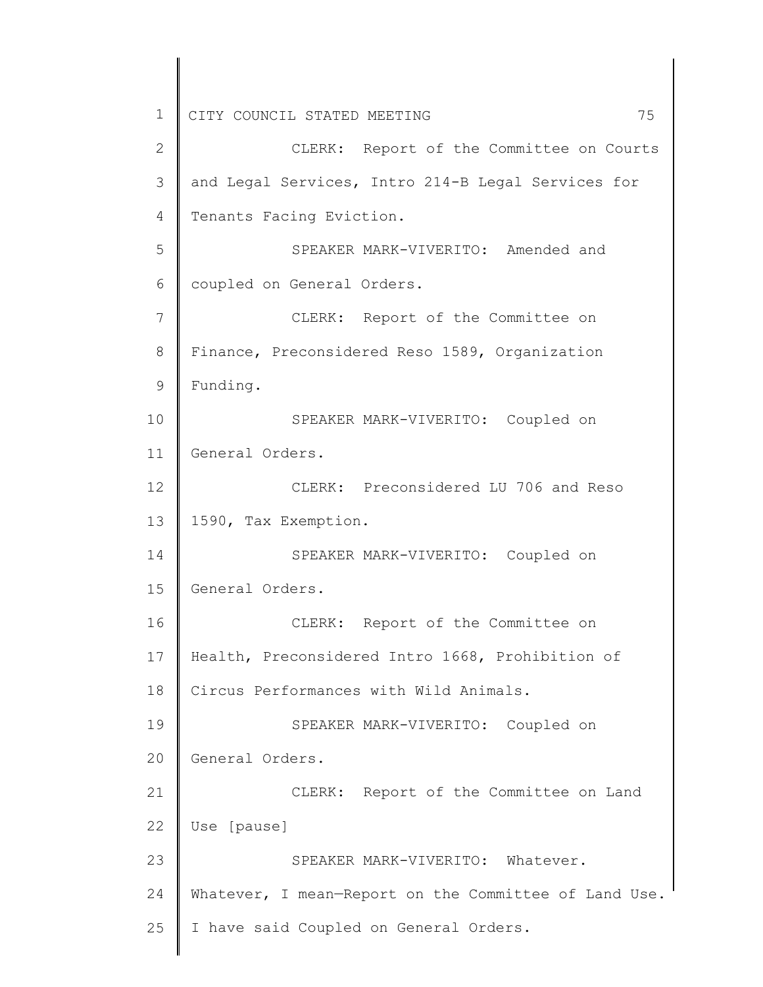1 2 3 4 5 6 7 8 9 10 11 12 13 14 15 16 17 18 19 20 21 22 23 24 25 CITY COUNCIL STATED MEETING 75 CLERK: Report of the Committee on Courts and Legal Services, Intro 214-B Legal Services for Tenants Facing Eviction. SPEAKER MARK-VIVERITO: Amended and coupled on General Orders. CLERK: Report of the Committee on Finance, Preconsidered Reso 1589, Organization Funding. SPEAKER MARK-VIVERITO: Coupled on General Orders. CLERK: Preconsidered LU 706 and Reso 1590, Tax Exemption. SPEAKER MARK-VIVERITO: Coupled on General Orders. CLERK: Report of the Committee on Health, Preconsidered Intro 1668, Prohibition of Circus Performances with Wild Animals. SPEAKER MARK-VIVERITO: Coupled on General Orders. CLERK: Report of the Committee on Land Use [pause] SPEAKER MARK-VIVERITO: Whatever. Whatever, I mean-Report on the Committee of Land Use. I have said Coupled on General Orders.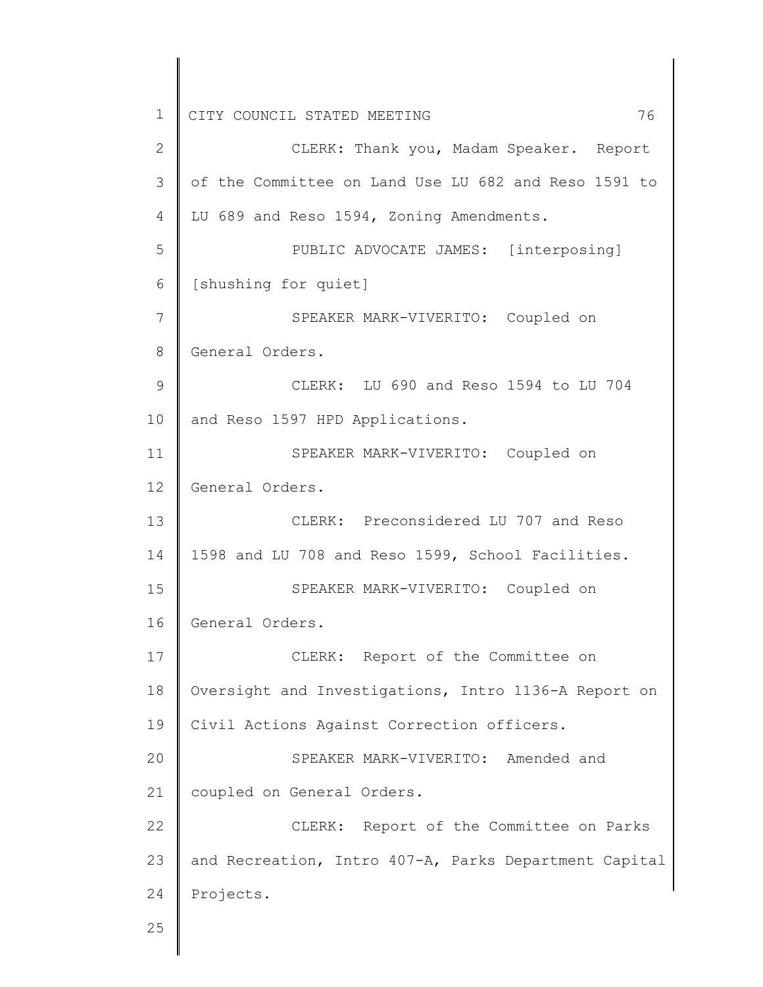1 2 3 4 5 6 7 8 9 10 11 12 13 14 15 16 17 18 19 20 21 22 23 24 25 CITY COUNCIL STATED MEETING 76 CLERK: Thank you, Madam Speaker. Report of the Committee on Land Use LU 682 and Reso 1591 to LU 689 and Reso 1594, Zoning Amendments. PUBLIC ADVOCATE JAMES: [interposing] [shushing for quiet] SPEAKER MARK-VIVERITO: Coupled on General Orders. CLERK: LU 690 and Reso 1594 to LU 704 and Reso 1597 HPD Applications. SPEAKER MARK-VIVERITO: Coupled on General Orders. CLERK: Preconsidered LU 707 and Reso 1598 and LU 708 and Reso 1599, School Facilities. SPEAKER MARK-VIVERITO: Coupled on General Orders. CLERK: Report of the Committee on Oversight and Investigations, Intro 1136-A Report on Civil Actions Against Correction officers. SPEAKER MARK-VIVERITO: Amended and coupled on General Orders. CLERK: Report of the Committee on Parks and Recreation, Intro 407-A, Parks Department Capital Projects.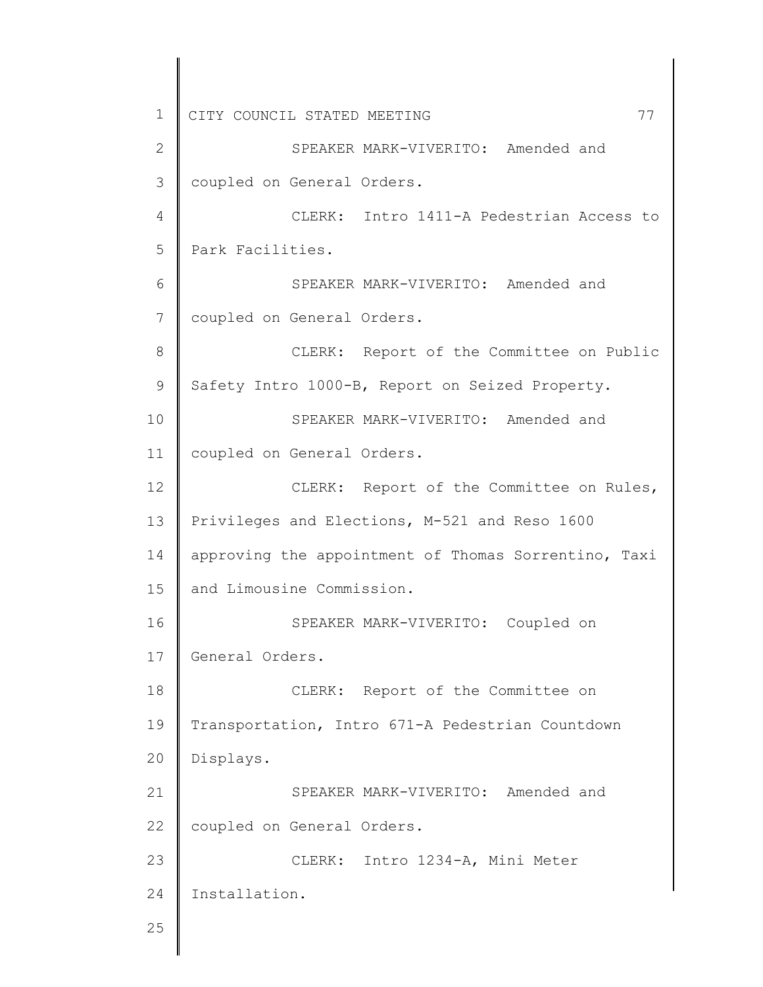1 2 3 4 5 6 7 8 9 10 11 12 13 14 15 16 17 18 19 20 21 22 23 24 25 CITY COUNCIL STATED MEETING 77 SPEAKER MARK-VIVERITO: Amended and coupled on General Orders. CLERK: Intro 1411-A Pedestrian Access to Park Facilities. SPEAKER MARK-VIVERITO: Amended and coupled on General Orders. CLERK: Report of the Committee on Public Safety Intro 1000-B, Report on Seized Property. SPEAKER MARK-VIVERITO: Amended and coupled on General Orders. CLERK: Report of the Committee on Rules, Privileges and Elections, M-521 and Reso 1600 approving the appointment of Thomas Sorrentino, Taxi and Limousine Commission. SPEAKER MARK-VIVERITO: Coupled on General Orders. CLERK: Report of the Committee on Transportation, Intro 671-A Pedestrian Countdown Displays. SPEAKER MARK-VIVERITO: Amended and coupled on General Orders. CLERK: Intro 1234-A, Mini Meter Installation.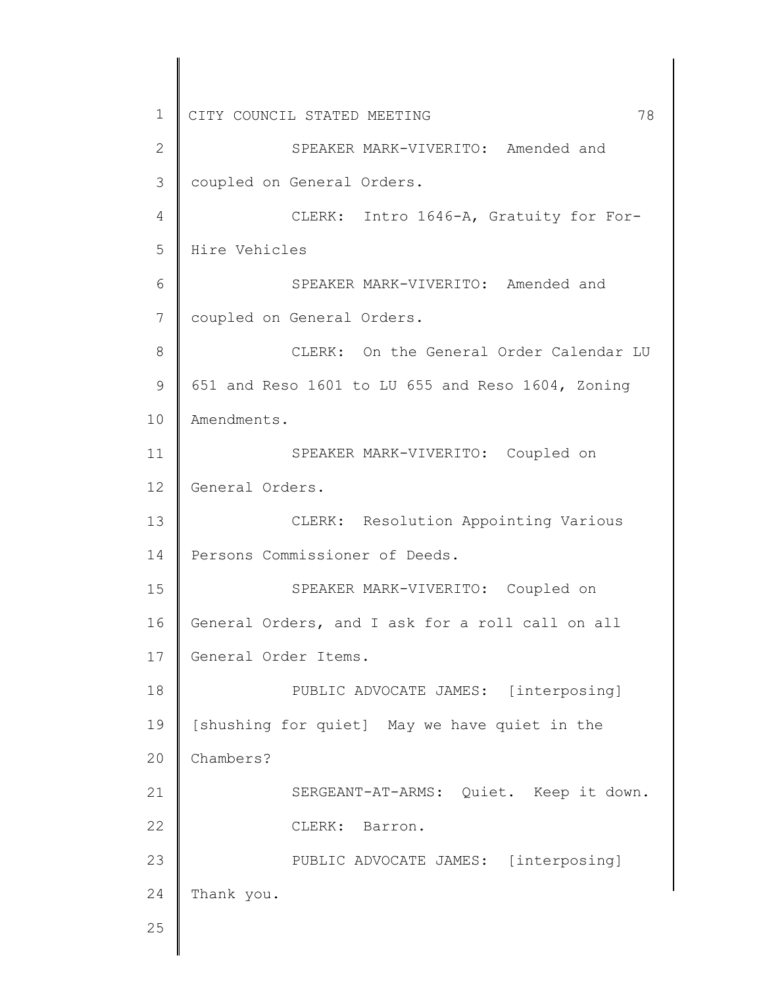1 2 3 4 5 6 7 8 9 10 11 12 13 14 15 16 17 18 19 20 21 22 23 24 25 CITY COUNCIL STATED MEETING 78 SPEAKER MARK-VIVERITO: Amended and coupled on General Orders. CLERK: Intro 1646-A, Gratuity for For-Hire Vehicles SPEAKER MARK-VIVERITO: Amended and coupled on General Orders. CLERK: On the General Order Calendar LU 651 and Reso 1601 to LU 655 and Reso 1604, Zoning Amendments. SPEAKER MARK-VIVERITO: Coupled on General Orders. CLERK: Resolution Appointing Various Persons Commissioner of Deeds. SPEAKER MARK-VIVERITO: Coupled on General Orders, and I ask for a roll call on all General Order Items. PUBLIC ADVOCATE JAMES: [interposing] [shushing for quiet] May we have quiet in the Chambers? SERGEANT-AT-ARMS: Quiet. Keep it down. CLERK: Barron. PUBLIC ADVOCATE JAMES: [interposing] Thank you.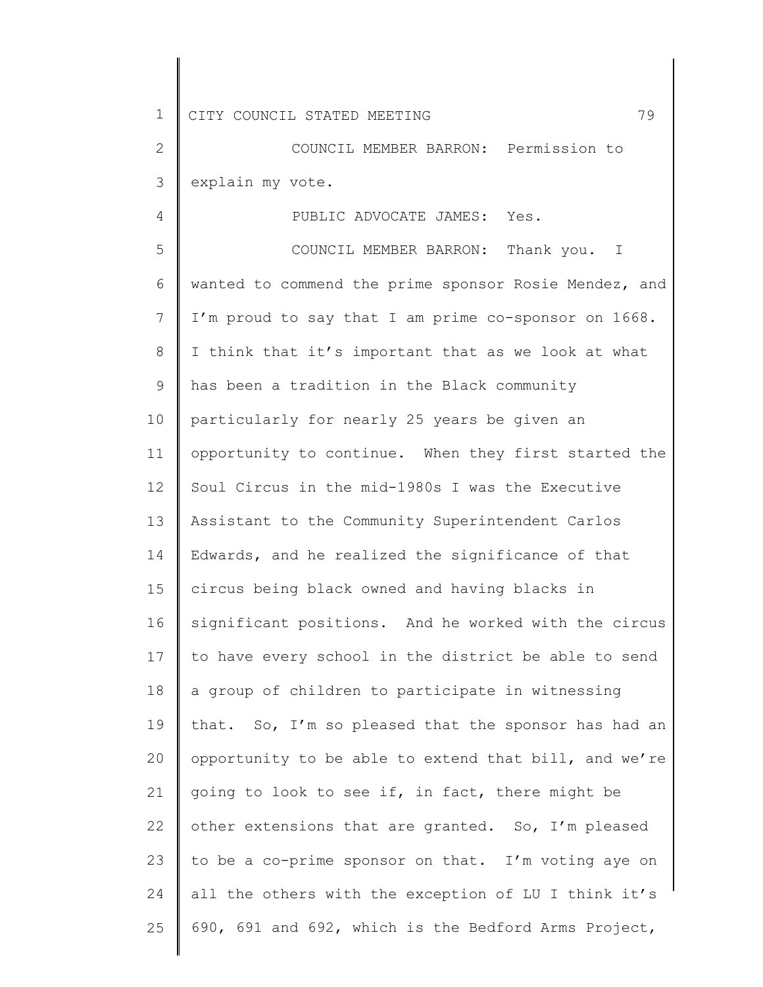4

2 3 COUNCIL MEMBER BARRON: Permission to explain my vote.

PUBLIC ADVOCATE JAMES: Yes.

5 6 7 8 9 10 11 12 13 14 15 16 17 18 19 20 21 22 23 24 25 COUNCIL MEMBER BARRON: Thank you. I wanted to commend the prime sponsor Rosie Mendez, and I'm proud to say that I am prime co-sponsor on 1668. I think that it's important that as we look at what has been a tradition in the Black community particularly for nearly 25 years be given an opportunity to continue. When they first started the Soul Circus in the mid-1980s I was the Executive Assistant to the Community Superintendent Carlos Edwards, and he realized the significance of that circus being black owned and having blacks in significant positions. And he worked with the circus to have every school in the district be able to send a group of children to participate in witnessing that. So, I'm so pleased that the sponsor has had an opportunity to be able to extend that bill, and we're going to look to see if, in fact, there might be other extensions that are granted. So, I'm pleased to be a co-prime sponsor on that. I'm voting aye on all the others with the exception of LU I think it's 690, 691 and 692, which is the Bedford Arms Project,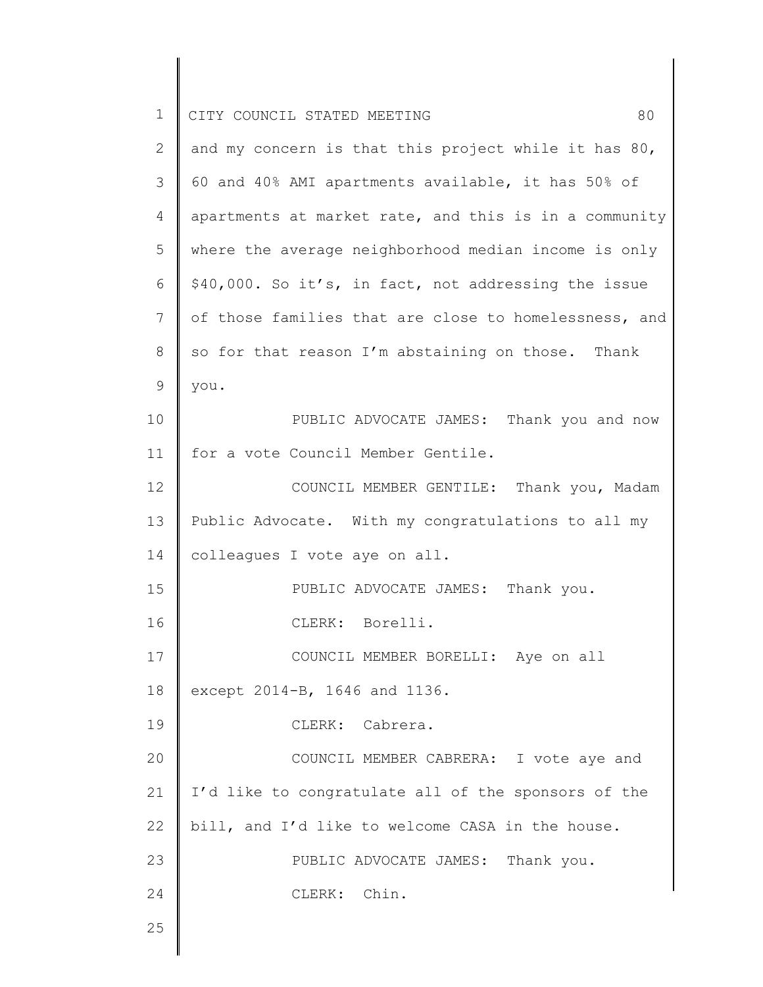| $\mathbf 1$ | 80<br>CITY COUNCIL STATED MEETING                     |
|-------------|-------------------------------------------------------|
| 2           | and my concern is that this project while it has 80,  |
| 3           | 60 and 40% AMI apartments available, it has 50% of    |
| 4           | apartments at market rate, and this is in a community |
| 5           | where the average neighborhood median income is only  |
| 6           | \$40,000. So it's, in fact, not addressing the issue  |
| 7           | of those families that are close to homelessness, and |
| 8           | so for that reason I'm abstaining on those. Thank     |
| 9           | you.                                                  |
| 10          | PUBLIC ADVOCATE JAMES: Thank you and now              |
| 11          | for a vote Council Member Gentile.                    |
| 12          | COUNCIL MEMBER GENTILE: Thank you, Madam              |
| 13          | Public Advocate. With my congratulations to all my    |
| 14          | colleagues I vote aye on all.                         |
| 15          | PUBLIC ADVOCATE JAMES: Thank you.                     |
| 16          | CLERK: Borelli.                                       |
| 17          | COUNCIL MEMBER BORELLI: Aye on all                    |
| 18          | except 2014-B, 1646 and 1136.                         |
| 19          | CLERK: Cabrera.                                       |
| 20          | COUNCIL MEMBER CABRERA: I vote aye and                |
| 21          | I'd like to congratulate all of the sponsors of the   |
| 22          | bill, and I'd like to welcome CASA in the house.      |
| 23          | PUBLIC ADVOCATE JAMES: Thank you.                     |
| 24          | CLERK: Chin.                                          |
| 25          |                                                       |
|             |                                                       |

║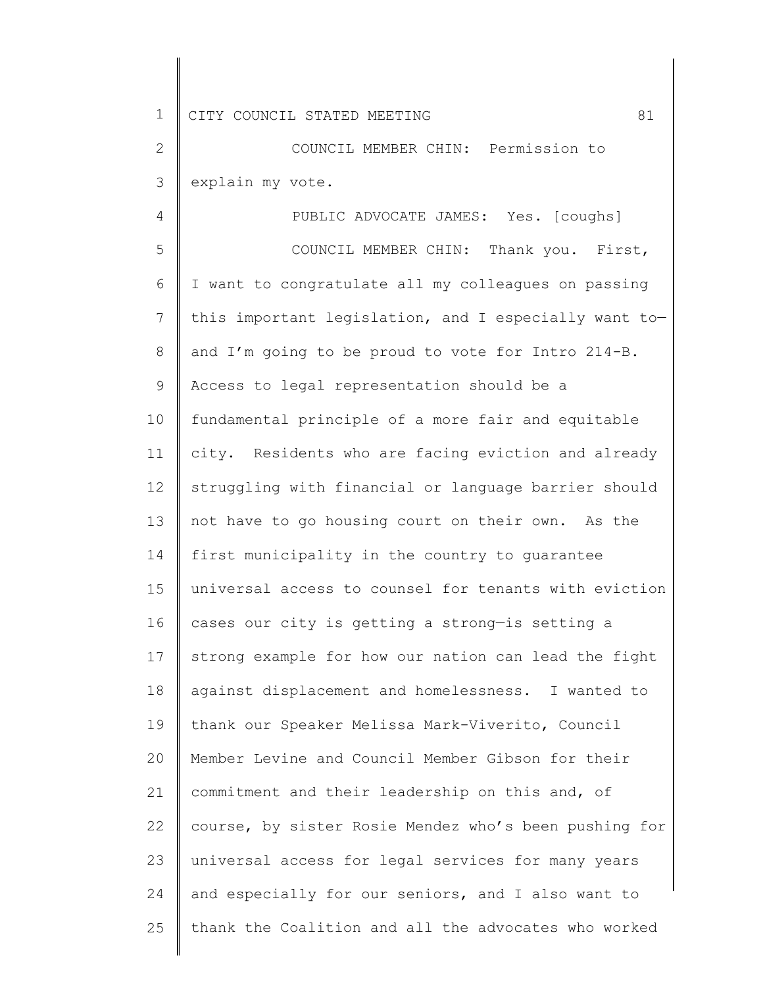2 3 COUNCIL MEMBER CHIN: Permission to explain my vote.

4 5 6 7 8 9 10 11 12 13 14 15 16 17 18 19 20 21 22 23 24 25 PUBLIC ADVOCATE JAMES: Yes. [coughs] COUNCIL MEMBER CHIN: Thank you. First, I want to congratulate all my colleagues on passing this important legislation, and I especially want to and I'm going to be proud to vote for Intro 214-B. Access to legal representation should be a fundamental principle of a more fair and equitable city. Residents who are facing eviction and already struggling with financial or language barrier should not have to go housing court on their own. As the first municipality in the country to guarantee universal access to counsel for tenants with eviction cases our city is getting a strong—is setting a strong example for how our nation can lead the fight against displacement and homelessness. I wanted to thank our Speaker Melissa Mark-Viverito, Council Member Levine and Council Member Gibson for their commitment and their leadership on this and, of course, by sister Rosie Mendez who's been pushing for universal access for legal services for many years and especially for our seniors, and I also want to thank the Coalition and all the advocates who worked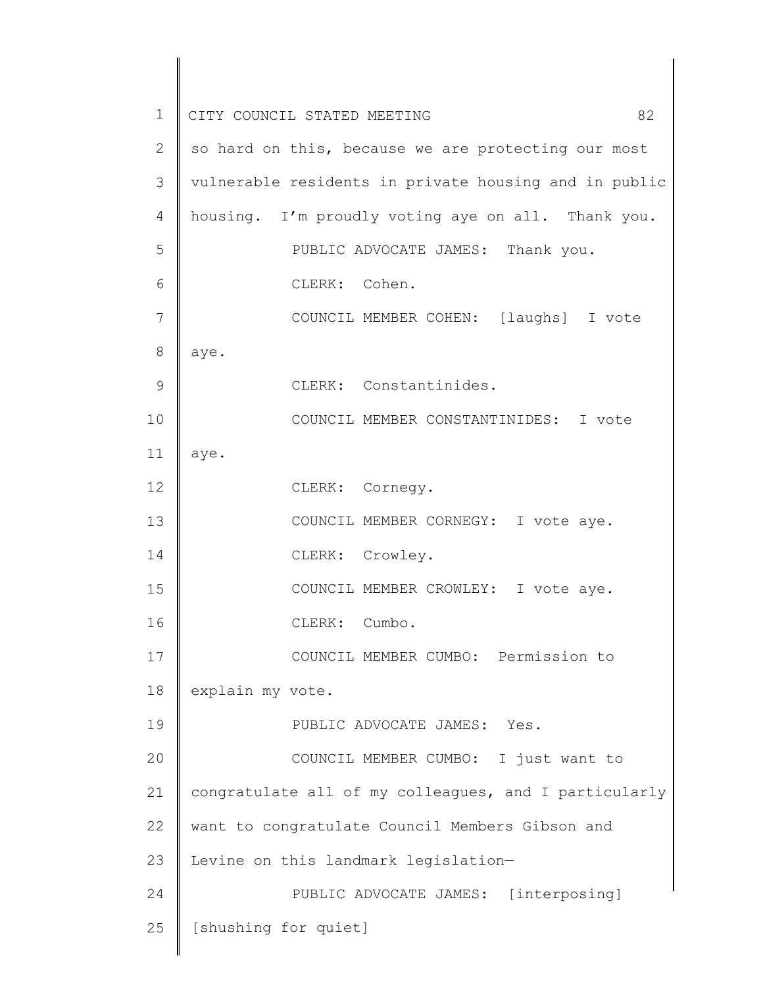| $\mathbf 1$   | 82<br>CITY COUNCIL STATED MEETING                     |
|---------------|-------------------------------------------------------|
| $\mathbf{2}$  | so hard on this, because we are protecting our most   |
| 3             | vulnerable residents in private housing and in public |
| 4             | housing. I'm proudly voting aye on all. Thank you.    |
| 5             | PUBLIC ADVOCATE JAMES: Thank you.                     |
| 6             | CLERK: Cohen.                                         |
| 7             | COUNCIL MEMBER COHEN: [laughs] I vote                 |
| 8             | aye.                                                  |
| $\mathcal{G}$ | CLERK: Constantinides.                                |
| 10            | COUNCIL MEMBER CONSTANTINIDES: I vote                 |
| 11            | aye.                                                  |
| 12            | CLERK: Cornegy.                                       |
| 13            | COUNCIL MEMBER CORNEGY: I vote aye.                   |
| 14            | CLERK: Crowley.                                       |
| 15            | COUNCIL MEMBER CROWLEY: I vote aye.                   |
| 16            | CLERK:<br>Cumbo.                                      |
| 17            | COUNCIL MEMBER CUMBO: Permission to                   |
| 18            | explain my vote.                                      |
| 19            | PUBLIC ADVOCATE JAMES: Yes.                           |
| 20            | COUNCIL MEMBER CUMBO: I just want to                  |
| 21            | congratulate all of my colleagues, and I particularly |
| 22            | want to congratulate Council Members Gibson and       |
| 23            | Levine on this landmark legislation-                  |
| 24            | PUBLIC ADVOCATE JAMES: [interposing]                  |
| 25            | [shushing for quiet]                                  |
|               |                                                       |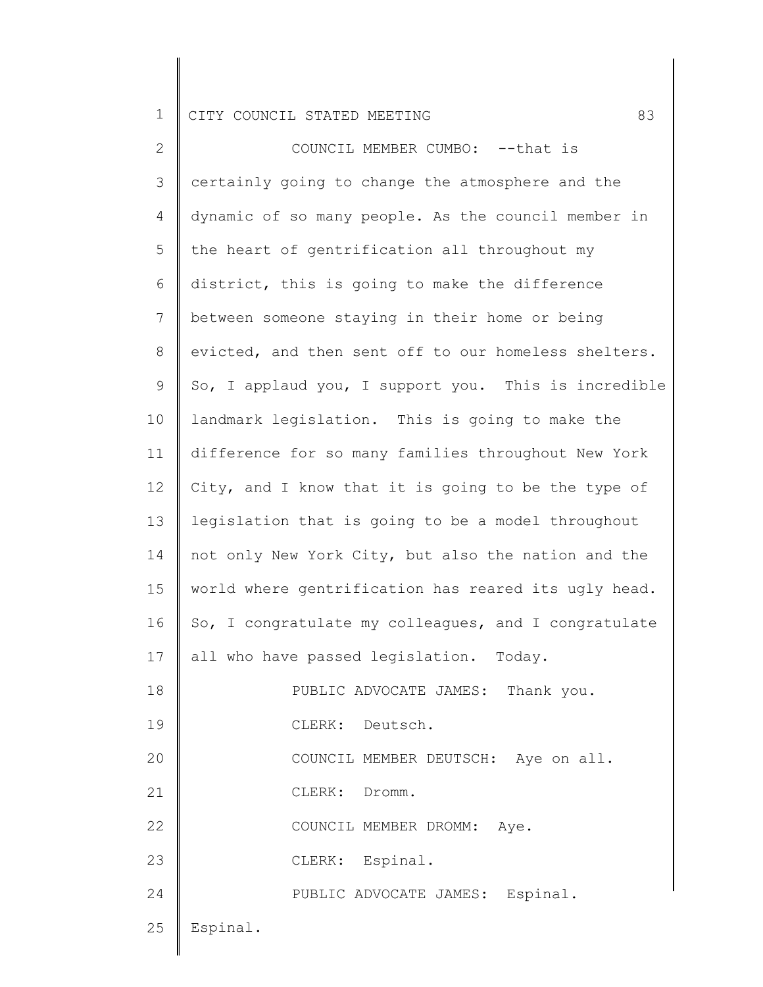2 3 4 5 6 7 8 9 10 11 12 13 14 15 16 17 18 19 20 21 22 23 24 25 COUNCIL MEMBER CUMBO: --that is certainly going to change the atmosphere and the dynamic of so many people. As the council member in the heart of gentrification all throughout my district, this is going to make the difference between someone staying in their home or being evicted, and then sent off to our homeless shelters. So, I applaud you, I support you. This is incredible landmark legislation. This is going to make the difference for so many families throughout New York City, and I know that it is going to be the type of legislation that is going to be a model throughout not only New York City, but also the nation and the world where gentrification has reared its ugly head. So, I congratulate my colleagues, and I congratulate all who have passed legislation. Today. PUBLIC ADVOCATE JAMES: Thank you. CLERK: Deutsch. COUNCIL MEMBER DEUTSCH: Aye on all. CLERK: Dromm. COUNCIL MEMBER DROMM: Aye. CLERK: Espinal. PUBLIC ADVOCATE JAMES: Espinal. Espinal.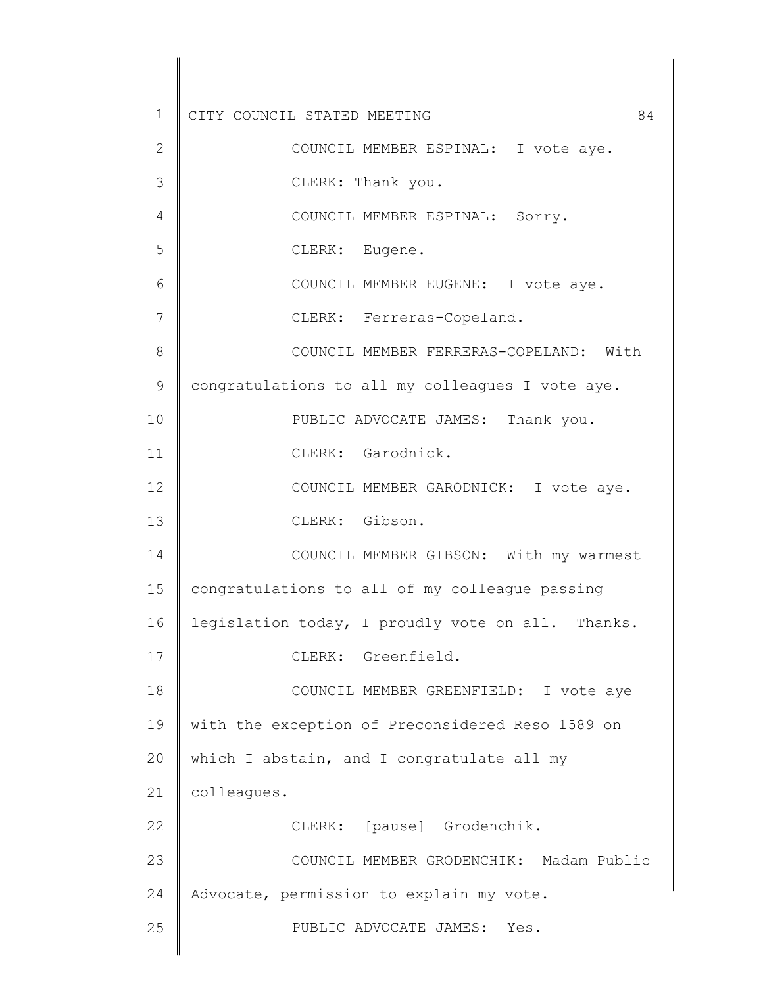1 2 3 4 5 6 7 8 9 10 11 12 13 14 15 16 17 18 19 20 21 22 23 24 25 CITY COUNCIL STATED MEETING 84 COUNCIL MEMBER ESPINAL: I vote aye. CLERK: Thank you. COUNCIL MEMBER ESPINAL: Sorry. CLERK: Eugene. COUNCIL MEMBER EUGENE: I vote aye. CLERK: Ferreras-Copeland. COUNCIL MEMBER FERRERAS-COPELAND: With congratulations to all my colleagues I vote aye. PUBLIC ADVOCATE JAMES: Thank you. CLERK: Garodnick. COUNCIL MEMBER GARODNICK: I vote aye. CLERK: Gibson. COUNCIL MEMBER GIBSON: With my warmest congratulations to all of my colleague passing legislation today, I proudly vote on all. Thanks. CLERK: Greenfield. COUNCIL MEMBER GREENFIELD: I vote aye with the exception of Preconsidered Reso 1589 on which I abstain, and I congratulate all my colleagues. CLERK: [pause] Grodenchik. COUNCIL MEMBER GRODENCHIK: Madam Public Advocate, permission to explain my vote. PUBLIC ADVOCATE JAMES: Yes.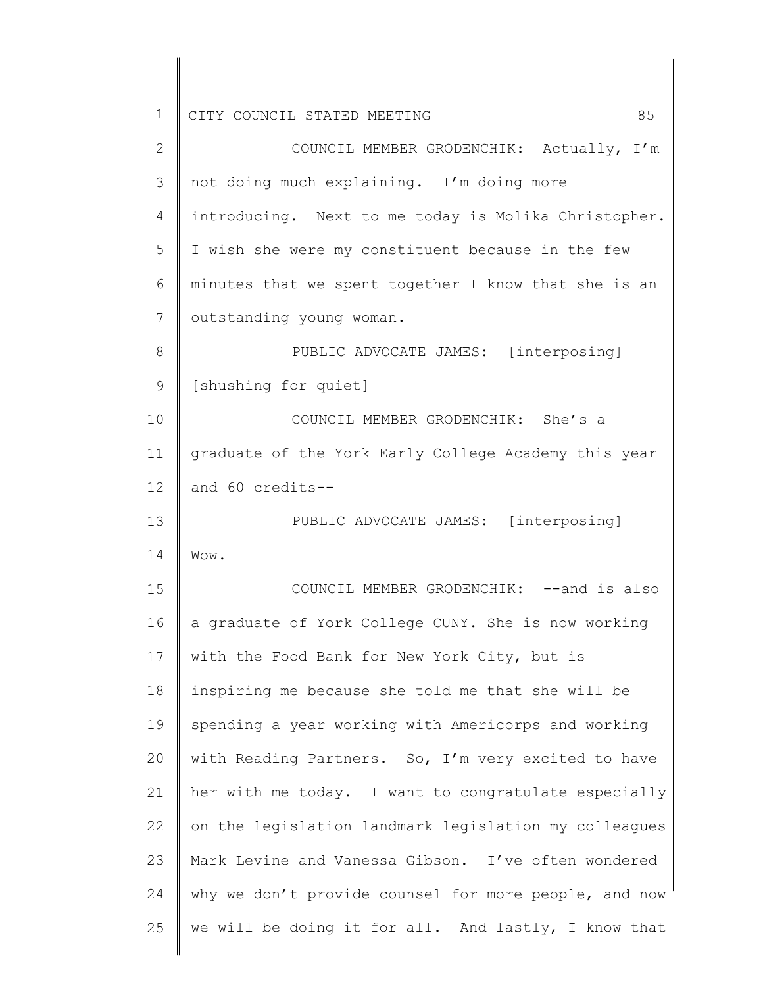| $\overline{2}$ | COUNCIL MEMBER GRODENCHIK: Actually, I'm              |  |  |  |  |  |  |  |  |  |
|----------------|-------------------------------------------------------|--|--|--|--|--|--|--|--|--|
| 3              | not doing much explaining. I'm doing more             |  |  |  |  |  |  |  |  |  |
| 4              | introducing. Next to me today is Molika Christopher.  |  |  |  |  |  |  |  |  |  |
| 5              | I wish she were my constituent because in the few     |  |  |  |  |  |  |  |  |  |
| 6              | minutes that we spent together I know that she is an  |  |  |  |  |  |  |  |  |  |
| 7              | outstanding young woman.                              |  |  |  |  |  |  |  |  |  |
| 8              | PUBLIC ADVOCATE JAMES: [interposing]                  |  |  |  |  |  |  |  |  |  |
| 9              | [shushing for quiet]                                  |  |  |  |  |  |  |  |  |  |
| 10             | COUNCIL MEMBER GRODENCHIK: She's a                    |  |  |  |  |  |  |  |  |  |
| 11             | graduate of the York Early College Academy this year  |  |  |  |  |  |  |  |  |  |
| 12             | and 60 credits--                                      |  |  |  |  |  |  |  |  |  |
| 13             | PUBLIC ADVOCATE JAMES: [interposing]                  |  |  |  |  |  |  |  |  |  |
| 14             | Wow.                                                  |  |  |  |  |  |  |  |  |  |
| 15             | COUNCIL MEMBER GRODENCHIK: -- and is also             |  |  |  |  |  |  |  |  |  |
| 16             | a graduate of York College CUNY. She is now working   |  |  |  |  |  |  |  |  |  |
| 17             | with the Food Bank for New York City, but is          |  |  |  |  |  |  |  |  |  |
| 18             | inspiring me because she told me that she will be     |  |  |  |  |  |  |  |  |  |
| 19             | spending a year working with Americorps and working   |  |  |  |  |  |  |  |  |  |
| 20             | with Reading Partners. So, I'm very excited to have   |  |  |  |  |  |  |  |  |  |
| 21             | her with me today. I want to congratulate especially  |  |  |  |  |  |  |  |  |  |
| 22             | on the legislation-landmark legislation my colleagues |  |  |  |  |  |  |  |  |  |
| 23             | Mark Levine and Vanessa Gibson. I've often wondered   |  |  |  |  |  |  |  |  |  |
| 24             | why we don't provide counsel for more people, and now |  |  |  |  |  |  |  |  |  |
| 25             | we will be doing it for all. And lastly, I know that  |  |  |  |  |  |  |  |  |  |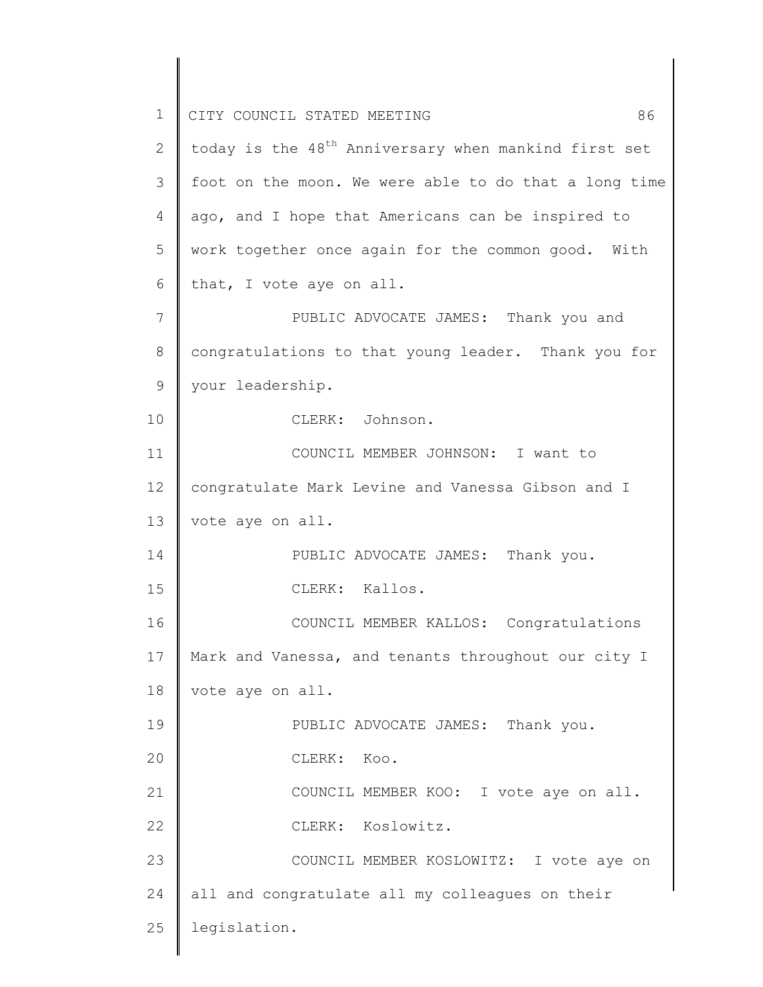| $\mathbf 1$  | CITY COUNCIL STATED MEETING<br>86                                |
|--------------|------------------------------------------------------------------|
| $\mathbf{2}$ | today is the 48 <sup>th</sup> Anniversary when mankind first set |
| 3            | foot on the moon. We were able to do that a long time            |
| 4            | ago, and I hope that Americans can be inspired to                |
| 5            | work together once again for the common good. With               |
| 6            | that, I vote aye on all.                                         |
| 7            | PUBLIC ADVOCATE JAMES: Thank you and                             |
| 8            | congratulations to that young leader. Thank you for              |
| 9            | your leadership.                                                 |
| 10           | CLERK: Johnson.                                                  |
| 11           | COUNCIL MEMBER JOHNSON: I want to                                |
| 12           | congratulate Mark Levine and Vanessa Gibson and I                |
| 13           | vote aye on all.                                                 |
| 14           | PUBLIC ADVOCATE JAMES: Thank you.                                |
| 15           | CLERK: Kallos.                                                   |
| 16           | COUNCIL MEMBER KALLOS: Congratulations                           |
| 17           | Mark and Vanessa, and tenants throughout our city I              |
| 18           | vote aye on all.                                                 |
| 19           | PUBLIC ADVOCATE JAMES: Thank you.                                |
| 20           | CLERK:<br>Koo.                                                   |
| 21           | COUNCIL MEMBER KOO: I vote aye on all.                           |
| 22           | CLERK: Koslowitz.                                                |
| 23           | COUNCIL MEMBER KOSLOWITZ: I vote aye on                          |
| 24           | all and congratulate all my colleagues on their                  |
| 25           | legislation.                                                     |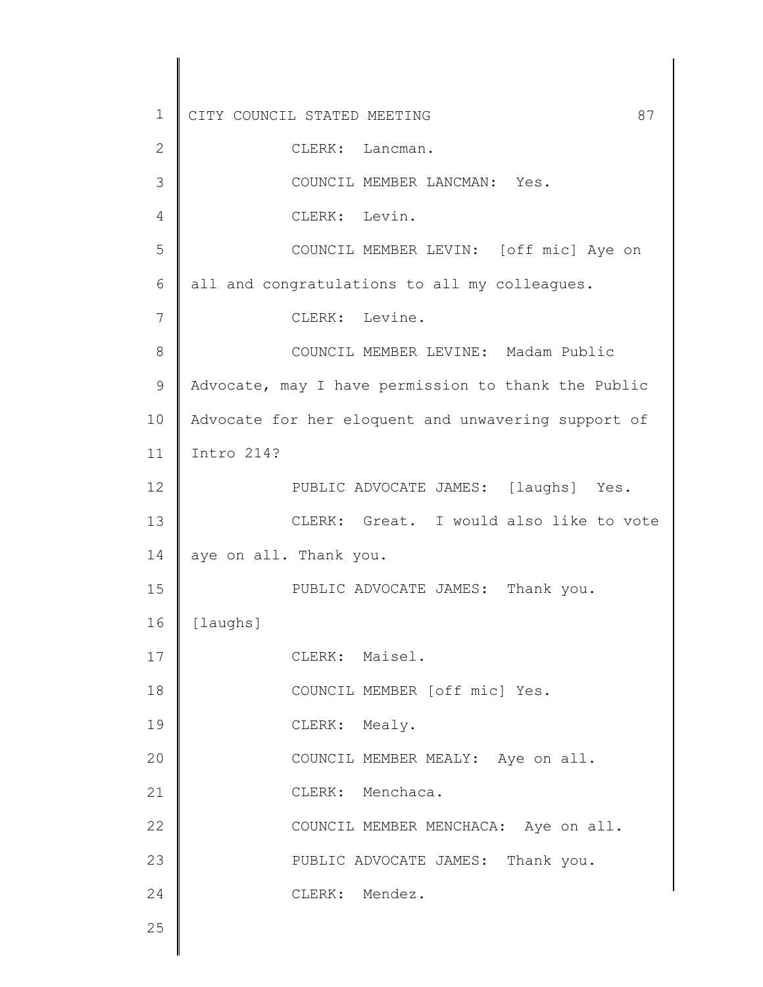1 2 3 4 5 6 7 8 9 10 11 12 13 14 15 16 17 18 19 20 21 22 23 24 25 CITY COUNCIL STATED MEETING 87 CLERK: Lancman. COUNCIL MEMBER LANCMAN: Yes. CLERK: Levin. COUNCIL MEMBER LEVIN: [off mic] Aye on all and congratulations to all my colleagues. CLERK: Levine. COUNCIL MEMBER LEVINE: Madam Public Advocate, may I have permission to thank the Public Advocate for her eloquent and unwavering support of Intro 214? PUBLIC ADVOCATE JAMES: [laughs] Yes. CLERK: Great. I would also like to vote aye on all. Thank you. PUBLIC ADVOCATE JAMES: Thank you. [laughs] CLERK: Maisel. COUNCIL MEMBER [off mic] Yes. CLERK: Mealy. COUNCIL MEMBER MEALY: Aye on all. CLERK: Menchaca. COUNCIL MEMBER MENCHACA: Aye on all. PUBLIC ADVOCATE JAMES: Thank you. CLERK: Mendez.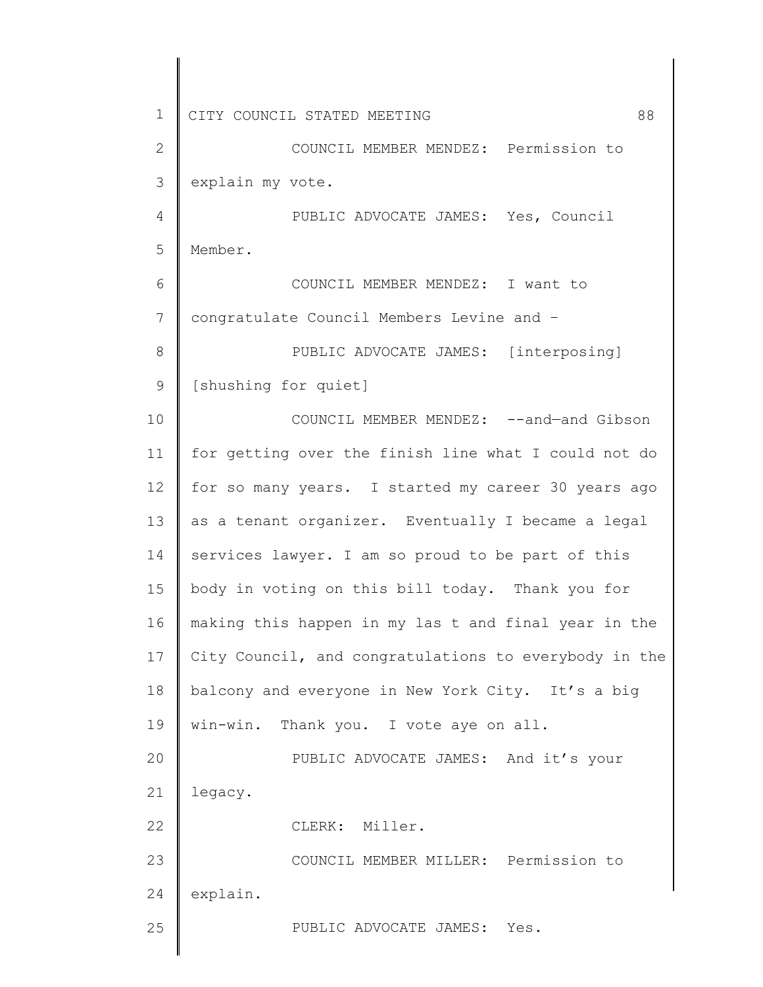1 2 3 4 5 6 7 8 9 10 11 12 13 14 15 16 17 18 19 20 21 22 23 24 25 CITY COUNCIL STATED MEETING 88 COUNCIL MEMBER MENDEZ: Permission to explain my vote. PUBLIC ADVOCATE JAMES: Yes, Council Member. COUNCIL MEMBER MENDEZ: I want to congratulate Council Members Levine and – PUBLIC ADVOCATE JAMES: [interposing] [shushing for quiet] COUNCIL MEMBER MENDEZ: --and—and Gibson for getting over the finish line what I could not do for so many years. I started my career 30 years ago as a tenant organizer. Eventually I became a legal services lawyer. I am so proud to be part of this body in voting on this bill today. Thank you for making this happen in my las t and final year in the City Council, and congratulations to everybody in the balcony and everyone in New York City. It's a big win-win. Thank you. I vote aye on all. PUBLIC ADVOCATE JAMES: And it's your legacy. CLERK: Miller. COUNCIL MEMBER MILLER: Permission to explain. PUBLIC ADVOCATE JAMES: Yes.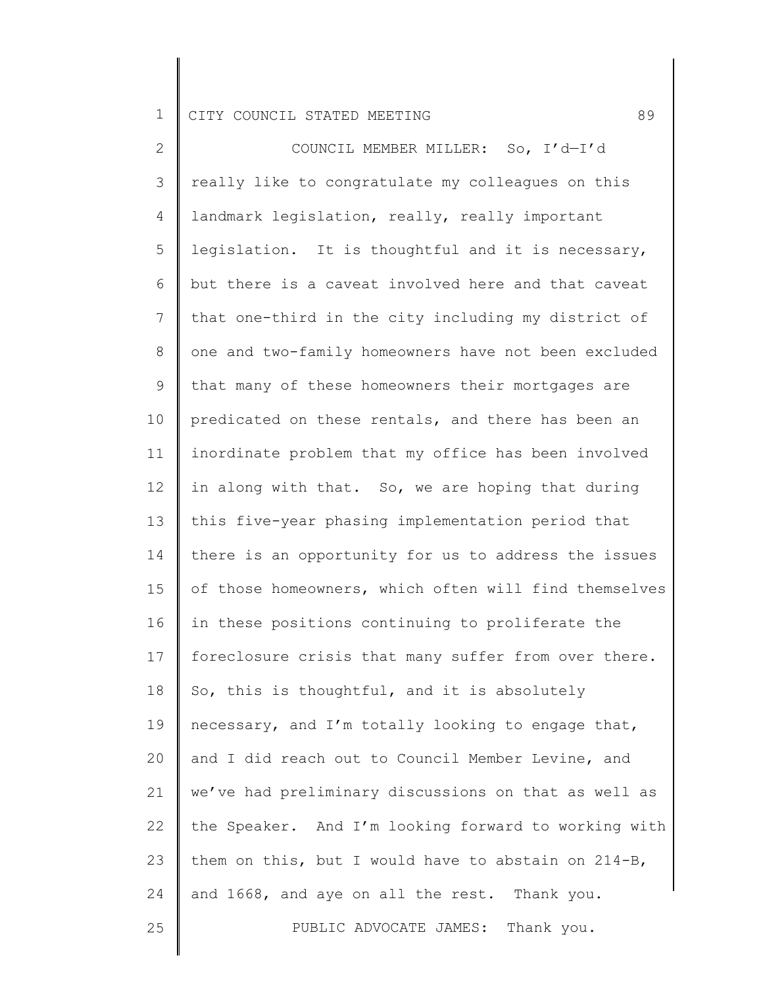2 3 4 5 6 7 8 9 10 11 12 13 14 15 16 17 18 19 20 21 22 23 24 25 COUNCIL MEMBER MILLER: So, I'd—I'd really like to congratulate my colleagues on this landmark legislation, really, really important legislation. It is thoughtful and it is necessary, but there is a caveat involved here and that caveat that one-third in the city including my district of one and two-family homeowners have not been excluded that many of these homeowners their mortgages are predicated on these rentals, and there has been an inordinate problem that my office has been involved in along with that. So, we are hoping that during this five-year phasing implementation period that there is an opportunity for us to address the issues of those homeowners, which often will find themselves in these positions continuing to proliferate the foreclosure crisis that many suffer from over there. So, this is thoughtful, and it is absolutely necessary, and I'm totally looking to engage that, and I did reach out to Council Member Levine, and we've had preliminary discussions on that as well as the Speaker. And I'm looking forward to working with them on this, but I would have to abstain on 214-B, and 1668, and aye on all the rest. Thank you. PUBLIC ADVOCATE JAMES: Thank you.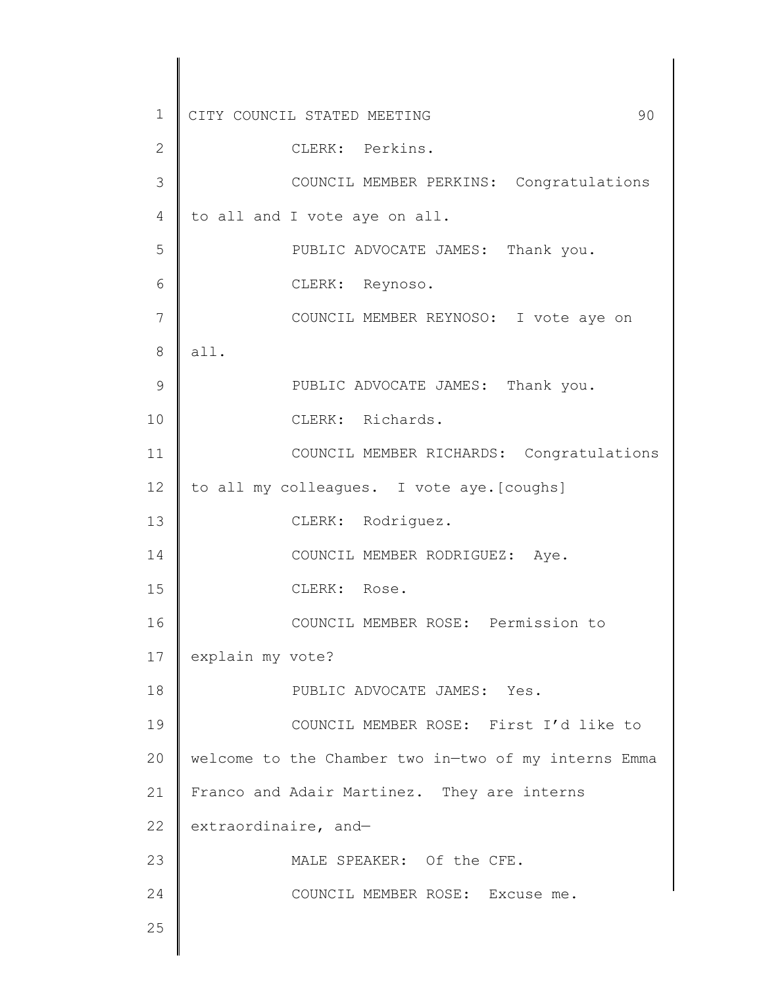1 2 3 4 5 6 7 8 9 10 11 12 13 14 15 16 17 18 19 20 21 22 23 24 25 CITY COUNCIL STATED MEETING 90 CLERK: Perkins. COUNCIL MEMBER PERKINS: Congratulations to all and I vote aye on all. PUBLIC ADVOCATE JAMES: Thank you. CLERK: Reynoso. COUNCIL MEMBER REYNOSO: I vote aye on all. PUBLIC ADVOCATE JAMES: Thank you. CLERK: Richards. COUNCIL MEMBER RICHARDS: Congratulations to all my colleagues. I vote aye.[coughs] CLERK: Rodriguez. COUNCIL MEMBER RODRIGUEZ: Aye. CLERK: Rose. COUNCIL MEMBER ROSE: Permission to explain my vote? PUBLIC ADVOCATE JAMES: Yes. COUNCIL MEMBER ROSE: First I'd like to welcome to the Chamber two in—two of my interns Emma Franco and Adair Martinez. They are interns extraordinaire, and— MALE SPEAKER: Of the CFE. COUNCIL MEMBER ROSE: Excuse me.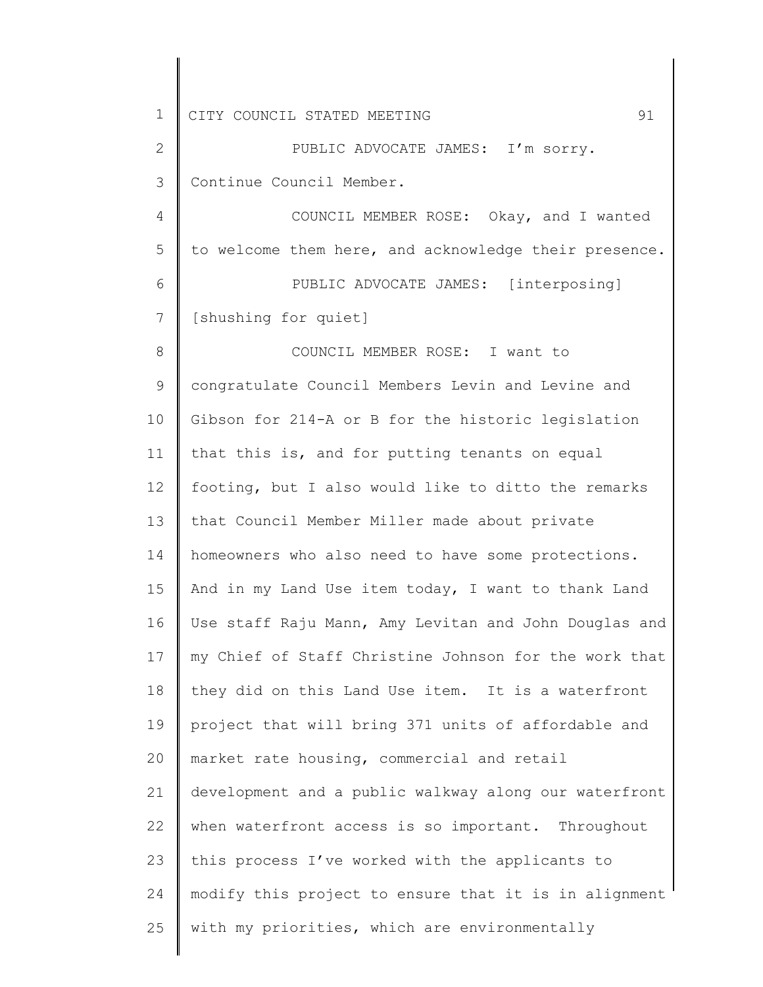1 2 3 4 5 6 7 8 9 10 11 12 13 14 15 16 17 18 19 20 21 22 23 24 25 CITY COUNCIL STATED MEETING 91 PUBLIC ADVOCATE JAMES: I'm sorry. Continue Council Member. COUNCIL MEMBER ROSE: Okay, and I wanted to welcome them here, and acknowledge their presence. PUBLIC ADVOCATE JAMES: [interposing] [shushing for quiet] COUNCIL MEMBER ROSE: I want to congratulate Council Members Levin and Levine and Gibson for 214-A or B for the historic legislation that this is, and for putting tenants on equal footing, but I also would like to ditto the remarks that Council Member Miller made about private homeowners who also need to have some protections. And in my Land Use item today, I want to thank Land Use staff Raju Mann, Amy Levitan and John Douglas and my Chief of Staff Christine Johnson for the work that they did on this Land Use item. It is a waterfront project that will bring 371 units of affordable and market rate housing, commercial and retail development and a public walkway along our waterfront when waterfront access is so important. Throughout this process I've worked with the applicants to modify this project to ensure that it is in alignment with my priorities, which are environmentally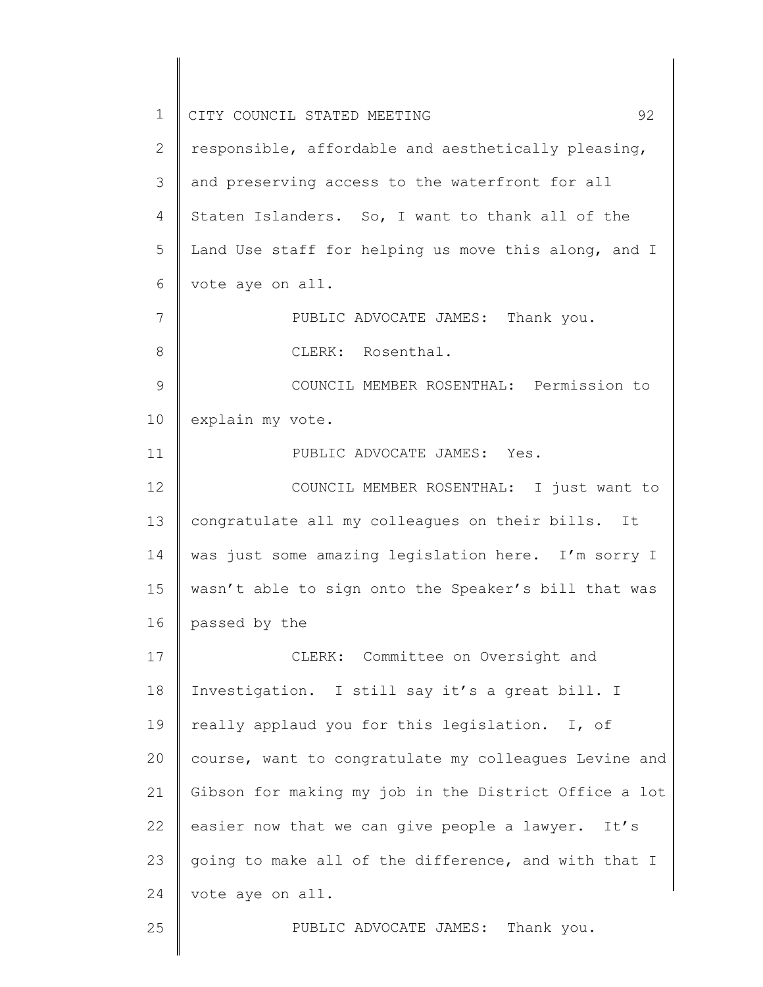1 2 3 4 5 6 7 8 9 10 11 12 13 14 15 16 17 18 19 20 21 22 23 24 25 CITY COUNCIL STATED MEETING 92 responsible, affordable and aesthetically pleasing, and preserving access to the waterfront for all Staten Islanders. So, I want to thank all of the Land Use staff for helping us move this along, and I vote aye on all. PUBLIC ADVOCATE JAMES: Thank you. CLERK: Rosenthal. COUNCIL MEMBER ROSENTHAL: Permission to explain my vote. PUBLIC ADVOCATE JAMES: Yes. COUNCIL MEMBER ROSENTHAL: I just want to congratulate all my colleagues on their bills. It was just some amazing legislation here. I'm sorry I wasn't able to sign onto the Speaker's bill that was passed by the CLERK: Committee on Oversight and Investigation. I still say it's a great bill. I really applaud you for this legislation. I, of course, want to congratulate my colleagues Levine and Gibson for making my job in the District Office a lot easier now that we can give people a lawyer. It's going to make all of the difference, and with that I vote aye on all. PUBLIC ADVOCATE JAMES: Thank you.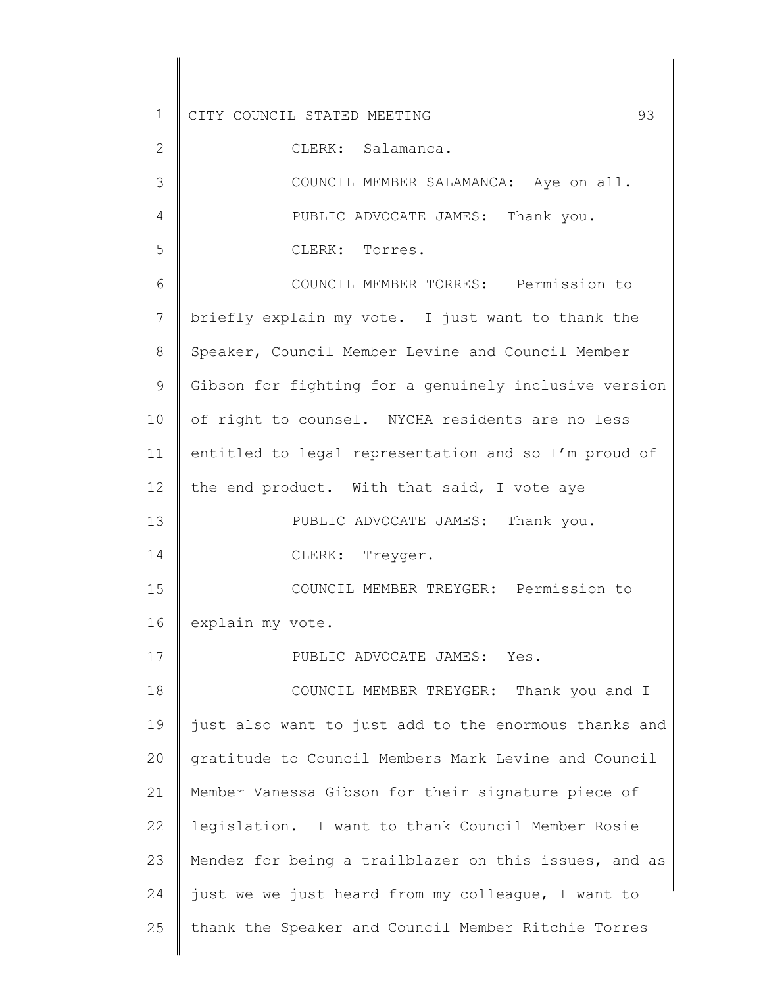2 3 4 5 6 7 8 9 10 11 12 13 14 15 16 17 18 19 20 21 22 23 24 25 CLERK: Salamanca. COUNCIL MEMBER SALAMANCA: Aye on all. PUBLIC ADVOCATE JAMES: Thank you. CLERK: Torres. COUNCIL MEMBER TORRES: Permission to briefly explain my vote. I just want to thank the Speaker, Council Member Levine and Council Member Gibson for fighting for a genuinely inclusive version of right to counsel. NYCHA residents are no less entitled to legal representation and so I'm proud of the end product. With that said, I vote aye PUBLIC ADVOCATE JAMES: Thank you. CLERK: Treyger. COUNCIL MEMBER TREYGER: Permission to explain my vote. PUBLIC ADVOCATE JAMES: Yes. COUNCIL MEMBER TREYGER: Thank you and I just also want to just add to the enormous thanks and gratitude to Council Members Mark Levine and Council Member Vanessa Gibson for their signature piece of legislation. I want to thank Council Member Rosie Mendez for being a trailblazer on this issues, and as just we—we just heard from my colleague, I want to thank the Speaker and Council Member Ritchie Torres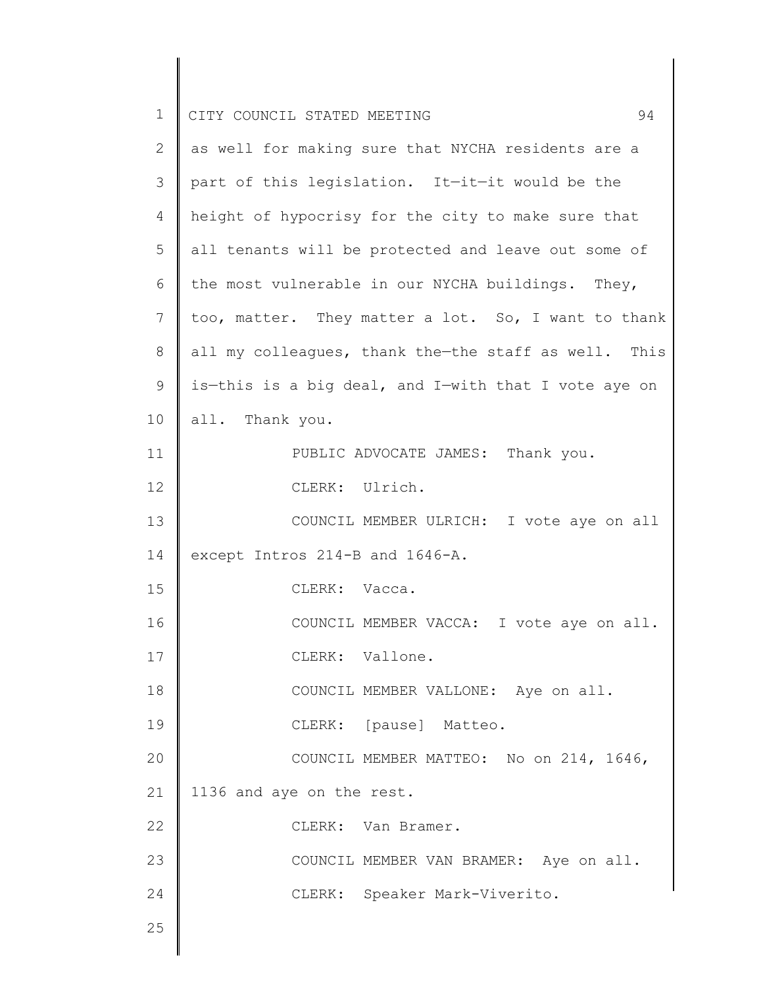| $\mathbf 1$ | 94<br>CITY COUNCIL STATED MEETING                    |
|-------------|------------------------------------------------------|
| 2           | as well for making sure that NYCHA residents are a   |
| 3           | part of this legislation. It-it-it would be the      |
| 4           | height of hypocrisy for the city to make sure that   |
| 5           | all tenants will be protected and leave out some of  |
| 6           | the most vulnerable in our NYCHA buildings. They,    |
| 7           | too, matter. They matter a lot. So, I want to thank  |
| 8           | all my colleagues, thank the-the staff as well. This |
| 9           | is-this is a big deal, and I-with that I vote aye on |
| 10          | all. Thank you.                                      |
| 11          | PUBLIC ADVOCATE JAMES: Thank you.                    |
| 12          | CLERK: Ulrich.                                       |
| 13          | COUNCIL MEMBER ULRICH: I vote aye on all             |
| 14          | except Intros 214-B and 1646-A.                      |
| 15          | CLERK: Vacca.                                        |
| 16          | COUNCIL MEMBER VACCA: I vote aye on all.             |
| 17          | CLERK: Vallone.                                      |
| 18          | COUNCIL MEMBER VALLONE: Aye on all.                  |
| 19          | CLERK: [pause] Matteo.                               |
| 20          | COUNCIL MEMBER MATTEO: No on 214, 1646,              |
| 21          | 1136 and aye on the rest.                            |
| 22          | CLERK: Van Bramer.                                   |
| 23          | COUNCIL MEMBER VAN BRAMER: Aye on all.               |
| 24          | CLERK: Speaker Mark-Viverito.                        |
| 25          |                                                      |
|             |                                                      |

 $\begin{array}{c} \hline \end{array}$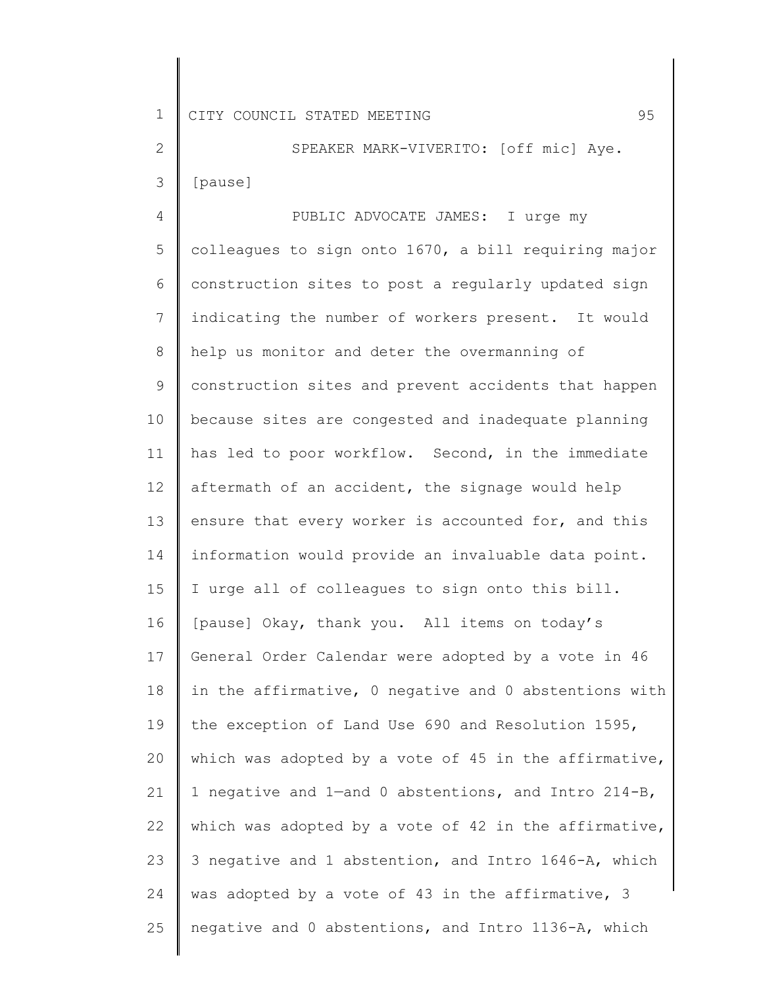2 3 SPEAKER MARK-VIVERITO: [off mic] Aye. [pause]

4 5 6 7 8 9 10 11 12 13 14 15 16 17 18 19 20 21 22 23 24 25 PUBLIC ADVOCATE JAMES: I urge my colleagues to sign onto 1670, a bill requiring major construction sites to post a regularly updated sign indicating the number of workers present. It would help us monitor and deter the overmanning of construction sites and prevent accidents that happen because sites are congested and inadequate planning has led to poor workflow. Second, in the immediate aftermath of an accident, the signage would help ensure that every worker is accounted for, and this information would provide an invaluable data point. I urge all of colleagues to sign onto this bill. [pause] Okay, thank you. All items on today's General Order Calendar were adopted by a vote in 46 in the affirmative, 0 negative and 0 abstentions with the exception of Land Use 690 and Resolution 1595, which was adopted by a vote of 45 in the affirmative, 1 negative and 1—and 0 abstentions, and Intro 214-B, which was adopted by a vote of 42 in the affirmative, 3 negative and 1 abstention, and Intro 1646-A, which was adopted by a vote of 43 in the affirmative, 3 negative and 0 abstentions, and Intro 1136-A, which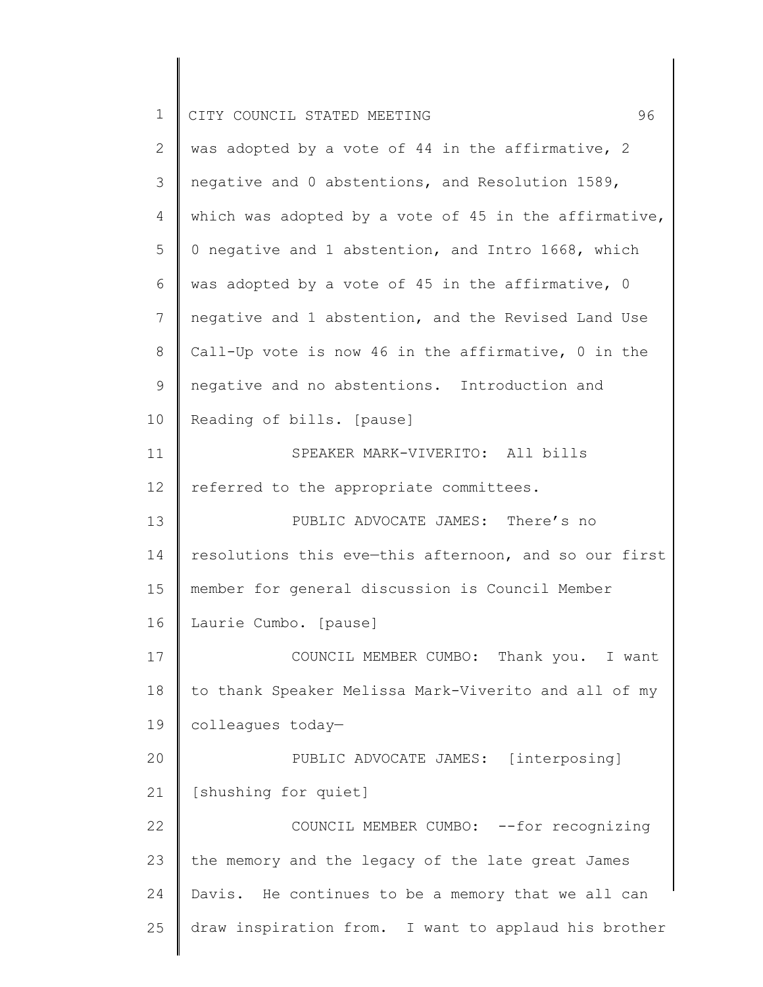| $\mathbf 1$ | 96<br>CITY COUNCIL STATED MEETING                     |
|-------------|-------------------------------------------------------|
| 2           | was adopted by a vote of 44 in the affirmative, 2     |
| 3           | negative and 0 abstentions, and Resolution 1589,      |
| 4           | which was adopted by a vote of 45 in the affirmative, |
| 5           | 0 negative and 1 abstention, and Intro 1668, which    |
| 6           | was adopted by a vote of 45 in the affirmative, 0     |
| 7           | negative and 1 abstention, and the Revised Land Use   |
| $8\,$       | Call-Up vote is now 46 in the affirmative, 0 in the   |
| 9           | negative and no abstentions. Introduction and         |
| 10          | Reading of bills. [pause]                             |
| 11          | SPEAKER MARK-VIVERITO: All bills                      |
| 12          | referred to the appropriate committees.               |
| 13          | PUBLIC ADVOCATE JAMES: There's no                     |
| 14          | resolutions this eve-this afternoon, and so our first |
| 15          | member for general discussion is Council Member       |
| 16          | Laurie Cumbo. [pause]                                 |
| 17          | COUNCIL MEMBER CUMBO: Thank you. I want               |
| 18          | to thank Speaker Melissa Mark-Viverito and all of my  |
| 19          | colleagues today-                                     |
| 20          | PUBLIC ADVOCATE JAMES: [interposing]                  |
| 21          | [shushing for quiet]                                  |
| 22          | COUNCIL MEMBER CUMBO: -- for recognizing              |
| 23          | the memory and the legacy of the late great James     |
| 24          | Davis. He continues to be a memory that we all can    |
| 25          | draw inspiration from. I want to applaud his brother  |
|             |                                                       |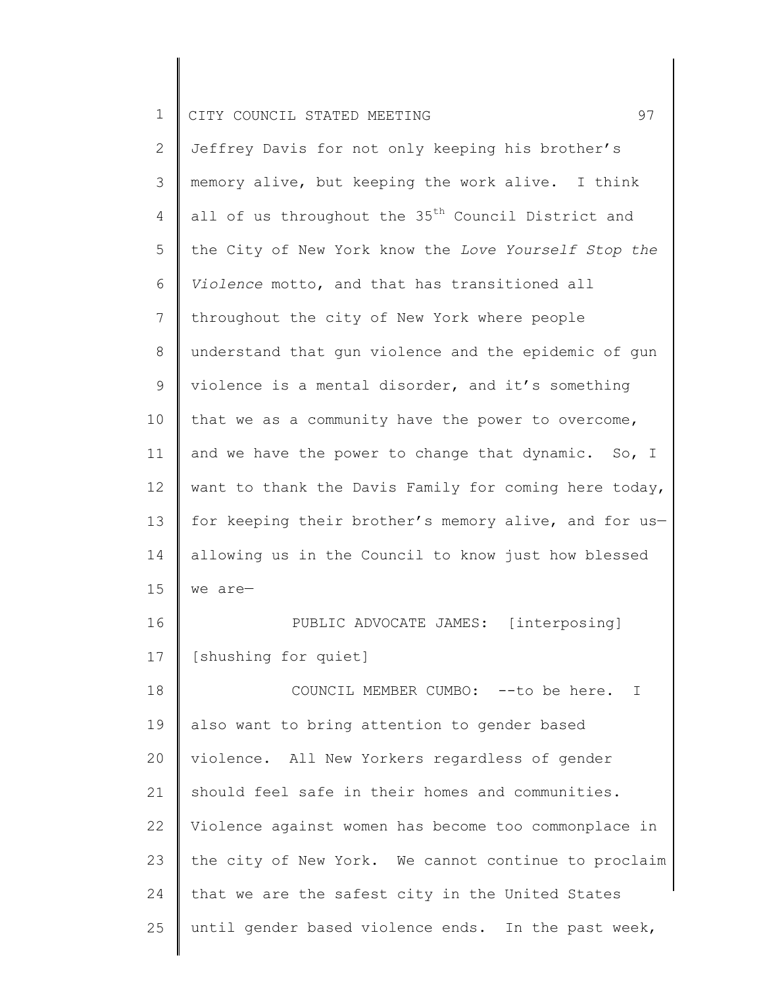2 3 4 5 6 7 8 9 10 11 12 13 14 15 16 17 18 19 20 21 22 23 24 25 Jeffrey Davis for not only keeping his brother's memory alive, but keeping the work alive. I think all of us throughout the 35<sup>th</sup> Council District and the City of New York know the *Love Yourself Stop the Violence* motto, and that has transitioned all throughout the city of New York where people understand that gun violence and the epidemic of gun violence is a mental disorder, and it's something that we as a community have the power to overcome, and we have the power to change that dynamic. So, I want to thank the Davis Family for coming here today, for keeping their brother's memory alive, and for usallowing us in the Council to know just how blessed we are— PUBLIC ADVOCATE JAMES: [interposing] [shushing for quiet] COUNCIL MEMBER CUMBO: --to be here. I also want to bring attention to gender based violence. All New Yorkers regardless of gender should feel safe in their homes and communities. Violence against women has become too commonplace in the city of New York. We cannot continue to proclaim that we are the safest city in the United States until gender based violence ends. In the past week,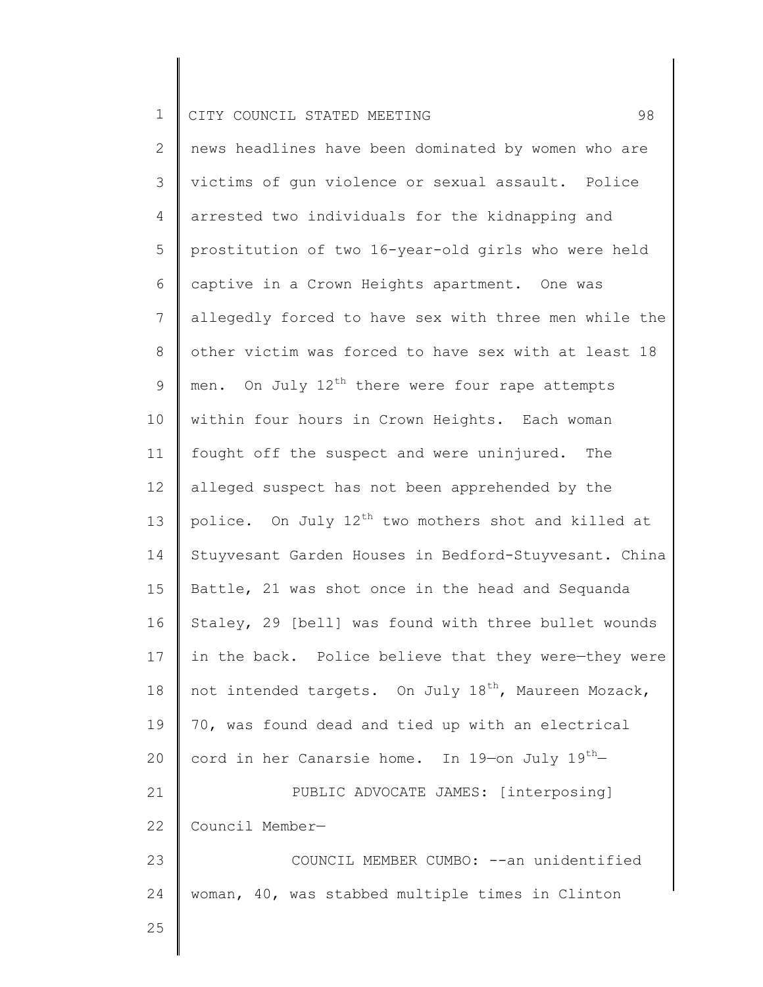2 3 4 5 6 7 8 9 10 11 12 13 14 15 16 17 18 19 20 21 22 23 24 25 news headlines have been dominated by women who are victims of gun violence or sexual assault. Police arrested two individuals for the kidnapping and prostitution of two 16-year-old girls who were held captive in a Crown Heights apartment. One was allegedly forced to have sex with three men while the other victim was forced to have sex with at least 18 men. On July  $12^{th}$  there were four rape attempts within four hours in Crown Heights. Each woman fought off the suspect and were uninjured. The alleged suspect has not been apprehended by the police. On July  $12^{th}$  two mothers shot and killed at Stuyvesant Garden Houses in Bedford-Stuyvesant. China Battle, 21 was shot once in the head and Sequanda Staley, 29 [bell] was found with three bullet wounds in the back. Police believe that they were-they were not intended targets. On July  $18^{th}$ , Maureen Mozack, 70, was found dead and tied up with an electrical cord in her Canarsie home. In 19-on July  $19^{th}$ -PUBLIC ADVOCATE JAMES: [interposing] Council Member— COUNCIL MEMBER CUMBO: --an unidentified woman, 40, was stabbed multiple times in Clinton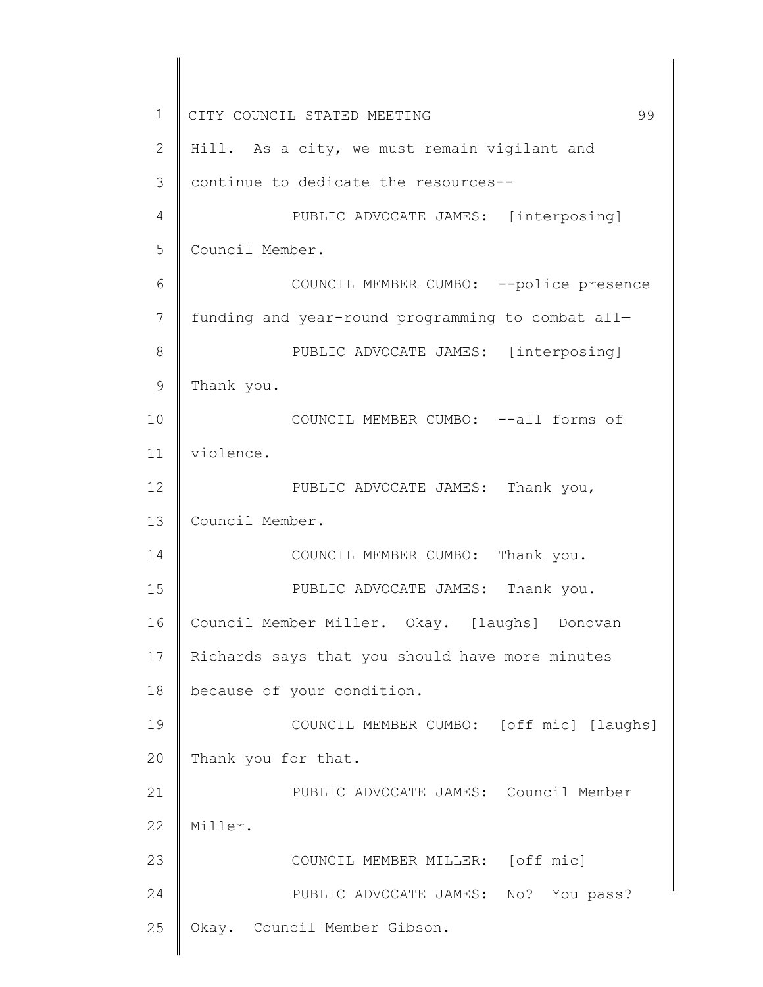1 2 3 4 5 6 7 8 9 10 11 12 13 14 15 16 17 18 19 20 21 22 23 24 25 CITY COUNCIL STATED MEETING 99 Hill. As a city, we must remain vigilant and continue to dedicate the resources-- PUBLIC ADVOCATE JAMES: [interposing] Council Member. COUNCIL MEMBER CUMBO: --police presence funding and year-round programming to combat all— PUBLIC ADVOCATE JAMES: [interposing] Thank you. COUNCIL MEMBER CUMBO: --all forms of violence. PUBLIC ADVOCATE JAMES: Thank you, Council Member. COUNCIL MEMBER CUMBO: Thank you. PUBLIC ADVOCATE JAMES: Thank you. Council Member Miller. Okay. [laughs] Donovan Richards says that you should have more minutes because of your condition. COUNCIL MEMBER CUMBO: [off mic] [laughs] Thank you for that. PUBLIC ADVOCATE JAMES: Council Member Miller. COUNCIL MEMBER MILLER: [off mic] PUBLIC ADVOCATE JAMES: No? You pass? Okay. Council Member Gibson.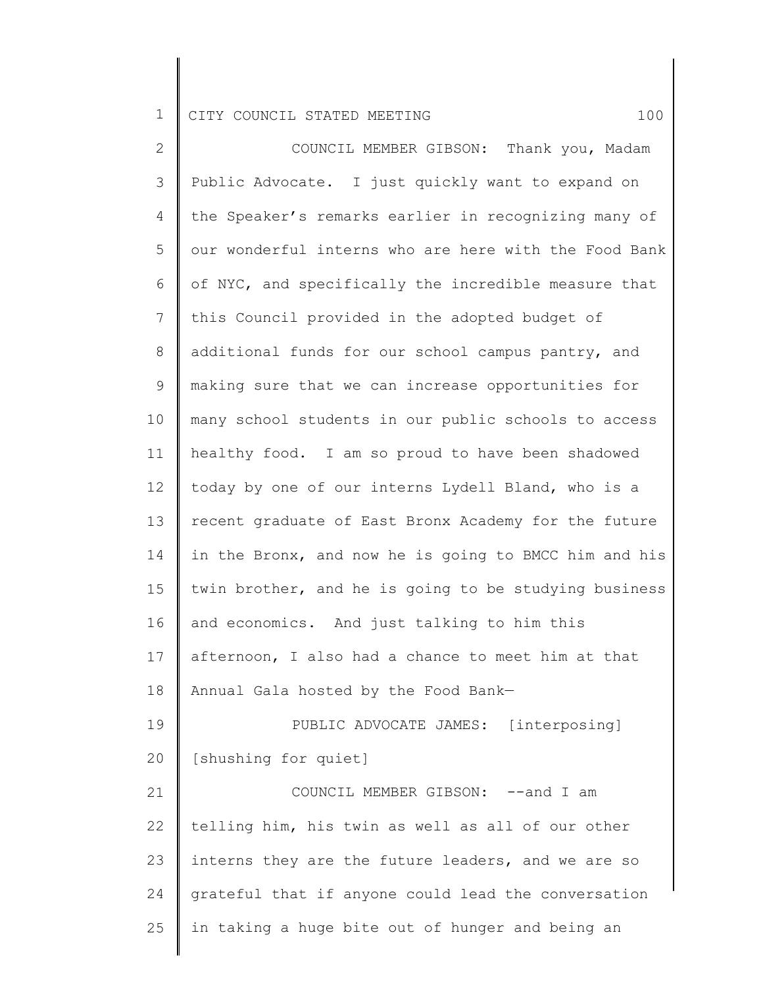2 3 4 5 6 7 8 9 10 11 12 13 14 15 16 17 18 19 20 21 22 23 24 25 COUNCIL MEMBER GIBSON: Thank you, Madam Public Advocate. I just quickly want to expand on the Speaker's remarks earlier in recognizing many of our wonderful interns who are here with the Food Bank of NYC, and specifically the incredible measure that this Council provided in the adopted budget of additional funds for our school campus pantry, and making sure that we can increase opportunities for many school students in our public schools to access healthy food. I am so proud to have been shadowed today by one of our interns Lydell Bland, who is a recent graduate of East Bronx Academy for the future in the Bronx, and now he is going to BMCC him and his twin brother, and he is going to be studying business and economics. And just talking to him this afternoon, I also had a chance to meet him at that Annual Gala hosted by the Food Bank— PUBLIC ADVOCATE JAMES: [interposing] [shushing for quiet] COUNCIL MEMBER GIBSON: --and I am telling him, his twin as well as all of our other interns they are the future leaders, and we are so grateful that if anyone could lead the conversation in taking a huge bite out of hunger and being an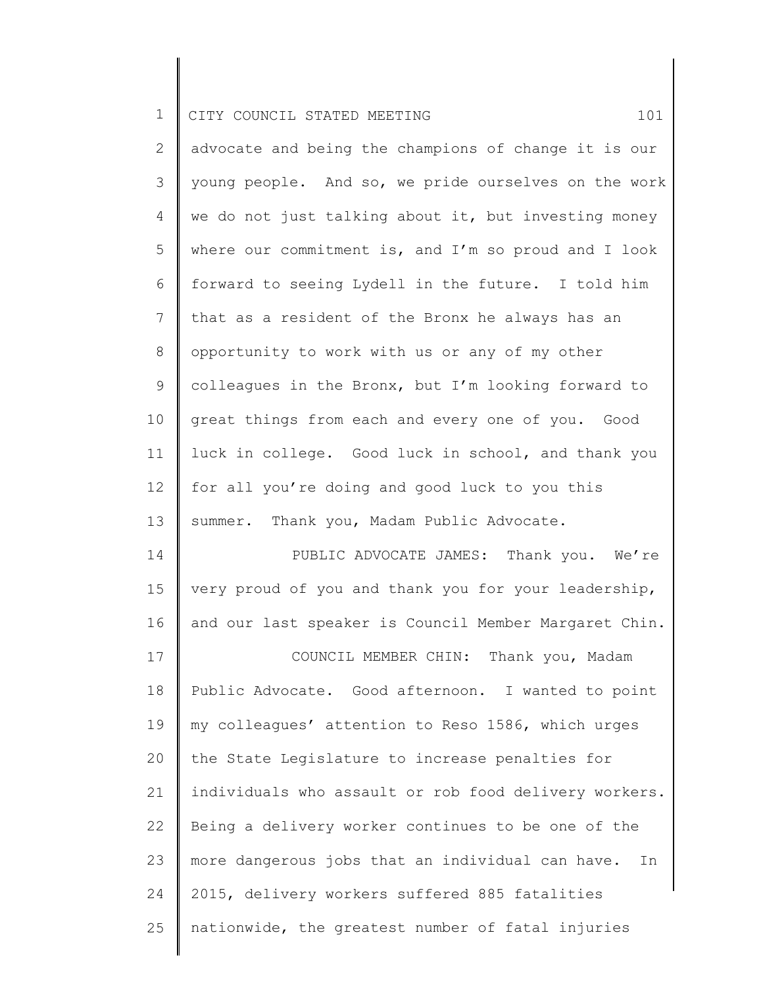|  |  | I CITY COUNCIL STATED MEETING |  |  |  |  |  |  |
|--|--|-------------------------------|--|--|--|--|--|--|
|--|--|-------------------------------|--|--|--|--|--|--|

| 2               | advocate and being the champions of change it is our |
|-----------------|------------------------------------------------------|
| 3               | young people. And so, we pride ourselves on the work |
| 4               | we do not just talking about it, but investing money |
| 5               | where our commitment is, and I'm so proud and I look |
| 6               | forward to seeing Lydell in the future. I told him   |
| 7               | that as a resident of the Bronx he always has an     |
| $8\,$           | opportunity to work with us or any of my other       |
| 9               | colleagues in the Bronx, but I'm looking forward to  |
| 10              | great things from each and every one of you. Good    |
| 11              | luck in college. Good luck in school, and thank you  |
| 12 <sup>°</sup> | for all you're doing and good luck to you this       |
| 13              | summer. Thank you, Madam Public Advocate.            |
| 14              | PUBLIC ADVOCATE JAMES: Thank you. We're              |
| 1 <sub>5</sub>  | wory proud of you and thank you for your loadarship  |

15 16 very proud of you and thank you for your leadership, and our last speaker is Council Member Margaret Chin.

17 18 19 20 21 22 23 24 25 COUNCIL MEMBER CHIN: Thank you, Madam Public Advocate. Good afternoon. I wanted to point my colleagues' attention to Reso 1586, which urges the State Legislature to increase penalties for individuals who assault or rob food delivery workers. Being a delivery worker continues to be one of the more dangerous jobs that an individual can have. In 2015, delivery workers suffered 885 fatalities nationwide, the greatest number of fatal injuries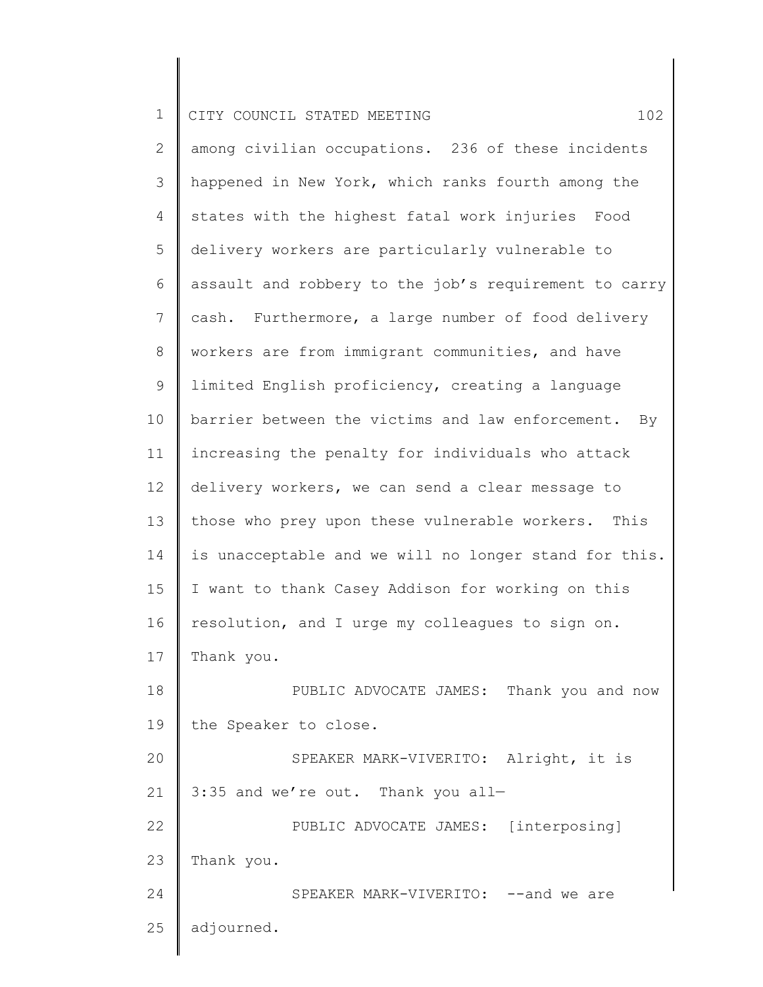| $\mathbf 1$    | 102<br>CITY COUNCIL STATED MEETING                    |  |  |  |  |  |  |  |
|----------------|-------------------------------------------------------|--|--|--|--|--|--|--|
| $\mathbf{2}$   | among civilian occupations. 236 of these incidents    |  |  |  |  |  |  |  |
| 3              | happened in New York, which ranks fourth among the    |  |  |  |  |  |  |  |
| 4              | states with the highest fatal work injuries Food      |  |  |  |  |  |  |  |
| 5              | delivery workers are particularly vulnerable to       |  |  |  |  |  |  |  |
| 6              | assault and robbery to the job's requirement to carry |  |  |  |  |  |  |  |
| $\overline{7}$ | cash. Furthermore, a large number of food delivery    |  |  |  |  |  |  |  |
| 8              | workers are from immigrant communities, and have      |  |  |  |  |  |  |  |
| 9              | limited English proficiency, creating a language      |  |  |  |  |  |  |  |
| 10             | barrier between the victims and law enforcement. By   |  |  |  |  |  |  |  |
| 11             | increasing the penalty for individuals who attack     |  |  |  |  |  |  |  |
| 12             | delivery workers, we can send a clear message to      |  |  |  |  |  |  |  |
| 13             | those who prey upon these vulnerable workers.<br>This |  |  |  |  |  |  |  |
| 14             | is unacceptable and we will no longer stand for this. |  |  |  |  |  |  |  |
| 15             | I want to thank Casey Addison for working on this     |  |  |  |  |  |  |  |
| 16             | resolution, and I urge my colleagues to sign on.      |  |  |  |  |  |  |  |
| 17             | Thank you.                                            |  |  |  |  |  |  |  |
| 18             | PUBLIC ADVOCATE JAMES: Thank you and now              |  |  |  |  |  |  |  |
| 19             | the Speaker to close.                                 |  |  |  |  |  |  |  |
| 20             | SPEAKER MARK-VIVERITO: Alright, it is                 |  |  |  |  |  |  |  |
| 21             | 3:35 and we're out. Thank you all-                    |  |  |  |  |  |  |  |
| 22             | PUBLIC ADVOCATE JAMES: [interposing]                  |  |  |  |  |  |  |  |
| 23             | Thank you.                                            |  |  |  |  |  |  |  |
| 24             | SPEAKER MARK-VIVERITO: --and we are                   |  |  |  |  |  |  |  |
| 25             | adjourned.                                            |  |  |  |  |  |  |  |
|                |                                                       |  |  |  |  |  |  |  |

║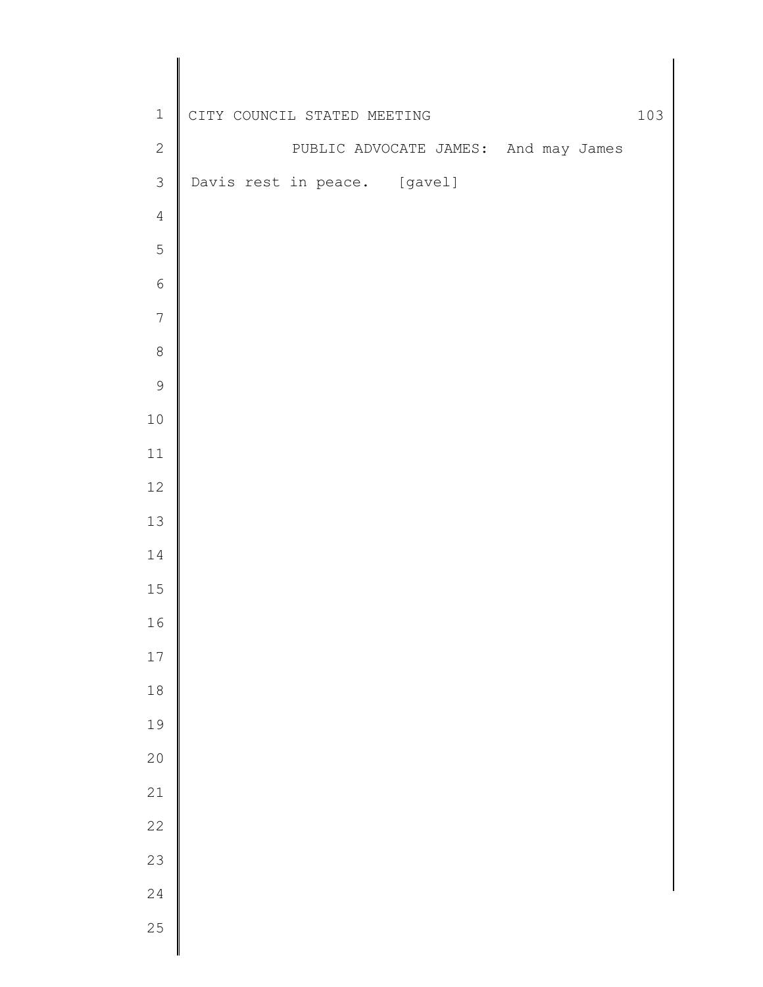| $\ensuremath{\mathbbm{1}}$ | CITY COUNCIL STATED MEETING |  |                              |  |  |                                      |  |  | 103 |  |
|----------------------------|-----------------------------|--|------------------------------|--|--|--------------------------------------|--|--|-----|--|
| $\sqrt{2}$                 |                             |  |                              |  |  | PUBLIC ADVOCATE JAMES: And may James |  |  |     |  |
| $\mathfrak{Z}$             |                             |  | Davis rest in peace. [gavel] |  |  |                                      |  |  |     |  |
| $\sqrt{4}$                 |                             |  |                              |  |  |                                      |  |  |     |  |
| $\mathsf S$                |                             |  |                              |  |  |                                      |  |  |     |  |
| $\sqrt{6}$                 |                             |  |                              |  |  |                                      |  |  |     |  |
| $\overline{7}$             |                             |  |                              |  |  |                                      |  |  |     |  |
| $\,8\,$                    |                             |  |                              |  |  |                                      |  |  |     |  |
| $\mathcal{G}$              |                             |  |                              |  |  |                                      |  |  |     |  |
| $1\,0$                     |                             |  |                              |  |  |                                      |  |  |     |  |
| $11\,$                     |                             |  |                              |  |  |                                      |  |  |     |  |
| $12\,$                     |                             |  |                              |  |  |                                      |  |  |     |  |
| $13\,$                     |                             |  |                              |  |  |                                      |  |  |     |  |
| 14                         |                             |  |                              |  |  |                                      |  |  |     |  |
| $15\,$                     |                             |  |                              |  |  |                                      |  |  |     |  |
| 16                         |                             |  |                              |  |  |                                      |  |  |     |  |
| 17                         |                             |  |                              |  |  |                                      |  |  |     |  |
| $1\,8$                     |                             |  |                              |  |  |                                      |  |  |     |  |
| 19                         |                             |  |                              |  |  |                                      |  |  |     |  |
| 20                         |                             |  |                              |  |  |                                      |  |  |     |  |
| 21                         |                             |  |                              |  |  |                                      |  |  |     |  |
| 22                         |                             |  |                              |  |  |                                      |  |  |     |  |
| 23                         |                             |  |                              |  |  |                                      |  |  |     |  |
| 24                         |                             |  |                              |  |  |                                      |  |  |     |  |
| 25                         |                             |  |                              |  |  |                                      |  |  |     |  |